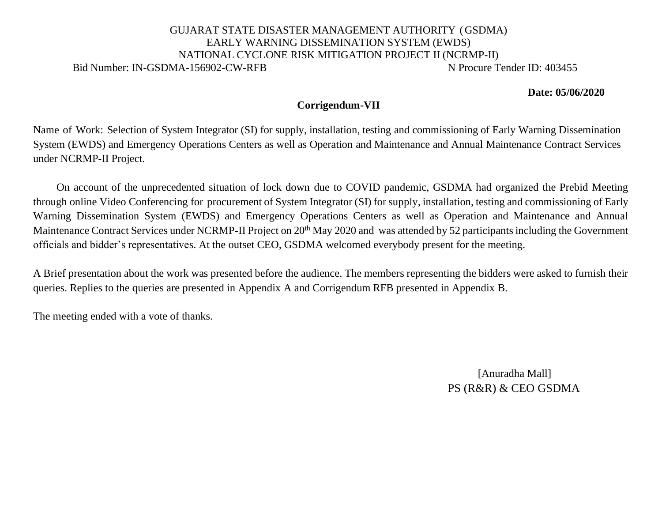## GUJARAT STATE DISASTER MANAGEMENT AUTHORITY (GSDMA) EARLY WARNING DISSEMINATION SYSTEM (EWDS) NATIONAL CYCLONE RISK MITIGATION PROJECT II (NCRMP-II) Bid Number: IN-GSDMA-156902-CW-RFB N Procure Tender ID: 403455

**Date: 05/06/2020**

## **Corrigendum-VII**

Name of Work: Selection of System Integrator (SI) for supply, installation, testing and commissioning of Early Warning Dissemination System (EWDS) and Emergency Operations Centers as well as Operation and Maintenance and Annual Maintenance Contract Services under NCRMP-II Project.

On account of the unprecedented situation of lock down due to COVID pandemic, GSDMA had organized the Prebid Meeting through online Video Conferencing for procurement of System Integrator (SI) for supply, installation, testing and commissioning of Early Warning Dissemination System (EWDS) and Emergency Operations Centers as well as Operation and Maintenance and Annual Maintenance Contract Services under NCRMP-II Project on 20<sup>th</sup> May 2020 and was attended by 52 participants including the Government officials and bidder's representatives. At the outset CEO, GSDMA welcomed everybody present for the meeting.

A Brief presentation about the work was presented before the audience. The members representing the bidders were asked to furnish their queries. Replies to the queries are presented in Appendix A and Corrigendum RFB presented in Appendix B.

The meeting ended with a vote of thanks.

[Anuradha Mall] PS (R&R) & CEO GSDMA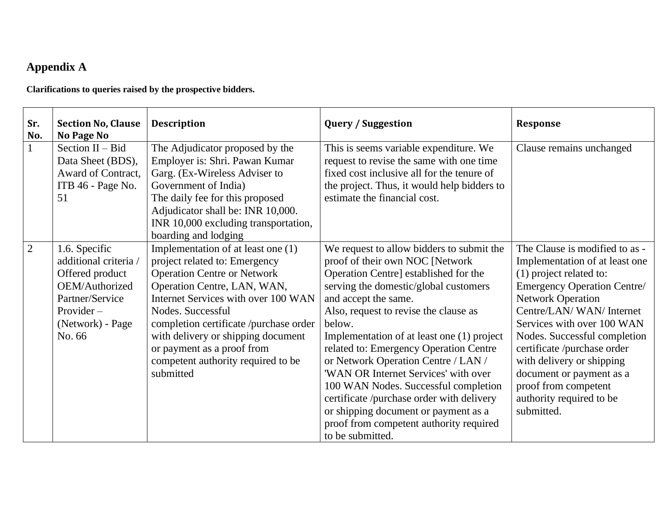## **Appendix A**

**Clarifications to queries raised by the prospective bidders.**

| Sr.<br>No.     | <b>Section No, Clause</b><br><b>No Page No</b>                                                                                               | <b>Description</b>                                                                                                                                                                                                                                                                                                                                                    | <b>Query / Suggestion</b>                                                                                                                                                                                                                                                                                                                                                                                                                                                                                                                                                                                     | <b>Response</b>                                                                                                                                                                                                                                                                                                                                                                                                  |
|----------------|----------------------------------------------------------------------------------------------------------------------------------------------|-----------------------------------------------------------------------------------------------------------------------------------------------------------------------------------------------------------------------------------------------------------------------------------------------------------------------------------------------------------------------|---------------------------------------------------------------------------------------------------------------------------------------------------------------------------------------------------------------------------------------------------------------------------------------------------------------------------------------------------------------------------------------------------------------------------------------------------------------------------------------------------------------------------------------------------------------------------------------------------------------|------------------------------------------------------------------------------------------------------------------------------------------------------------------------------------------------------------------------------------------------------------------------------------------------------------------------------------------------------------------------------------------------------------------|
|                | Section $II - Bid$<br>Data Sheet (BDS),<br>Award of Contract,<br>ITB 46 - Page No.<br>51                                                     | The Adjudicator proposed by the<br>Employer is: Shri. Pawan Kumar<br>Garg. (Ex-Wireless Adviser to<br>Government of India)<br>The daily fee for this proposed<br>Adjudicator shall be: INR 10,000.<br>INR 10,000 excluding transportation,<br>boarding and lodging                                                                                                    | This is seems variable expenditure. We<br>request to revise the same with one time<br>fixed cost inclusive all for the tenure of<br>the project. Thus, it would help bidders to<br>estimate the financial cost.                                                                                                                                                                                                                                                                                                                                                                                               | Clause remains unchanged                                                                                                                                                                                                                                                                                                                                                                                         |
| $\overline{2}$ | 1.6. Specific<br>additional criteria /<br>Offered product<br>OEM/Authorized<br>Partner/Service<br>Provider $-$<br>(Network) - Page<br>No. 66 | Implementation of at least one (1)<br>project related to: Emergency<br><b>Operation Centre or Network</b><br>Operation Centre, LAN, WAN,<br>Internet Services with over 100 WAN<br>Nodes. Successful<br>completion certificate /purchase order<br>with delivery or shipping document<br>or payment as a proof from<br>competent authority required to be<br>submitted | We request to allow bidders to submit the<br>proof of their own NOC [Network]<br>Operation Centre] established for the<br>serving the domestic/global customers<br>and accept the same.<br>Also, request to revise the clause as<br>below.<br>Implementation of at least one (1) project<br>related to: Emergency Operation Centre<br>or Network Operation Centre / LAN /<br>'WAN OR Internet Services' with over<br>100 WAN Nodes. Successful completion<br>certificate /purchase order with delivery<br>or shipping document or payment as a<br>proof from competent authority required<br>to be submitted. | The Clause is modified to as -<br>Implementation of at least one<br>(1) project related to:<br><b>Emergency Operation Centre/</b><br><b>Network Operation</b><br>Centre/LAN/WAN/Internet<br>Services with over 100 WAN<br>Nodes. Successful completion<br>certificate /purchase order<br>with delivery or shipping<br>document or payment as a<br>proof from competent<br>authority required to be<br>submitted. |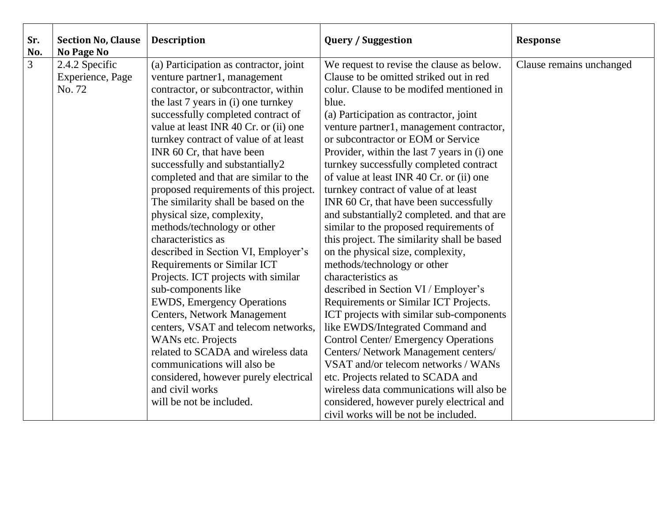| Sr.<br>No.     | <b>Section No, Clause</b><br>No Page No      | <b>Description</b>                                                                                                                                                                                                                                                                                                                                                                                                                                                                                                                                                                                                                                                                                                                                                                                                                                                                                                                                                                                    | <b>Query / Suggestion</b>                                                                                                                                                                                                                                                                                                                                                                                                                                                                                                                                                                                                                                                                                                                                                                                                                                                                                                                                                                                                                                                                                                                                                                                | <b>Response</b>          |
|----------------|----------------------------------------------|-------------------------------------------------------------------------------------------------------------------------------------------------------------------------------------------------------------------------------------------------------------------------------------------------------------------------------------------------------------------------------------------------------------------------------------------------------------------------------------------------------------------------------------------------------------------------------------------------------------------------------------------------------------------------------------------------------------------------------------------------------------------------------------------------------------------------------------------------------------------------------------------------------------------------------------------------------------------------------------------------------|----------------------------------------------------------------------------------------------------------------------------------------------------------------------------------------------------------------------------------------------------------------------------------------------------------------------------------------------------------------------------------------------------------------------------------------------------------------------------------------------------------------------------------------------------------------------------------------------------------------------------------------------------------------------------------------------------------------------------------------------------------------------------------------------------------------------------------------------------------------------------------------------------------------------------------------------------------------------------------------------------------------------------------------------------------------------------------------------------------------------------------------------------------------------------------------------------------|--------------------------|
| $\overline{3}$ | 2.4.2 Specific<br>Experience, Page<br>No. 72 | (a) Participation as contractor, joint<br>venture partner1, management<br>contractor, or subcontractor, within<br>the last 7 years in (i) one turnkey<br>successfully completed contract of<br>value at least INR 40 Cr. or (ii) one<br>turnkey contract of value of at least<br>INR 60 Cr, that have been<br>successfully and substantially2<br>completed and that are similar to the<br>proposed requirements of this project.<br>The similarity shall be based on the<br>physical size, complexity,<br>methods/technology or other<br>characteristics as<br>described in Section VI, Employer's<br>Requirements or Similar ICT<br>Projects. ICT projects with similar<br>sub-components like<br><b>EWDS</b> , Emergency Operations<br><b>Centers, Network Management</b><br>centers, VSAT and telecom networks,<br>WANs etc. Projects<br>related to SCADA and wireless data<br>communications will also be<br>considered, however purely electrical<br>and civil works<br>will be not be included. | We request to revise the clause as below.<br>Clause to be omitted striked out in red<br>colur. Clause to be modifed mentioned in<br>blue.<br>(a) Participation as contractor, joint<br>venture partner1, management contractor,<br>or subcontractor or EOM or Service<br>Provider, within the last 7 years in (i) one<br>turnkey successfully completed contract<br>of value at least INR 40 Cr. or (ii) one<br>turnkey contract of value of at least<br>INR 60 Cr, that have been successfully<br>and substantially2 completed. and that are<br>similar to the proposed requirements of<br>this project. The similarity shall be based<br>on the physical size, complexity,<br>methods/technology or other<br>characteristics as<br>described in Section VI / Employer's<br>Requirements or Similar ICT Projects.<br>ICT projects with similar sub-components<br>like EWDS/Integrated Command and<br><b>Control Center/ Emergency Operations</b><br>Centers/ Network Management centers/<br>VSAT and/or telecom networks / WANs<br>etc. Projects related to SCADA and<br>wireless data communications will also be<br>considered, however purely electrical and<br>civil works will be not be included. | Clause remains unchanged |
|                |                                              |                                                                                                                                                                                                                                                                                                                                                                                                                                                                                                                                                                                                                                                                                                                                                                                                                                                                                                                                                                                                       |                                                                                                                                                                                                                                                                                                                                                                                                                                                                                                                                                                                                                                                                                                                                                                                                                                                                                                                                                                                                                                                                                                                                                                                                          |                          |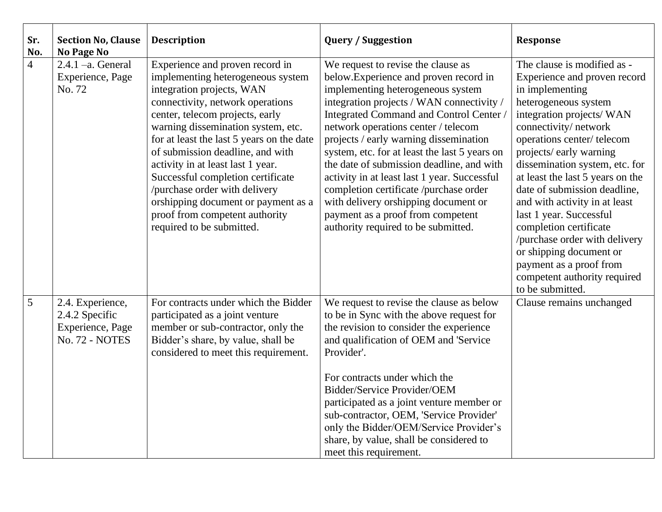| Sr.<br>No.     | <b>Section No, Clause</b><br><b>No Page No</b>                           | <b>Description</b>                                                                                                                                                                                                                                                                                                                                                                                                                                                                                               | <b>Query / Suggestion</b>                                                                                                                                                                                                                                                                                                                                                                                                                                                                                                                                                                            | <b>Response</b>                                                                                                                                                                                                                                                                                                                                                                                                                                                                                                                                           |
|----------------|--------------------------------------------------------------------------|------------------------------------------------------------------------------------------------------------------------------------------------------------------------------------------------------------------------------------------------------------------------------------------------------------------------------------------------------------------------------------------------------------------------------------------------------------------------------------------------------------------|------------------------------------------------------------------------------------------------------------------------------------------------------------------------------------------------------------------------------------------------------------------------------------------------------------------------------------------------------------------------------------------------------------------------------------------------------------------------------------------------------------------------------------------------------------------------------------------------------|-----------------------------------------------------------------------------------------------------------------------------------------------------------------------------------------------------------------------------------------------------------------------------------------------------------------------------------------------------------------------------------------------------------------------------------------------------------------------------------------------------------------------------------------------------------|
| $\overline{4}$ | $2.4.1 - a$ . General<br>Experience, Page<br>No. 72                      | Experience and proven record in<br>implementing heterogeneous system<br>integration projects, WAN<br>connectivity, network operations<br>center, telecom projects, early<br>warning dissemination system, etc.<br>for at least the last 5 years on the date<br>of submission deadline, and with<br>activity in at least last 1 year.<br>Successful completion certificate<br>/purchase order with delivery<br>orshipping document or payment as a<br>proof from competent authority<br>required to be submitted. | We request to revise the clause as<br>below. Experience and proven record in<br>implementing heterogeneous system<br>integration projects / WAN connectivity /<br>Integrated Command and Control Center<br>network operations center / telecom<br>projects / early warning dissemination<br>system, etc. for at least the last 5 years on<br>the date of submission deadline, and with<br>activity in at least last 1 year. Successful<br>completion certificate /purchase order<br>with delivery orshipping document or<br>payment as a proof from competent<br>authority required to be submitted. | The clause is modified as -<br>Experience and proven record<br>in implementing<br>heterogeneous system<br>integration projects/ WAN<br>connectivity/network<br>operations center/telecom<br>projects/early warning<br>dissemination system, etc. for<br>at least the last 5 years on the<br>date of submission deadline,<br>and with activity in at least<br>last 1 year. Successful<br>completion certificate<br>/purchase order with delivery<br>or shipping document or<br>payment as a proof from<br>competent authority required<br>to be submitted. |
| 5              | 2.4. Experience,<br>2.4.2 Specific<br>Experience, Page<br>No. 72 - NOTES | For contracts under which the Bidder<br>participated as a joint venture<br>member or sub-contractor, only the<br>Bidder's share, by value, shall be<br>considered to meet this requirement.                                                                                                                                                                                                                                                                                                                      | We request to revise the clause as below<br>to be in Sync with the above request for<br>the revision to consider the experience<br>and qualification of OEM and 'Service<br>Provider'.<br>For contracts under which the<br>Bidder/Service Provider/OEM<br>participated as a joint venture member or<br>sub-contractor, OEM, 'Service Provider'<br>only the Bidder/OEM/Service Provider's<br>share, by value, shall be considered to<br>meet this requirement.                                                                                                                                        | Clause remains unchanged                                                                                                                                                                                                                                                                                                                                                                                                                                                                                                                                  |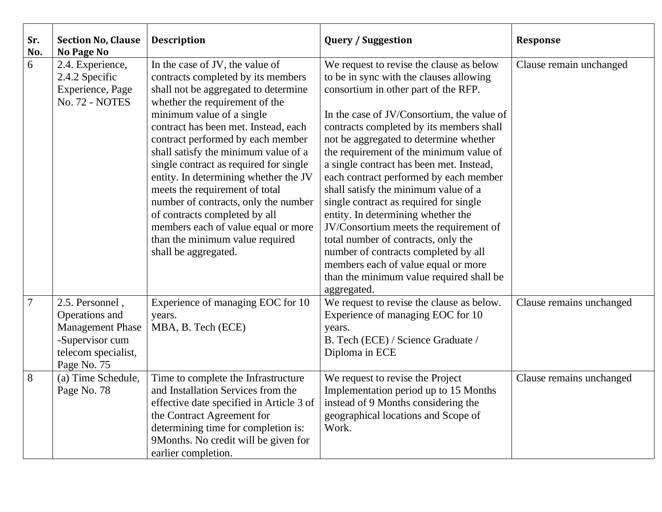| Sr.<br>No. | <b>Section No, Clause</b><br>No Page No                                                                               | <b>Description</b>                                                                                                                                                                                                                                                                                                                                                                                                                                                                                                                                                                                | <b>Query / Suggestion</b>                                                                                                                                                                                                                                                                                                                                                                                                                                                                                                                                                                                                                                                                                                                           | <b>Response</b>          |
|------------|-----------------------------------------------------------------------------------------------------------------------|---------------------------------------------------------------------------------------------------------------------------------------------------------------------------------------------------------------------------------------------------------------------------------------------------------------------------------------------------------------------------------------------------------------------------------------------------------------------------------------------------------------------------------------------------------------------------------------------------|-----------------------------------------------------------------------------------------------------------------------------------------------------------------------------------------------------------------------------------------------------------------------------------------------------------------------------------------------------------------------------------------------------------------------------------------------------------------------------------------------------------------------------------------------------------------------------------------------------------------------------------------------------------------------------------------------------------------------------------------------------|--------------------------|
| 6          | 2.4. Experience,<br>2.4.2 Specific<br>Experience, Page<br>No. 72 - NOTES                                              | In the case of JV, the value of<br>contracts completed by its members<br>shall not be aggregated to determine<br>whether the requirement of the<br>minimum value of a single<br>contract has been met. Instead, each<br>contract performed by each member<br>shall satisfy the minimum value of a<br>single contract as required for single<br>entity. In determining whether the JV<br>meets the requirement of total<br>number of contracts, only the number<br>of contracts completed by all<br>members each of value equal or more<br>than the minimum value required<br>shall be aggregated. | We request to revise the clause as below<br>to be in sync with the clauses allowing<br>consortium in other part of the RFP.<br>In the case of JV/Consortium, the value of<br>contracts completed by its members shall<br>not be aggregated to determine whether<br>the requirement of the minimum value of<br>a single contract has been met. Instead,<br>each contract performed by each member<br>shall satisfy the minimum value of a<br>single contract as required for single<br>entity. In determining whether the<br>JV/Consortium meets the requirement of<br>total number of contracts, only the<br>number of contracts completed by all<br>members each of value equal or more<br>than the minimum value required shall be<br>aggregated. | Clause remain unchanged  |
| 7          | 2.5. Personnel,<br>Operations and<br><b>Management Phase</b><br>-Supervisor cum<br>telecom specialist,<br>Page No. 75 | Experience of managing EOC for 10<br>years.<br>MBA, B. Tech (ECE)                                                                                                                                                                                                                                                                                                                                                                                                                                                                                                                                 | We request to revise the clause as below.<br>Experience of managing EOC for 10<br>years.<br>B. Tech (ECE) / Science Graduate /<br>Diploma in ECE                                                                                                                                                                                                                                                                                                                                                                                                                                                                                                                                                                                                    | Clause remains unchanged |
| 8          | (a) Time Schedule,<br>Page No. 78                                                                                     | Time to complete the Infrastructure<br>and Installation Services from the<br>effective date specified in Article 3 of<br>the Contract Agreement for<br>determining time for completion is:<br>9Months. No credit will be given for<br>earlier completion.                                                                                                                                                                                                                                                                                                                                         | We request to revise the Project<br>Implementation period up to 15 Months<br>instead of 9 Months considering the<br>geographical locations and Scope of<br>Work.                                                                                                                                                                                                                                                                                                                                                                                                                                                                                                                                                                                    | Clause remains unchanged |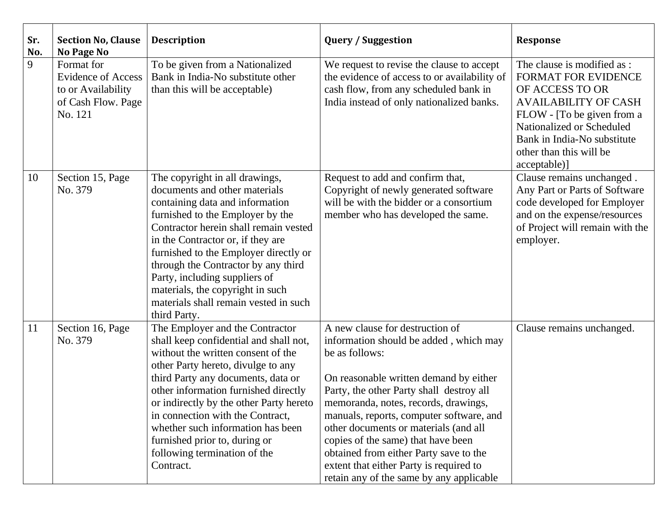| Sr.<br>No. | <b>Section No, Clause</b><br>No Page No                                                        | <b>Description</b>                                                                                                                                                                                                                                                                                                                                                                                                                    | <b>Query / Suggestion</b>                                                                                                                                                                                                                                                                                                                                                                                                                                                             | <b>Response</b>                                                                                                                                                                                                                                  |
|------------|------------------------------------------------------------------------------------------------|---------------------------------------------------------------------------------------------------------------------------------------------------------------------------------------------------------------------------------------------------------------------------------------------------------------------------------------------------------------------------------------------------------------------------------------|---------------------------------------------------------------------------------------------------------------------------------------------------------------------------------------------------------------------------------------------------------------------------------------------------------------------------------------------------------------------------------------------------------------------------------------------------------------------------------------|--------------------------------------------------------------------------------------------------------------------------------------------------------------------------------------------------------------------------------------------------|
| 9          | Format for<br><b>Evidence of Access</b><br>to or Availability<br>of Cash Flow. Page<br>No. 121 | To be given from a Nationalized<br>Bank in India-No substitute other<br>than this will be acceptable)                                                                                                                                                                                                                                                                                                                                 | We request to revise the clause to accept<br>the evidence of access to or availability of<br>cash flow, from any scheduled bank in<br>India instead of only nationalized banks.                                                                                                                                                                                                                                                                                                       | The clause is modified as :<br><b>FORMAT FOR EVIDENCE</b><br>OF ACCESS TO OR<br><b>AVAILABILITY OF CASH</b><br>FLOW - [To be given from a<br>Nationalized or Scheduled<br>Bank in India-No substitute<br>other than this will be<br>acceptable)] |
| 10         | Section 15, Page<br>No. 379                                                                    | The copyright in all drawings,<br>documents and other materials<br>containing data and information<br>furnished to the Employer by the<br>Contractor herein shall remain vested<br>in the Contractor or, if they are<br>furnished to the Employer directly or<br>through the Contractor by any third<br>Party, including suppliers of<br>materials, the copyright in such<br>materials shall remain vested in such<br>third Party.    | Request to add and confirm that,<br>Copyright of newly generated software<br>will be with the bidder or a consortium<br>member who has developed the same.                                                                                                                                                                                                                                                                                                                            | Clause remains unchanged.<br>Any Part or Parts of Software<br>code developed for Employer<br>and on the expense/resources<br>of Project will remain with the<br>employer.                                                                        |
| 11         | Section 16, Page<br>No. 379                                                                    | The Employer and the Contractor<br>shall keep confidential and shall not,<br>without the written consent of the<br>other Party hereto, divulge to any<br>third Party any documents, data or<br>other information furnished directly<br>or indirectly by the other Party hereto<br>in connection with the Contract,<br>whether such information has been<br>furnished prior to, during or<br>following termination of the<br>Contract. | A new clause for destruction of<br>information should be added, which may<br>be as follows:<br>On reasonable written demand by either<br>Party, the other Party shall destroy all<br>memoranda, notes, records, drawings,<br>manuals, reports, computer software, and<br>other documents or materials (and all<br>copies of the same) that have been<br>obtained from either Party save to the<br>extent that either Party is required to<br>retain any of the same by any applicable | Clause remains unchanged.                                                                                                                                                                                                                        |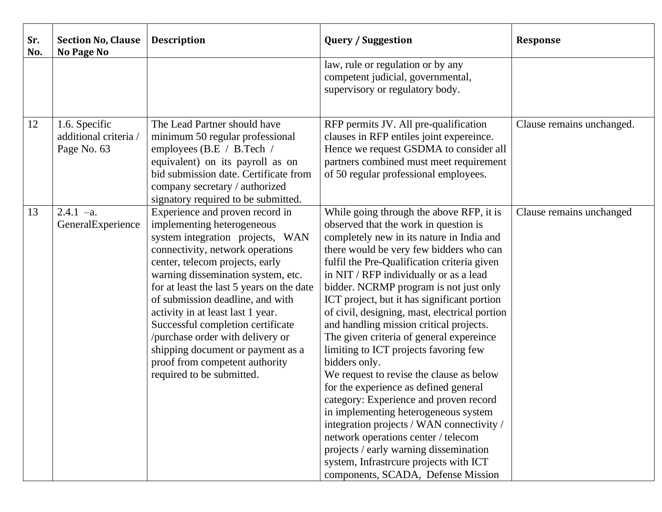| Sr.<br>No. | <b>Section No, Clause</b><br><b>No Page No</b>        | <b>Description</b>                                                                                                                                                                                                                                                                                                                                                                                                                                                                                                | <b>Query / Suggestion</b>                                                                                                                                                                                                                                                                                                                                                                                                                                                                                                                                                                                                                                                                                                                                                                                                                                                                                                                          | <b>Response</b>           |
|------------|-------------------------------------------------------|-------------------------------------------------------------------------------------------------------------------------------------------------------------------------------------------------------------------------------------------------------------------------------------------------------------------------------------------------------------------------------------------------------------------------------------------------------------------------------------------------------------------|----------------------------------------------------------------------------------------------------------------------------------------------------------------------------------------------------------------------------------------------------------------------------------------------------------------------------------------------------------------------------------------------------------------------------------------------------------------------------------------------------------------------------------------------------------------------------------------------------------------------------------------------------------------------------------------------------------------------------------------------------------------------------------------------------------------------------------------------------------------------------------------------------------------------------------------------------|---------------------------|
|            |                                                       |                                                                                                                                                                                                                                                                                                                                                                                                                                                                                                                   | law, rule or regulation or by any<br>competent judicial, governmental,<br>supervisory or regulatory body.                                                                                                                                                                                                                                                                                                                                                                                                                                                                                                                                                                                                                                                                                                                                                                                                                                          |                           |
| 12         | 1.6. Specific<br>additional criteria /<br>Page No. 63 | The Lead Partner should have<br>minimum 50 regular professional<br>employees (B.E / B.Tech /<br>equivalent) on its payroll as on<br>bid submission date. Certificate from<br>company secretary / authorized<br>signatory required to be submitted.                                                                                                                                                                                                                                                                | RFP permits JV. All pre-qualification<br>clauses in RFP entiles joint expereince.<br>Hence we request GSDMA to consider all<br>partners combined must meet requirement<br>of 50 regular professional employees.                                                                                                                                                                                                                                                                                                                                                                                                                                                                                                                                                                                                                                                                                                                                    | Clause remains unchanged. |
| 13         | $2.4.1 -a.$<br>GeneralExperience                      | Experience and proven record in<br>implementing heterogeneous<br>system integration projects, WAN<br>connectivity, network operations<br>center, telecom projects, early<br>warning dissemination system, etc.<br>for at least the last 5 years on the date<br>of submission deadline, and with<br>activity in at least last 1 year.<br>Successful completion certificate<br>/purchase order with delivery or<br>shipping document or payment as a<br>proof from competent authority<br>required to be submitted. | While going through the above RFP, it is<br>observed that the work in question is<br>completely new in its nature in India and<br>there would be very few bidders who can<br>fulfil the Pre-Qualification criteria given<br>in NIT / RFP individually or as a lead<br>bidder. NCRMP program is not just only<br>ICT project, but it has significant portion<br>of civil, designing, mast, electrical portion<br>and handling mission critical projects.<br>The given criteria of general expereince<br>limiting to ICT projects favoring few<br>bidders only.<br>We request to revise the clause as below<br>for the experience as defined general<br>category: Experience and proven record<br>in implementing heterogeneous system<br>integration projects / WAN connectivity /<br>network operations center / telecom<br>projects / early warning dissemination<br>system, Infrastrcure projects with ICT<br>components, SCADA, Defense Mission | Clause remains unchanged  |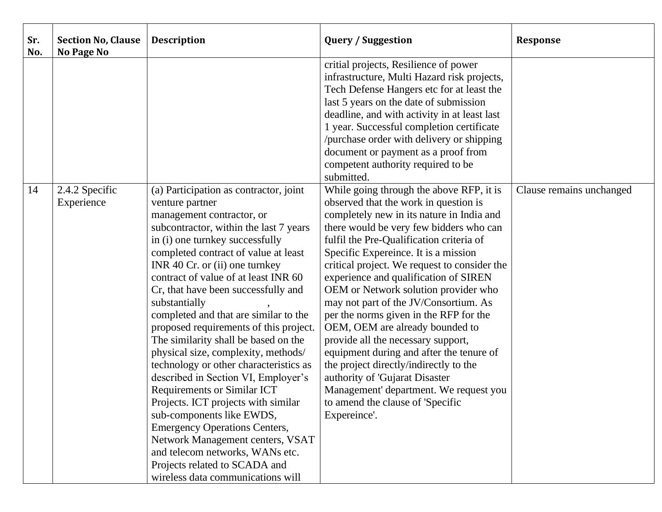| Sr.<br>No. | <b>Section No, Clause</b><br><b>No Page No</b> | <b>Description</b>                                                                                                                                                                                                                                                                                                                                                                                                                                                                                                                                                                                                                                                                                                                                                                                                                                                                              | <b>Query / Suggestion</b>                                                                                                                                                                                                                                                                                                                                                                                                                                                                                                                                                                                                                                                                                                                                                        | <b>Response</b>          |
|------------|------------------------------------------------|-------------------------------------------------------------------------------------------------------------------------------------------------------------------------------------------------------------------------------------------------------------------------------------------------------------------------------------------------------------------------------------------------------------------------------------------------------------------------------------------------------------------------------------------------------------------------------------------------------------------------------------------------------------------------------------------------------------------------------------------------------------------------------------------------------------------------------------------------------------------------------------------------|----------------------------------------------------------------------------------------------------------------------------------------------------------------------------------------------------------------------------------------------------------------------------------------------------------------------------------------------------------------------------------------------------------------------------------------------------------------------------------------------------------------------------------------------------------------------------------------------------------------------------------------------------------------------------------------------------------------------------------------------------------------------------------|--------------------------|
|            |                                                |                                                                                                                                                                                                                                                                                                                                                                                                                                                                                                                                                                                                                                                                                                                                                                                                                                                                                                 | critial projects, Resilience of power<br>infrastructure, Multi Hazard risk projects,<br>Tech Defense Hangers etc for at least the<br>last 5 years on the date of submission<br>deadline, and with activity in at least last<br>1 year. Successful completion certificate<br>/purchase order with delivery or shipping<br>document or payment as a proof from<br>competent authority required to be<br>submitted.                                                                                                                                                                                                                                                                                                                                                                 |                          |
| 14         | 2.4.2 Specific<br>Experience                   | (a) Participation as contractor, joint<br>venture partner<br>management contractor, or<br>subcontractor, within the last 7 years<br>in (i) one turnkey successfully<br>completed contract of value at least<br>INR 40 Cr. or (ii) one turnkey<br>contract of value of at least INR 60<br>Cr, that have been successfully and<br>substantially<br>completed and that are similar to the<br>proposed requirements of this project.<br>The similarity shall be based on the<br>physical size, complexity, methods/<br>technology or other characteristics as<br>described in Section VI, Employer's<br><b>Requirements or Similar ICT</b><br>Projects. ICT projects with similar<br>sub-components like EWDS,<br><b>Emergency Operations Centers,</b><br>Network Management centers, VSAT<br>and telecom networks, WANs etc.<br>Projects related to SCADA and<br>wireless data communications will | While going through the above RFP, it is<br>observed that the work in question is<br>completely new in its nature in India and<br>there would be very few bidders who can<br>fulfil the Pre-Qualification criteria of<br>Specific Expereince. It is a mission<br>critical project. We request to consider the<br>experience and qualification of SIREN<br>OEM or Network solution provider who<br>may not part of the JV/Consortium. As<br>per the norms given in the RFP for the<br>OEM, OEM are already bounded to<br>provide all the necessary support,<br>equipment during and after the tenure of<br>the project directly/indirectly to the<br>authority of 'Gujarat Disaster<br>Management' department. We request you<br>to amend the clause of 'Specific<br>Expereince'. | Clause remains unchanged |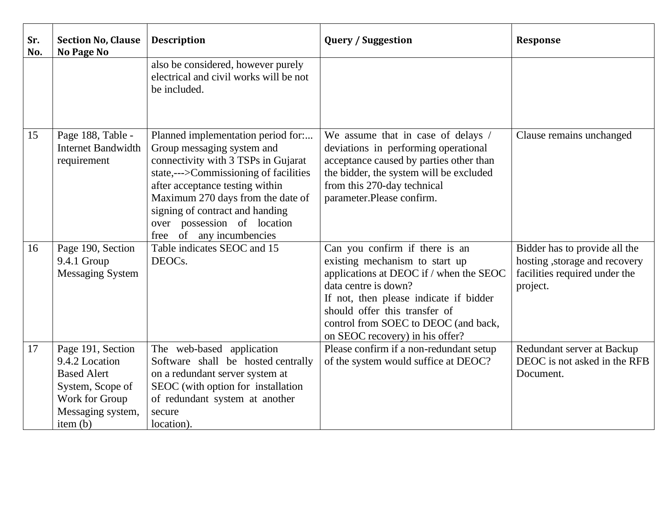| Sr.<br>No. | <b>Section No, Clause</b><br>No Page No                                                                                          | <b>Description</b>                                                                                                                                                                                                                                                                                                     | <b>Query / Suggestion</b>                                                                                                                                                                                                                                                                 | <b>Response</b>                                                                                             |
|------------|----------------------------------------------------------------------------------------------------------------------------------|------------------------------------------------------------------------------------------------------------------------------------------------------------------------------------------------------------------------------------------------------------------------------------------------------------------------|-------------------------------------------------------------------------------------------------------------------------------------------------------------------------------------------------------------------------------------------------------------------------------------------|-------------------------------------------------------------------------------------------------------------|
|            |                                                                                                                                  | also be considered, however purely<br>electrical and civil works will be not<br>be included.                                                                                                                                                                                                                           |                                                                                                                                                                                                                                                                                           |                                                                                                             |
| 15         | Page 188, Table -<br><b>Internet Bandwidth</b><br>requirement                                                                    | Planned implementation period for:<br>Group messaging system and<br>connectivity with 3 TSPs in Gujarat<br>state,--->Commissioning of facilities<br>after acceptance testing within<br>Maximum 270 days from the date of<br>signing of contract and handing<br>over possession of location<br>free of any incumbencies | We assume that in case of delays /<br>deviations in performing operational<br>acceptance caused by parties other than<br>the bidder, the system will be excluded<br>from this 270-day technical<br>parameter.Please confirm.                                                              | Clause remains unchanged                                                                                    |
| 16         | Page 190, Section<br>9.4.1 Group<br>Messaging System                                                                             | Table indicates SEOC and 15<br>DEOCs.                                                                                                                                                                                                                                                                                  | Can you confirm if there is an<br>existing mechanism to start up<br>applications at DEOC if / when the SEOC<br>data centre is down?<br>If not, then please indicate if bidder<br>should offer this transfer of<br>control from SOEC to DEOC (and back,<br>on SEOC recovery) in his offer? | Bidder has to provide all the<br>hosting, storage and recovery<br>facilities required under the<br>project. |
| 17         | Page 191, Section<br>9.4.2 Location<br><b>Based Alert</b><br>System, Scope of<br>Work for Group<br>Messaging system,<br>item (b) | The web-based application<br>Software shall be hosted centrally<br>on a redundant server system at<br>SEOC (with option for installation<br>of redundant system at another<br>secure<br>location).                                                                                                                     | Please confirm if a non-redundant setup<br>of the system would suffice at DEOC?                                                                                                                                                                                                           | Redundant server at Backup<br>DEOC is not asked in the RFB<br>Document.                                     |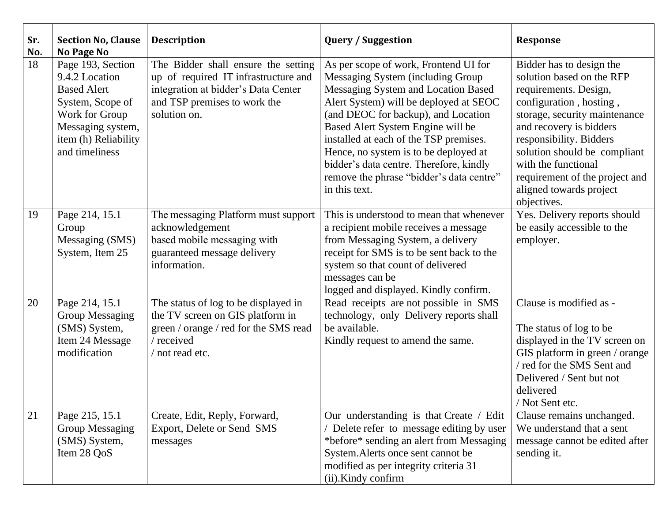| Sr.<br>No. | <b>Section No, Clause</b><br><b>No Page No</b>                                                                                                                 | <b>Description</b>                                                                                                                                                 | <b>Query / Suggestion</b>                                                                                                                                                                                                                                                                                                                                                                                                          | <b>Response</b>                                                                                                                                                                                                                                                                                                                     |
|------------|----------------------------------------------------------------------------------------------------------------------------------------------------------------|--------------------------------------------------------------------------------------------------------------------------------------------------------------------|------------------------------------------------------------------------------------------------------------------------------------------------------------------------------------------------------------------------------------------------------------------------------------------------------------------------------------------------------------------------------------------------------------------------------------|-------------------------------------------------------------------------------------------------------------------------------------------------------------------------------------------------------------------------------------------------------------------------------------------------------------------------------------|
| 18         | Page 193, Section<br>9.4.2 Location<br><b>Based Alert</b><br>System, Scope of<br>Work for Group<br>Messaging system,<br>item (h) Reliability<br>and timeliness | The Bidder shall ensure the setting<br>up of required IT infrastructure and<br>integration at bidder's Data Center<br>and TSP premises to work the<br>solution on. | As per scope of work, Frontend UI for<br>Messaging System (including Group<br>Messaging System and Location Based<br>Alert System) will be deployed at SEOC<br>(and DEOC for backup), and Location<br>Based Alert System Engine will be<br>installed at each of the TSP premises.<br>Hence, no system is to be deployed at<br>bidder's data centre. Therefore, kindly<br>remove the phrase "bidder's data centre"<br>in this text. | Bidder has to design the<br>solution based on the RFP<br>requirements. Design,<br>configuration, hosting,<br>storage, security maintenance<br>and recovery is bidders<br>responsibility. Bidders<br>solution should be compliant<br>with the functional<br>requirement of the project and<br>aligned towards project<br>objectives. |
| 19         | Page 214, 15.1<br>Group<br>Messaging (SMS)<br>System, Item 25                                                                                                  | The messaging Platform must support<br>acknowledgement<br>based mobile messaging with<br>guaranteed message delivery<br>information.                               | This is understood to mean that whenever<br>a recipient mobile receives a message<br>from Messaging System, a delivery<br>receipt for SMS is to be sent back to the<br>system so that count of delivered<br>messages can be<br>logged and displayed. Kindly confirm.                                                                                                                                                               | Yes. Delivery reports should<br>be easily accessible to the<br>employer.                                                                                                                                                                                                                                                            |
| 20         | Page 214, 15.1<br><b>Group Messaging</b><br>(SMS) System,<br>Item 24 Message<br>modification                                                                   | The status of log to be displayed in<br>the TV screen on GIS platform in<br>green / orange / red for the SMS read<br>/ received<br>/ not read etc.                 | Read receipts are not possible in SMS<br>technology, only Delivery reports shall<br>be available.<br>Kindly request to amend the same.                                                                                                                                                                                                                                                                                             | Clause is modified as -<br>The status of log to be<br>displayed in the TV screen on<br>GIS platform in green / orange<br>/ red for the SMS Sent and<br>Delivered / Sent but not<br>delivered<br>/ Not Sent etc.                                                                                                                     |
| 21         | Page 215, 15.1<br><b>Group Messaging</b><br>(SMS) System,<br>Item 28 QoS                                                                                       | Create, Edit, Reply, Forward,<br>Export, Delete or Send SMS<br>messages                                                                                            | Our understanding is that Create / Edit<br>/ Delete refer to message editing by user<br>*before* sending an alert from Messaging<br>System. Alerts once sent cannot be<br>modified as per integrity criteria 31<br>(ii).Kindy confirm                                                                                                                                                                                              | Clause remains unchanged.<br>We understand that a sent<br>message cannot be edited after<br>sending it.                                                                                                                                                                                                                             |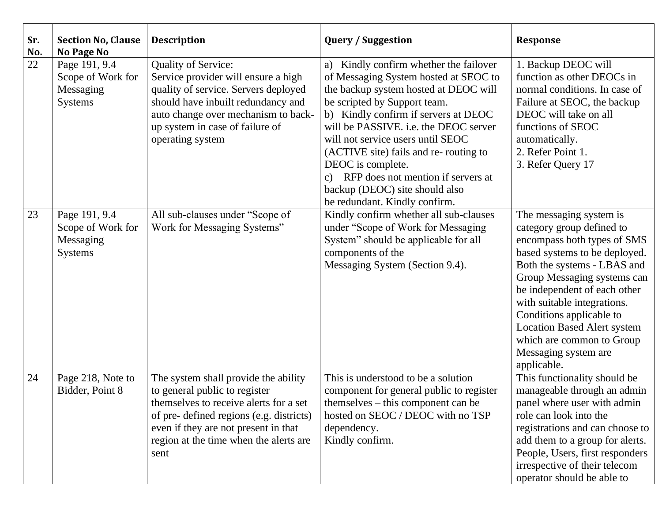| Sr.<br>No. | <b>Section No, Clause</b><br><b>No Page No</b>                    | <b>Description</b>                                                                                                                                                                                                                                    | <b>Query / Suggestion</b>                                                                                                                                                                                                                                                                                                                                                                                                                                                  | <b>Response</b>                                                                                                                                                                                                                                                                                                                                                                         |
|------------|-------------------------------------------------------------------|-------------------------------------------------------------------------------------------------------------------------------------------------------------------------------------------------------------------------------------------------------|----------------------------------------------------------------------------------------------------------------------------------------------------------------------------------------------------------------------------------------------------------------------------------------------------------------------------------------------------------------------------------------------------------------------------------------------------------------------------|-----------------------------------------------------------------------------------------------------------------------------------------------------------------------------------------------------------------------------------------------------------------------------------------------------------------------------------------------------------------------------------------|
| 22         | Page 191, 9.4<br>Scope of Work for<br>Messaging<br><b>Systems</b> | <b>Quality of Service:</b><br>Service provider will ensure a high<br>quality of service. Servers deployed<br>should have inbuilt redundancy and<br>auto change over mechanism to back-<br>up system in case of failure of<br>operating system         | Kindly confirm whether the failover<br>a)<br>of Messaging System hosted at SEOC to<br>the backup system hosted at DEOC will<br>be scripted by Support team.<br>b) Kindly confirm if servers at DEOC<br>will be PASSIVE. i.e. the DEOC server<br>will not service users until SEOC<br>(ACTIVE site) fails and re-routing to<br>DEOC is complete.<br>RFP does not mention if servers at<br>$\mathbf{c}$ )<br>backup (DEOC) site should also<br>be redundant. Kindly confirm. | 1. Backup DEOC will<br>function as other DEOCs in<br>normal conditions. In case of<br>Failure at SEOC, the backup<br>DEOC will take on all<br>functions of SEOC<br>automatically.<br>2. Refer Point 1.<br>3. Refer Query 17                                                                                                                                                             |
| 23         | Page 191, 9.4<br>Scope of Work for<br>Messaging<br><b>Systems</b> | All sub-clauses under "Scope of<br>Work for Messaging Systems"                                                                                                                                                                                        | Kindly confirm whether all sub-clauses<br>under "Scope of Work for Messaging<br>System" should be applicable for all<br>components of the<br>Messaging System (Section 9.4).                                                                                                                                                                                                                                                                                               | The messaging system is<br>category group defined to<br>encompass both types of SMS<br>based systems to be deployed.<br>Both the systems - LBAS and<br>Group Messaging systems can<br>be independent of each other<br>with suitable integrations.<br>Conditions applicable to<br><b>Location Based Alert system</b><br>which are common to Group<br>Messaging system are<br>applicable. |
| 24         | Page 218, Note to<br>Bidder, Point 8                              | The system shall provide the ability<br>to general public to register<br>themselves to receive alerts for a set<br>of pre- defined regions (e.g. districts)<br>even if they are not present in that<br>region at the time when the alerts are<br>sent | This is understood to be a solution<br>component for general public to register<br>$themselves - this component can be$<br>hosted on SEOC / DEOC with no TSP<br>dependency.<br>Kindly confirm.                                                                                                                                                                                                                                                                             | This functionality should be<br>manageable through an admin<br>panel where user with admin<br>role can look into the<br>registrations and can choose to<br>add them to a group for alerts.<br>People, Users, first responders<br>irrespective of their telecom<br>operator should be able to                                                                                            |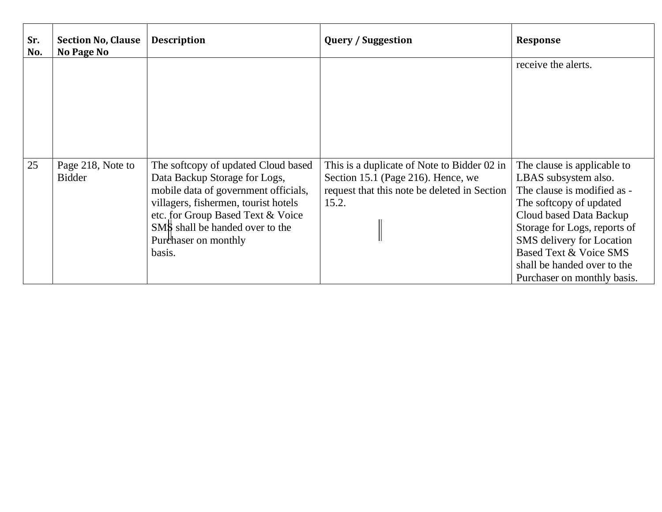| Sr.<br>No. | <b>Section No, Clause</b><br>No Page No | <b>Description</b>                                                                                                                                                                                                                                             | <b>Query / Suggestion</b>                                                                                                                  | <b>Response</b>                                                                                                                                                                                                                                                                               |
|------------|-----------------------------------------|----------------------------------------------------------------------------------------------------------------------------------------------------------------------------------------------------------------------------------------------------------------|--------------------------------------------------------------------------------------------------------------------------------------------|-----------------------------------------------------------------------------------------------------------------------------------------------------------------------------------------------------------------------------------------------------------------------------------------------|
|            |                                         |                                                                                                                                                                                                                                                                |                                                                                                                                            | receive the alerts.                                                                                                                                                                                                                                                                           |
| 25         | Page 218, Note to<br><b>Bidder</b>      | The softcopy of updated Cloud based<br>Data Backup Storage for Logs,<br>mobile data of government officials,<br>villagers, fishermen, tourist hotels<br>etc. for Group Based Text & Voice<br>SMS shall be handed over to the<br>Purchaser on monthly<br>basis. | This is a duplicate of Note to Bidder 02 in<br>Section 15.1 (Page 216). Hence, we<br>request that this note be deleted in Section<br>15.2. | The clause is applicable to<br>LBAS subsystem also.<br>The clause is modified as -<br>The softcopy of updated<br>Cloud based Data Backup<br>Storage for Logs, reports of<br>SMS delivery for Location<br>Based Text & Voice SMS<br>shall be handed over to the<br>Purchaser on monthly basis. |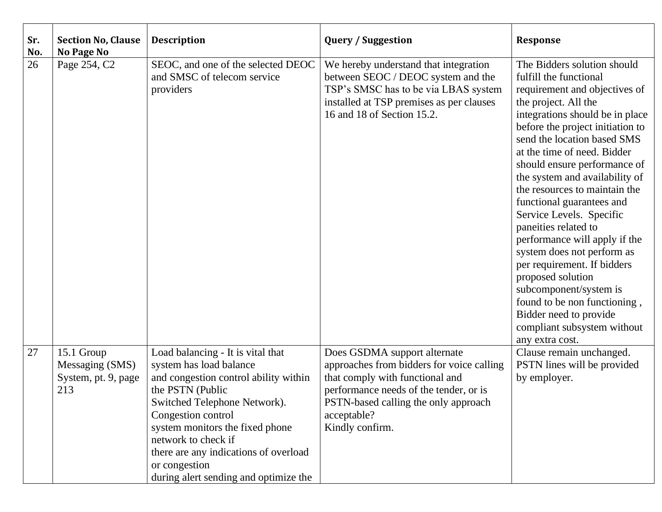| Sr.<br>No. | <b>Section No, Clause</b><br>No Page No                     | <b>Description</b>                                                                                                                                                                                                                                                                                                                           | <b>Query / Suggestion</b>                                                                                                                                                                                                        | <b>Response</b>                                                                                                                                                                                                                                                                                                                                                                                                                                                                                                                                                                                                                                                                                  |
|------------|-------------------------------------------------------------|----------------------------------------------------------------------------------------------------------------------------------------------------------------------------------------------------------------------------------------------------------------------------------------------------------------------------------------------|----------------------------------------------------------------------------------------------------------------------------------------------------------------------------------------------------------------------------------|--------------------------------------------------------------------------------------------------------------------------------------------------------------------------------------------------------------------------------------------------------------------------------------------------------------------------------------------------------------------------------------------------------------------------------------------------------------------------------------------------------------------------------------------------------------------------------------------------------------------------------------------------------------------------------------------------|
| 26         | Page 254, C2                                                | SEOC, and one of the selected DEOC<br>and SMSC of telecom service<br>providers                                                                                                                                                                                                                                                               | We hereby understand that integration<br>between SEOC / DEOC system and the<br>TSP's SMSC has to be via LBAS system<br>installed at TSP premises as per clauses<br>16 and 18 of Section 15.2.                                    | The Bidders solution should<br>fulfill the functional<br>requirement and objectives of<br>the project. All the<br>integrations should be in place<br>before the project initiation to<br>send the location based SMS<br>at the time of need. Bidder<br>should ensure performance of<br>the system and availability of<br>the resources to maintain the<br>functional guarantees and<br>Service Levels. Specific<br>paneities related to<br>performance will apply if the<br>system does not perform as<br>per requirement. If bidders<br>proposed solution<br>subcomponent/system is<br>found to be non functioning,<br>Bidder need to provide<br>compliant subsystem without<br>any extra cost. |
| 27         | 15.1 Group<br>Messaging (SMS)<br>System, pt. 9, page<br>213 | Load balancing - It is vital that<br>system has load balance<br>and congestion control ability within<br>the PSTN (Public<br>Switched Telephone Network).<br>Congestion control<br>system monitors the fixed phone<br>network to check if<br>there are any indications of overload<br>or congestion<br>during alert sending and optimize the | Does GSDMA support alternate<br>approaches from bidders for voice calling<br>that comply with functional and<br>performance needs of the tender, or is<br>PSTN-based calling the only approach<br>acceptable?<br>Kindly confirm. | Clause remain unchanged.<br>PSTN lines will be provided<br>by employer.                                                                                                                                                                                                                                                                                                                                                                                                                                                                                                                                                                                                                          |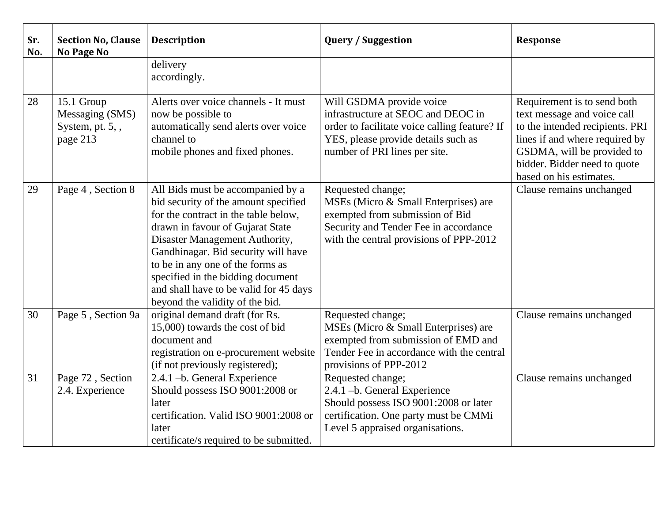| Sr.<br>No. | <b>Section No, Clause</b><br>No Page No                         | <b>Description</b>                                                                                                                                                                                                                                                                                                                                                                   | <b>Query / Suggestion</b>                                                                                                                                                               | <b>Response</b>                                                                                                                                                                                                          |
|------------|-----------------------------------------------------------------|--------------------------------------------------------------------------------------------------------------------------------------------------------------------------------------------------------------------------------------------------------------------------------------------------------------------------------------------------------------------------------------|-----------------------------------------------------------------------------------------------------------------------------------------------------------------------------------------|--------------------------------------------------------------------------------------------------------------------------------------------------------------------------------------------------------------------------|
|            |                                                                 | delivery<br>accordingly.                                                                                                                                                                                                                                                                                                                                                             |                                                                                                                                                                                         |                                                                                                                                                                                                                          |
| 28         | 15.1 Group<br>Messaging (SMS)<br>System, pt. $5,$ ,<br>page 213 | Alerts over voice channels - It must<br>now be possible to<br>automatically send alerts over voice<br>channel to<br>mobile phones and fixed phones.                                                                                                                                                                                                                                  | Will GSDMA provide voice<br>infrastructure at SEOC and DEOC in<br>order to facilitate voice calling feature? If<br>YES, please provide details such as<br>number of PRI lines per site. | Requirement is to send both<br>text message and voice call<br>to the intended recipients. PRI<br>lines if and where required by<br>GSDMA, will be provided to<br>bidder. Bidder need to quote<br>based on his estimates. |
| 29         | Page 4, Section 8                                               | All Bids must be accompanied by a<br>bid security of the amount specified<br>for the contract in the table below,<br>drawn in favour of Gujarat State<br>Disaster Management Authority,<br>Gandhinagar. Bid security will have<br>to be in any one of the forms as<br>specified in the bidding document<br>and shall have to be valid for 45 days<br>beyond the validity of the bid. | Requested change;<br>MSEs (Micro & Small Enterprises) are<br>exempted from submission of Bid<br>Security and Tender Fee in accordance<br>with the central provisions of PPP-2012        | Clause remains unchanged                                                                                                                                                                                                 |
| 30         | Page 5, Section 9a                                              | original demand draft (for Rs.<br>15,000) towards the cost of bid<br>document and<br>registration on e-procurement website<br>(if not previously registered);                                                                                                                                                                                                                        | Requested change;<br>MSEs (Micro & Small Enterprises) are<br>exempted from submission of EMD and<br>Tender Fee in accordance with the central<br>provisions of PPP-2012                 | Clause remains unchanged                                                                                                                                                                                                 |
| 31         | Page 72, Section<br>2.4. Experience                             | 2.4.1 -b. General Experience<br>Should possess ISO 9001:2008 or<br>later<br>certification. Valid ISO 9001:2008 or<br>later<br>certificate/s required to be submitted.                                                                                                                                                                                                                | Requested change;<br>2.4.1 -b. General Experience<br>Should possess ISO 9001:2008 or later<br>certification. One party must be CMMi<br>Level 5 appraised organisations.                 | Clause remains unchanged                                                                                                                                                                                                 |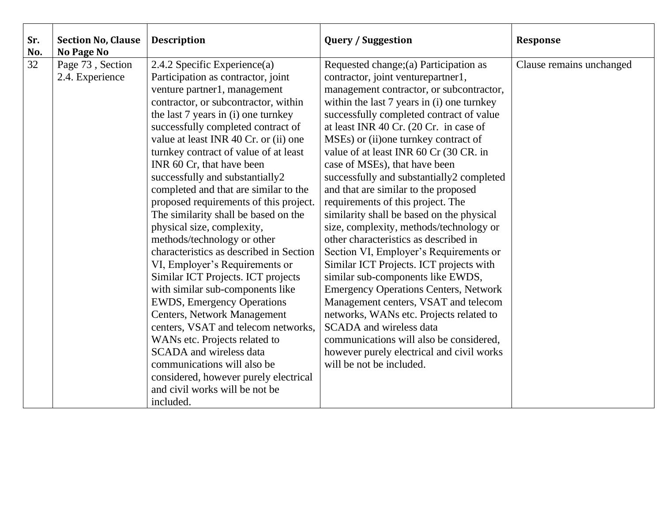| Sr.<br>No. | <b>Section No, Clause</b><br>No Page No | <b>Description</b>                                                             | <b>Query / Suggestion</b>                                                      | <b>Response</b>          |
|------------|-----------------------------------------|--------------------------------------------------------------------------------|--------------------------------------------------------------------------------|--------------------------|
| 32         | Page 73, Section                        | 2.4.2 Specific Experience(a)                                                   | Requested change; (a) Participation as                                         | Clause remains unchanged |
|            | 2.4. Experience                         | Participation as contractor, joint                                             | contractor, joint venturepartner1,                                             |                          |
|            |                                         | venture partner1, management                                                   | management contractor, or subcontractor,                                       |                          |
|            |                                         | contractor, or subcontractor, within                                           | within the last 7 years in (i) one turnkey                                     |                          |
|            |                                         | the last 7 years in (i) one turnkey                                            | successfully completed contract of value                                       |                          |
|            |                                         | successfully completed contract of                                             | at least INR 40 Cr. (20 Cr. in case of                                         |                          |
|            |                                         | value at least INR 40 Cr. or (ii) one                                          | MSEs) or (ii) one turn key contract of                                         |                          |
|            |                                         | turnkey contract of value of at least                                          | value of at least INR 60 Cr (30 CR. in                                         |                          |
|            |                                         | INR 60 Cr, that have been                                                      | case of MSEs), that have been                                                  |                          |
|            |                                         | successfully and substantially2                                                | successfully and substantially2 completed                                      |                          |
|            |                                         | completed and that are similar to the                                          | and that are similar to the proposed                                           |                          |
|            |                                         | proposed requirements of this project.<br>The similarity shall be based on the | requirements of this project. The<br>similarity shall be based on the physical |                          |
|            |                                         | physical size, complexity,                                                     | size, complexity, methods/technology or                                        |                          |
|            |                                         | methods/technology or other                                                    | other characteristics as described in                                          |                          |
|            |                                         | characteristics as described in Section                                        | Section VI, Employer's Requirements or                                         |                          |
|            |                                         | VI, Employer's Requirements or                                                 | Similar ICT Projects. ICT projects with                                        |                          |
|            |                                         | Similar ICT Projects. ICT projects                                             | similar sub-components like EWDS,                                              |                          |
|            |                                         | with similar sub-components like                                               | <b>Emergency Operations Centers, Network</b>                                   |                          |
|            |                                         | <b>EWDS, Emergency Operations</b>                                              | Management centers, VSAT and telecom                                           |                          |
|            |                                         | <b>Centers, Network Management</b>                                             | networks, WANs etc. Projects related to                                        |                          |
|            |                                         | centers, VSAT and telecom networks,                                            | <b>SCADA</b> and wireless data                                                 |                          |
|            |                                         | WANs etc. Projects related to                                                  | communications will also be considered,                                        |                          |
|            |                                         | <b>SCADA</b> and wireless data                                                 | however purely electrical and civil works                                      |                          |
|            |                                         | communications will also be                                                    | will be not be included.                                                       |                          |
|            |                                         | considered, however purely electrical                                          |                                                                                |                          |
|            |                                         | and civil works will be not be                                                 |                                                                                |                          |
|            |                                         | included.                                                                      |                                                                                |                          |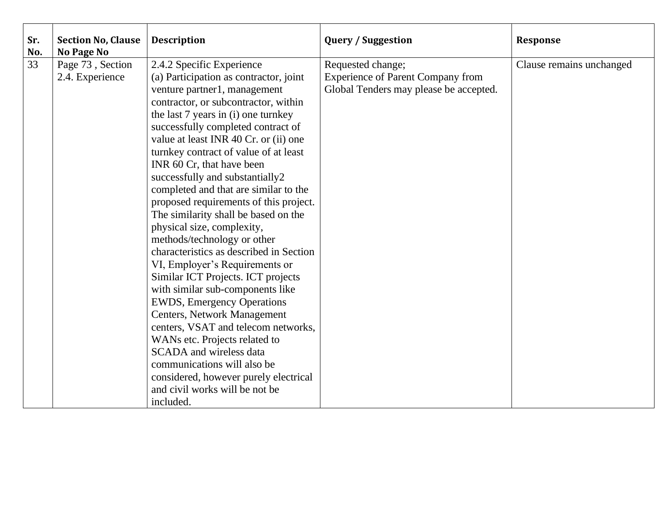| Sr.<br>No. | <b>Section No, Clause</b><br><b>No Page No</b> | <b>Description</b>                                                                                                                                                                                                                                                                                                                                                                                                                                                                                                                                                                                                                                                                                                                                                                                                                                                                                                                                                                                                                     | <b>Query / Suggestion</b>                                                                               | <b>Response</b>          |
|------------|------------------------------------------------|----------------------------------------------------------------------------------------------------------------------------------------------------------------------------------------------------------------------------------------------------------------------------------------------------------------------------------------------------------------------------------------------------------------------------------------------------------------------------------------------------------------------------------------------------------------------------------------------------------------------------------------------------------------------------------------------------------------------------------------------------------------------------------------------------------------------------------------------------------------------------------------------------------------------------------------------------------------------------------------------------------------------------------------|---------------------------------------------------------------------------------------------------------|--------------------------|
| 33         | Page 73, Section<br>2.4. Experience            | 2.4.2 Specific Experience<br>(a) Participation as contractor, joint<br>venture partner1, management<br>contractor, or subcontractor, within<br>the last 7 years in (i) one turnkey<br>successfully completed contract of<br>value at least INR 40 Cr. or (ii) one<br>turnkey contract of value of at least<br>INR 60 Cr, that have been<br>successfully and substantially2<br>completed and that are similar to the<br>proposed requirements of this project.<br>The similarity shall be based on the<br>physical size, complexity,<br>methods/technology or other<br>characteristics as described in Section<br>VI, Employer's Requirements or<br>Similar ICT Projects. ICT projects<br>with similar sub-components like<br><b>EWDS</b> , Emergency Operations<br><b>Centers, Network Management</b><br>centers, VSAT and telecom networks,<br>WANs etc. Projects related to<br><b>SCADA</b> and wireless data<br>communications will also be<br>considered, however purely electrical<br>and civil works will be not be<br>included. | Requested change;<br><b>Experience of Parent Company from</b><br>Global Tenders may please be accepted. | Clause remains unchanged |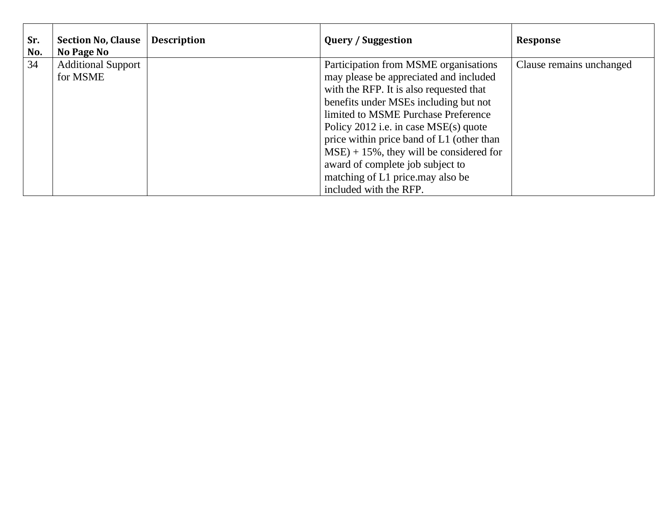| Sr.<br>No. | <b>Section No, Clause</b><br>No Page No | <b>Description</b> | <b>Query / Suggestion</b>                                                                                                                                                                                                                                                                                                                                                                                                                          | <b>Response</b>          |
|------------|-----------------------------------------|--------------------|----------------------------------------------------------------------------------------------------------------------------------------------------------------------------------------------------------------------------------------------------------------------------------------------------------------------------------------------------------------------------------------------------------------------------------------------------|--------------------------|
| 34         | <b>Additional Support</b><br>for MSME   |                    | Participation from MSME organisations<br>may please be appreciated and included<br>with the RFP. It is also requested that<br>benefits under MSEs including but not<br>limited to MSME Purchase Preference<br>Policy $2012$ i.e. in case MSE(s) quote<br>price within price band of L1 (other than<br>$MSE$ ) + 15%, they will be considered for<br>award of complete job subject to<br>matching of L1 price.may also be<br>included with the RFP. | Clause remains unchanged |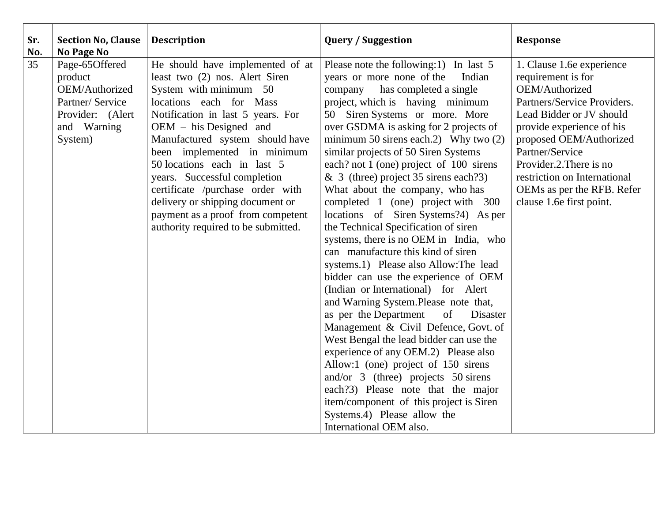| Sr.<br>No. | <b>Section No, Clause</b><br>No Page No | <b>Description</b>                                                 | <b>Query / Suggestion</b>                                                     | <b>Response</b>                                 |
|------------|-----------------------------------------|--------------------------------------------------------------------|-------------------------------------------------------------------------------|-------------------------------------------------|
| 35         | Page-65Offered<br>product               | He should have implemented of at<br>least two (2) nos. Alert Siren | Please note the following:1) In last 5<br>years or more none of the<br>Indian | 1. Clause 1.6e experience<br>requirement is for |
|            | OEM/Authorized                          | System with minimum 50                                             | company has completed a single                                                | OEM/Authorized                                  |
|            | Partner/ Service                        | locations each for Mass                                            | project, which is having minimum                                              | Partners/Service Providers.                     |
|            | Provider: (Alert                        | Notification in last 5 years. For                                  | 50 Siren Systems or more. More                                                | Lead Bidder or JV should                        |
|            | and Warning                             | $OEM - his Designed$ and                                           | over GSDMA is asking for 2 projects of                                        | provide experience of his                       |
|            | System)                                 | Manufactured system should have                                    | minimum 50 sirens each.2) Why two $(2)$                                       | proposed OEM/Authorized                         |
|            |                                         | been implemented in minimum                                        | similar projects of 50 Siren Systems                                          | Partner/Service                                 |
|            |                                         | 50 locations each in last 5                                        | each? not 1 (one) project of 100 sirens                                       | Provider.2. There is no                         |
|            |                                         | years. Successful completion                                       | & 3 (three) project $35$ sirens each ?3)                                      | restriction on International                    |
|            |                                         | certificate /purchase order with                                   | What about the company, who has                                               | OEMs as per the RFB. Refer                      |
|            |                                         | delivery or shipping document or                                   | completed 1 (one) project with 300                                            | clause 1.6e first point.                        |
|            |                                         | payment as a proof from competent                                  | locations of Siren Systems?4) As per                                          |                                                 |
|            |                                         | authority required to be submitted.                                | the Technical Specification of siren                                          |                                                 |
|            |                                         |                                                                    | systems, there is no OEM in India, who                                        |                                                 |
|            |                                         |                                                                    | can manufacture this kind of siren                                            |                                                 |
|            |                                         |                                                                    | systems.1) Please also Allow: The lead                                        |                                                 |
|            |                                         |                                                                    | bidder can use the experience of OEM                                          |                                                 |
|            |                                         |                                                                    | (Indian or International) for Alert<br>and Warning System.Please note that,   |                                                 |
|            |                                         |                                                                    | as per the Department<br>of<br>Disaster                                       |                                                 |
|            |                                         |                                                                    | Management & Civil Defence, Govt. of                                          |                                                 |
|            |                                         |                                                                    | West Bengal the lead bidder can use the                                       |                                                 |
|            |                                         |                                                                    | experience of any OEM.2) Please also                                          |                                                 |
|            |                                         |                                                                    | Allow:1 (one) project of 150 sirens                                           |                                                 |
|            |                                         |                                                                    | and/or $3$ (three) projects $50$ sirens                                       |                                                 |
|            |                                         |                                                                    | each?3) Please note that the major                                            |                                                 |
|            |                                         |                                                                    | item/component of this project is Siren                                       |                                                 |
|            |                                         |                                                                    | Systems.4) Please allow the                                                   |                                                 |
|            |                                         |                                                                    | International OEM also.                                                       |                                                 |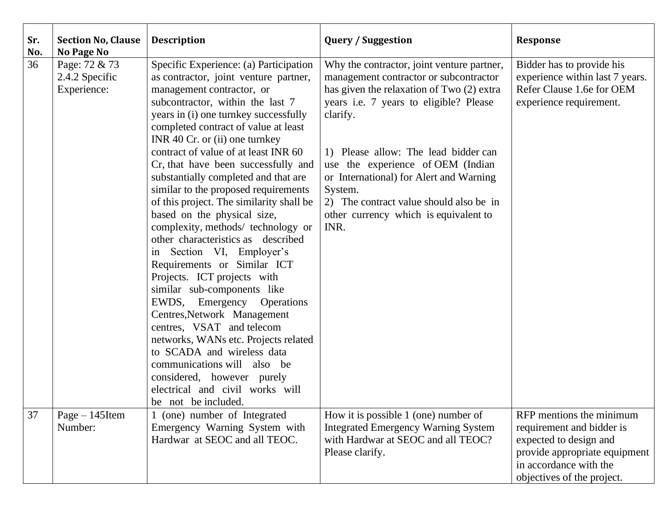| Sr.<br>No. | <b>Section No, Clause</b><br>No Page No        | <b>Description</b>                                                                                                                                                                                                                                                                                                                                                                                                                                                                                                                                                                                                                                                                                                                                                                                                                                                                                                                                                                                            | <b>Query / Suggestion</b>                                                                                                                                                                                                                                                                                                                                                                                              | <b>Response</b>                                                                                                                                                          |
|------------|------------------------------------------------|---------------------------------------------------------------------------------------------------------------------------------------------------------------------------------------------------------------------------------------------------------------------------------------------------------------------------------------------------------------------------------------------------------------------------------------------------------------------------------------------------------------------------------------------------------------------------------------------------------------------------------------------------------------------------------------------------------------------------------------------------------------------------------------------------------------------------------------------------------------------------------------------------------------------------------------------------------------------------------------------------------------|------------------------------------------------------------------------------------------------------------------------------------------------------------------------------------------------------------------------------------------------------------------------------------------------------------------------------------------------------------------------------------------------------------------------|--------------------------------------------------------------------------------------------------------------------------------------------------------------------------|
| 36         | Page: 72 & 73<br>2.4.2 Specific<br>Experience: | Specific Experience: (a) Participation<br>as contractor, joint venture partner,<br>management contractor, or<br>subcontractor, within the last 7<br>years in (i) one turnkey successfully<br>completed contract of value at least<br>INR 40 $Cr$ . or (ii) one turnkey<br>contract of value of at least INR 60<br>Cr, that have been successfully and<br>substantially completed and that are<br>similar to the proposed requirements<br>of this project. The similarity shall be<br>based on the physical size,<br>complexity, methods/ technology or<br>other characteristics as described<br>in Section VI, Employer's<br>Requirements or Similar ICT<br>Projects. ICT projects with<br>similar sub-components like<br>EWDS, Emergency Operations<br>Centres, Network Management<br>centres, VSAT and telecom<br>networks, WANs etc. Projects related<br>to SCADA and wireless data<br>communications will also be<br>considered, however purely<br>electrical and civil works will<br>be not be included. | Why the contractor, joint venture partner,<br>management contractor or subcontractor<br>has given the relaxation of Two (2) extra<br>years i.e. 7 years to eligible? Please<br>clarify.<br>1) Please allow: The lead bidder can<br>use the experience of OEM (Indian<br>or International) for Alert and Warning<br>System.<br>2) The contract value should also be in<br>other currency which is equivalent to<br>INR. | Bidder has to provide his<br>experience within last 7 years.<br>Refer Clause 1.6e for OEM<br>experience requirement.                                                     |
| 37         | $Page-145$ Item<br>Number:                     | (one) number of Integrated<br>Emergency Warning System with<br>Hardwar at SEOC and all TEOC.                                                                                                                                                                                                                                                                                                                                                                                                                                                                                                                                                                                                                                                                                                                                                                                                                                                                                                                  | How it is possible 1 (one) number of<br><b>Integrated Emergency Warning System</b><br>with Hardwar at SEOC and all TEOC?<br>Please clarify.                                                                                                                                                                                                                                                                            | RFP mentions the minimum<br>requirement and bidder is<br>expected to design and<br>provide appropriate equipment<br>in accordance with the<br>objectives of the project. |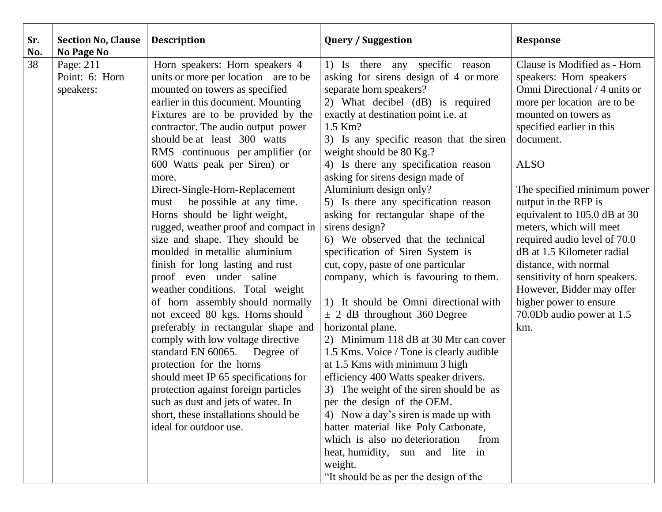| Sr.<br>No. | <b>Section No, Clause</b><br><b>No Page No</b> | <b>Description</b>                                                                                                                                                                                                                                                                                                                                                                                                                                                                                                                                                                                                                                                                                                                                                                                                                                                                                                                                                                                                                                                     | <b>Query / Suggestion</b>                                                                                                                                                                                                                                                                                                                                                                                                                                                                                                                                                                                                                                                                                                                                                                                                                                                                                                                                                                                                                                                                                                                                                                            | <b>Response</b>                                                                                                                                                                                                                                                                                                                                                                                                                                                                                                                               |
|------------|------------------------------------------------|------------------------------------------------------------------------------------------------------------------------------------------------------------------------------------------------------------------------------------------------------------------------------------------------------------------------------------------------------------------------------------------------------------------------------------------------------------------------------------------------------------------------------------------------------------------------------------------------------------------------------------------------------------------------------------------------------------------------------------------------------------------------------------------------------------------------------------------------------------------------------------------------------------------------------------------------------------------------------------------------------------------------------------------------------------------------|------------------------------------------------------------------------------------------------------------------------------------------------------------------------------------------------------------------------------------------------------------------------------------------------------------------------------------------------------------------------------------------------------------------------------------------------------------------------------------------------------------------------------------------------------------------------------------------------------------------------------------------------------------------------------------------------------------------------------------------------------------------------------------------------------------------------------------------------------------------------------------------------------------------------------------------------------------------------------------------------------------------------------------------------------------------------------------------------------------------------------------------------------------------------------------------------------|-----------------------------------------------------------------------------------------------------------------------------------------------------------------------------------------------------------------------------------------------------------------------------------------------------------------------------------------------------------------------------------------------------------------------------------------------------------------------------------------------------------------------------------------------|
| 38         | Page: 211<br>Point: 6: Horn<br>speakers:       | Horn speakers: Horn speakers 4<br>units or more per location are to be<br>mounted on towers as specified<br>earlier in this document. Mounting<br>Fixtures are to be provided by the<br>contractor. The audio output power<br>should be at least 300 watts<br>RMS continuous per amplifier (or<br>600 Watts peak per Siren) or<br>more.<br>Direct-Single-Horn-Replacement<br>be possible at any time.<br>must<br>Horns should be light weight,<br>rugged, weather proof and compact in<br>size and shape. They should be<br>moulded in metallic aluminium<br>finish for long lasting and rust<br>proof even under saline<br>weather conditions. Total weight<br>of horn assembly should normally<br>not exceed 80 kgs. Horns should<br>preferably in rectangular shape and<br>comply with low voltage directive<br>standard EN 60065.<br>Degree of<br>protection for the horns<br>should meet IP 65 specifications for<br>protection against foreign particles<br>such as dust and jets of water. In<br>short, these installations should be<br>ideal for outdoor use. | 1) Is there any specific reason<br>asking for sirens design of 4 or more<br>separate horn speakers?<br>2) What decibel (dB) is required<br>exactly at destination point <i>i.e.</i> at<br>1.5 Km?<br>3) Is any specific reason that the siren<br>weight should be 80 Kg.?<br>4) Is there any specification reason<br>asking for sirens design made of<br>Aluminium design only?<br>5) Is there any specification reason<br>asking for rectangular shape of the<br>sirens design?<br>6) We observed that the technical<br>specification of Siren System is<br>cut, copy, paste of one particular<br>company, which is favouring to them.<br>1) It should be Omni directional with<br>$\pm$ 2 dB throughout 360 Degree<br>horizontal plane.<br>2) Minimum 118 dB at 30 Mtr can cover<br>1.5 Kms. Voice / Tone is clearly audible<br>at 1.5 Kms with minimum 3 high<br>efficiency 400 Watts speaker drivers.<br>3) The weight of the siren should be as<br>per the design of the OEM.<br>4) Now a day's siren is made up with<br>batter material like Poly Carbonate,<br>which is also no deterioration<br>from<br>heat, humidity, sun and lite in<br>weight.<br>"It should be as per the design of the | Clause is Modified as - Horn<br>speakers: Horn speakers<br>Omni Directional / 4 units or<br>more per location are to be<br>mounted on towers as<br>specified earlier in this<br>document.<br><b>ALSO</b><br>The specified minimum power<br>output in the RFP is<br>equivalent to 105.0 dB at 30<br>meters, which will meet<br>required audio level of 70.0<br>dB at 1.5 Kilometer radial<br>distance, with normal<br>sensitivity of horn speakers.<br>However, Bidder may offer<br>higher power to ensure<br>70.0Db audio power at 1.5<br>km. |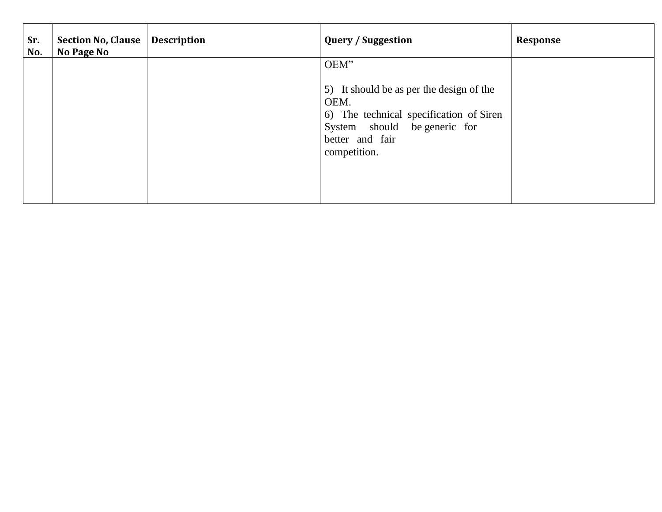| Sr.<br>No. | Section No, Clause<br>No Page No | <b>Description</b> | <b>Query / Suggestion</b>                                                                                                                                              | <b>Response</b> |
|------------|----------------------------------|--------------------|------------------------------------------------------------------------------------------------------------------------------------------------------------------------|-----------------|
|            |                                  |                    | OEM"<br>5) It should be as per the design of the<br>OEM.<br>6) The technical specification of Siren<br>System should be generic for<br>better and fair<br>competition. |                 |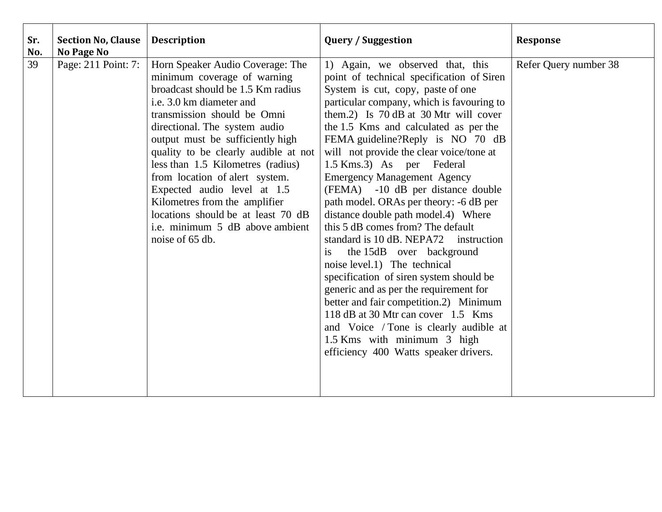| Sr.<br>No. | <b>Section No, Clause</b><br>No Page No | <b>Description</b>                                                                                                                                                                                                                                                                                                                                                                                                                                                                                              | <b>Query / Suggestion</b>                                                                                                                                                                                                                                                                                                                                                                                                                                                                                                                                                                                                                                                                                                                                                                                                                                                                                                                                         | <b>Response</b>       |
|------------|-----------------------------------------|-----------------------------------------------------------------------------------------------------------------------------------------------------------------------------------------------------------------------------------------------------------------------------------------------------------------------------------------------------------------------------------------------------------------------------------------------------------------------------------------------------------------|-------------------------------------------------------------------------------------------------------------------------------------------------------------------------------------------------------------------------------------------------------------------------------------------------------------------------------------------------------------------------------------------------------------------------------------------------------------------------------------------------------------------------------------------------------------------------------------------------------------------------------------------------------------------------------------------------------------------------------------------------------------------------------------------------------------------------------------------------------------------------------------------------------------------------------------------------------------------|-----------------------|
| 39         | Page: 211 Point: 7:                     | Horn Speaker Audio Coverage: The<br>minimum coverage of warning<br>broadcast should be 1.5 Km radius<br>i.e. 3.0 km diameter and<br>transmission should be Omni<br>directional. The system audio<br>output must be sufficiently high<br>quality to be clearly audible at not<br>less than 1.5 Kilometres (radius)<br>from location of alert system.<br>Expected audio level at 1.5<br>Kilometres from the amplifier<br>locations should be at least 70 dB<br>i.e. minimum 5 dB above ambient<br>noise of 65 db. | 1) Again, we observed that, this<br>point of technical specification of Siren<br>System is cut, copy, paste of one<br>particular company, which is favouring to<br>them.2) Is 70 dB at 30 Mtr will cover<br>the 1.5 Kms and calculated as per the<br>FEMA guideline?Reply is NO 70 dB<br>will not provide the clear voice/tone at<br>1.5 Kms.3) As per Federal<br><b>Emergency Management Agency</b><br>(FEMA) -10 dB per distance double<br>path model. ORAs per theory: -6 dB per<br>distance double path model.4) Where<br>this 5 dB comes from? The default<br>standard is 10 dB. NEPA72 instruction<br>the 15dB over background<br>is<br>noise level.1) The technical<br>specification of siren system should be<br>generic and as per the requirement for<br>better and fair competition.2) Minimum<br>118 dB at 30 Mtr can cover 1.5 Kms<br>and Voice / Tone is clearly audible at<br>1.5 Kms with minimum 3 high<br>efficiency 400 Watts speaker drivers. | Refer Query number 38 |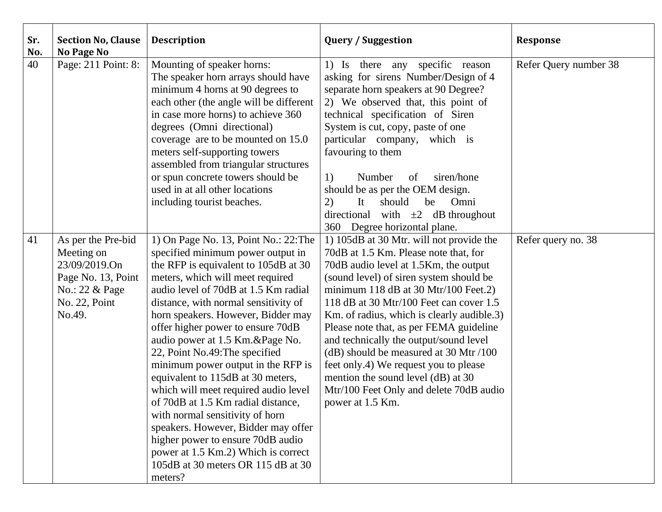| Sr.<br>No. | <b>Section No, Clause</b><br><b>No Page No</b>                                                                       | <b>Description</b>                                                                                                                                                                                                                                                                                                                                                                                                                                                                                                                                                                                                                                                                                                                                     | <b>Query / Suggestion</b>                                                                                                                                                                                                                                                                                                                                                                                                                                                                                                                                                           | <b>Response</b>       |
|------------|----------------------------------------------------------------------------------------------------------------------|--------------------------------------------------------------------------------------------------------------------------------------------------------------------------------------------------------------------------------------------------------------------------------------------------------------------------------------------------------------------------------------------------------------------------------------------------------------------------------------------------------------------------------------------------------------------------------------------------------------------------------------------------------------------------------------------------------------------------------------------------------|-------------------------------------------------------------------------------------------------------------------------------------------------------------------------------------------------------------------------------------------------------------------------------------------------------------------------------------------------------------------------------------------------------------------------------------------------------------------------------------------------------------------------------------------------------------------------------------|-----------------------|
| 40         | Page: 211 Point: 8:                                                                                                  | Mounting of speaker horns:<br>The speaker horn arrays should have<br>minimum 4 horns at 90 degrees to<br>each other (the angle will be different<br>in case more horns) to achieve 360<br>degrees (Omni directional)<br>coverage are to be mounted on 15.0<br>meters self-supporting towers<br>assembled from triangular structures<br>or spun concrete towers should be<br>used in at all other locations<br>including tourist beaches.                                                                                                                                                                                                                                                                                                               | 1) Is there any specific reason<br>asking for sirens Number/Design of 4<br>separate horn speakers at 90 Degree?<br>2) We observed that, this point of<br>technical specification of Siren<br>System is cut, copy, paste of one<br>particular company, which is<br>favouring to them<br>1)<br>Number<br>siren/hone<br>of<br>should be as per the OEM design.<br>should<br>be<br>Omni<br>2)<br>It<br>with $\pm 2$ dB throughout<br>directional<br>360 Degree horizontal plane.                                                                                                        | Refer Query number 38 |
| 41         | As per the Pre-bid<br>Meeting on<br>23/09/2019.On<br>Page No. 13, Point<br>No.: 22 & Page<br>No. 22, Point<br>No.49. | 1) On Page No. 13, Point No.: 22: The<br>specified minimum power output in<br>the RFP is equivalent to 105dB at 30<br>meters, which will meet required<br>audio level of 70dB at 1.5 Km radial<br>distance, with normal sensitivity of<br>horn speakers. However, Bidder may<br>offer higher power to ensure 70dB<br>audio power at 1.5 Km.&Page No.<br>22, Point No.49: The specified<br>minimum power output in the RFP is<br>equivalent to 115dB at 30 meters,<br>which will meet required audio level<br>of 70dB at 1.5 Km radial distance,<br>with normal sensitivity of horn<br>speakers. However, Bidder may offer<br>higher power to ensure 70dB audio<br>power at 1.5 Km.2) Which is correct<br>105dB at 30 meters OR 115 dB at 30<br>meters? | 1) 105dB at 30 Mtr. will not provide the<br>70dB at 1.5 Km. Please note that, for<br>70dB audio level at 1.5Km, the output<br>(sound level) of siren system should be<br>minimum 118 dB at 30 Mtr/100 Feet.2)<br>118 dB at 30 Mtr/100 Feet can cover 1.5<br>Km. of radius, which is clearly audible.3)<br>Please note that, as per FEMA guideline<br>and technically the output/sound level<br>(dB) should be measured at 30 Mtr /100<br>feet only.4) We request you to please<br>mention the sound level (dB) at 30<br>Mtr/100 Feet Only and delete 70dB audio<br>power at 1.5 Km. | Refer query no. 38    |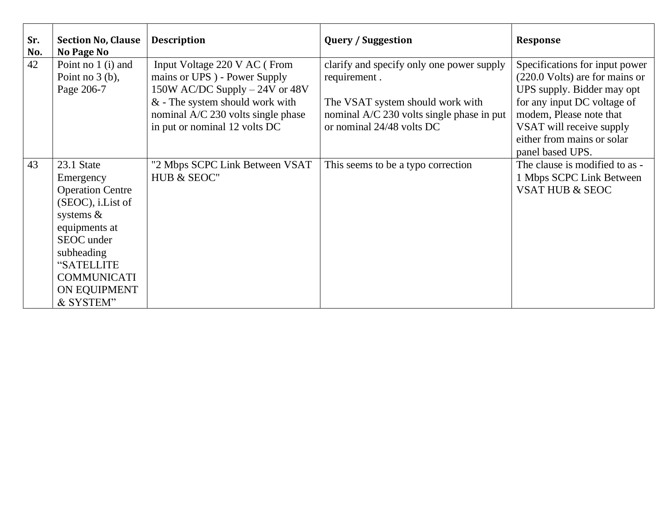| Sr.<br>No. | <b>Section No, Clause</b><br><b>No Page No</b>                                                                                                                                                        | <b>Description</b>                                                                                                                                                                                          | <b>Query / Suggestion</b>                                                                                                                                               | <b>Response</b>                                                                                                                                                                                                                        |
|------------|-------------------------------------------------------------------------------------------------------------------------------------------------------------------------------------------------------|-------------------------------------------------------------------------------------------------------------------------------------------------------------------------------------------------------------|-------------------------------------------------------------------------------------------------------------------------------------------------------------------------|----------------------------------------------------------------------------------------------------------------------------------------------------------------------------------------------------------------------------------------|
| 42         | Point no $1$ (i) and<br>Point no $3$ (b),<br>Page 206-7                                                                                                                                               | Input Voltage 220 V AC (From<br>mains or UPS) - Power Supply<br>150W AC/DC Supply $-24V$ or 48V<br>$&$ - The system should work with<br>nominal A/C 230 volts single phase<br>in put or nominal 12 volts DC | clarify and specify only one power supply<br>requirement.<br>The VSAT system should work with<br>nominal A/C 230 volts single phase in put<br>or nominal 24/48 volts DC | Specifications for input power<br>(220.0 Volts) are for mains or<br>UPS supply. Bidder may opt<br>for any input DC voltage of<br>modem, Please note that<br>VSAT will receive supply<br>either from mains or solar<br>panel based UPS. |
| 43         | 23.1 State<br>Emergency<br><b>Operation Centre</b><br>(SEOC), i.List of<br>systems $\&$<br>equipments at<br>SEOC under<br>subheading<br>"SATELLITE<br><b>COMMUNICATI</b><br>ON EQUIPMENT<br>& SYSTEM" | "2 Mbps SCPC Link Between VSAT<br>HUB & SEOC"                                                                                                                                                               | This seems to be a typo correction                                                                                                                                      | The clause is modified to as -<br>1 Mbps SCPC Link Between<br><b>VSAT HUB &amp; SEOC</b>                                                                                                                                               |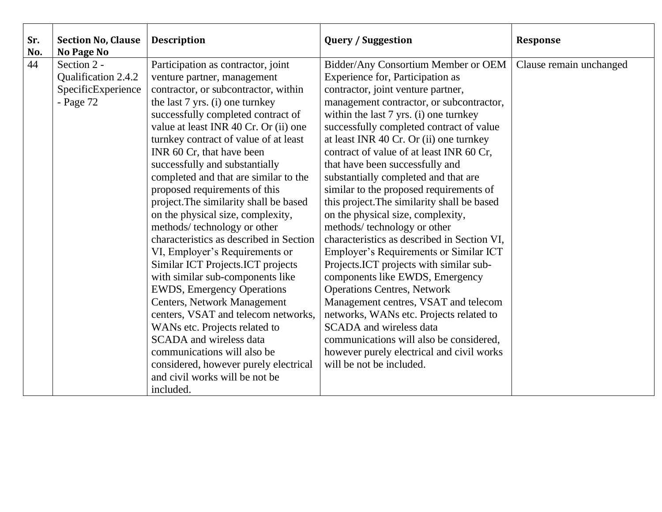| Sr.<br>No. | <b>Section No, Clause</b><br>No Page No | <b>Description</b>                      | <b>Query / Suggestion</b>                   | <b>Response</b>         |
|------------|-----------------------------------------|-----------------------------------------|---------------------------------------------|-------------------------|
| 44         | Section 2 -                             | Participation as contractor, joint      | Bidder/Any Consortium Member or OEM         | Clause remain unchanged |
|            | Qualification 2.4.2                     | venture partner, management             | Experience for, Participation as            |                         |
|            | SpecificExperience                      | contractor, or subcontractor, within    | contractor, joint venture partner,          |                         |
|            | - Page $72$                             | the last 7 yrs. (i) one turnkey         | management contractor, or subcontractor,    |                         |
|            |                                         | successfully completed contract of      | within the last 7 yrs. (i) one turnkey      |                         |
|            |                                         | value at least INR 40 Cr. Or (ii) one   | successfully completed contract of value    |                         |
|            |                                         | turnkey contract of value of at least   | at least INR 40 Cr. Or (ii) one turnkey     |                         |
|            |                                         | INR 60 Cr, that have been               | contract of value of at least INR 60 Cr,    |                         |
|            |                                         | successfully and substantially          | that have been successfully and             |                         |
|            |                                         | completed and that are similar to the   | substantially completed and that are        |                         |
|            |                                         | proposed requirements of this           | similar to the proposed requirements of     |                         |
|            |                                         | project. The similarity shall be based  | this project. The similarity shall be based |                         |
|            |                                         | on the physical size, complexity,       | on the physical size, complexity,           |                         |
|            |                                         | methods/ technology or other            | methods/technology or other                 |                         |
|            |                                         | characteristics as described in Section | characteristics as described in Section VI, |                         |
|            |                                         | VI, Employer's Requirements or          | Employer's Requirements or Similar ICT      |                         |
|            |                                         | Similar ICT Projects. ICT projects      | Projects. ICT projects with similar sub-    |                         |
|            |                                         | with similar sub-components like        | components like EWDS, Emergency             |                         |
|            |                                         | <b>EWDS</b> , Emergency Operations      | <b>Operations Centres, Network</b>          |                         |
|            |                                         | <b>Centers, Network Management</b>      | Management centres, VSAT and telecom        |                         |
|            |                                         | centers, VSAT and telecom networks,     | networks, WANs etc. Projects related to     |                         |
|            |                                         | WANs etc. Projects related to           | <b>SCADA</b> and wireless data              |                         |
|            |                                         | <b>SCADA</b> and wireless data          | communications will also be considered,     |                         |
|            |                                         | communications will also be             | however purely electrical and civil works   |                         |
|            |                                         | considered, however purely electrical   | will be not be included.                    |                         |
|            |                                         | and civil works will be not be          |                                             |                         |
|            |                                         | included.                               |                                             |                         |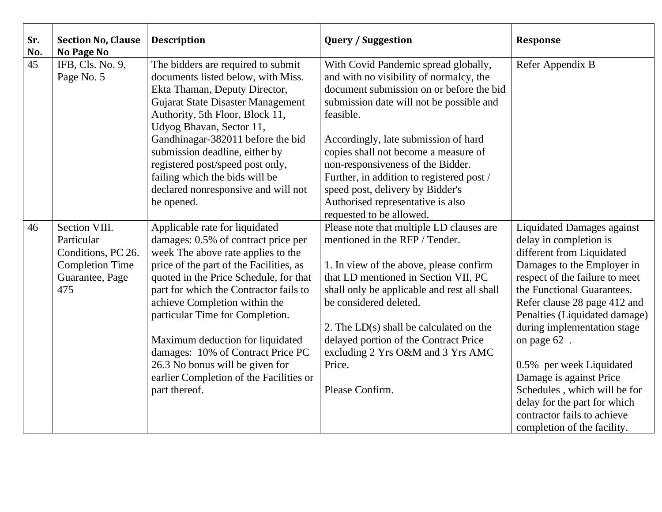| Sr.<br>No. | <b>Section No, Clause</b><br><b>No Page No</b>                                                        | <b>Description</b>                                                                                                                                                                                                                                                                                                                                                                                                                                                                     | <b>Query / Suggestion</b>                                                                                                                                                                                                                                                                                                                                                                                                                                   | <b>Response</b>                                                                                                                                                                                                                                                                                                                                                                                                                                                                            |
|------------|-------------------------------------------------------------------------------------------------------|----------------------------------------------------------------------------------------------------------------------------------------------------------------------------------------------------------------------------------------------------------------------------------------------------------------------------------------------------------------------------------------------------------------------------------------------------------------------------------------|-------------------------------------------------------------------------------------------------------------------------------------------------------------------------------------------------------------------------------------------------------------------------------------------------------------------------------------------------------------------------------------------------------------------------------------------------------------|--------------------------------------------------------------------------------------------------------------------------------------------------------------------------------------------------------------------------------------------------------------------------------------------------------------------------------------------------------------------------------------------------------------------------------------------------------------------------------------------|
| 45         | IFB, Cls. No. 9,<br>Page No. 5                                                                        | The bidders are required to submit<br>documents listed below, with Miss.<br>Ekta Thaman, Deputy Director,<br>Gujarat State Disaster Management<br>Authority, 5th Floor, Block 11,<br>Udyog Bhavan, Sector 11,<br>Gandhinagar-382011 before the bid<br>submission deadline, either by<br>registered post/speed post only,<br>failing which the bids will be<br>declared nonresponsive and will not<br>be opened.                                                                        | With Covid Pandemic spread globally,<br>and with no visibility of normalcy, the<br>document submission on or before the bid<br>submission date will not be possible and<br>feasible.<br>Accordingly, late submission of hard<br>copies shall not become a measure of<br>non-responsiveness of the Bidder.<br>Further, in addition to registered post /<br>speed post, delivery by Bidder's<br>Authorised representative is also<br>requested to be allowed. | Refer Appendix B                                                                                                                                                                                                                                                                                                                                                                                                                                                                           |
| 46         | Section VIII.<br>Particular<br>Conditions, PC 26.<br><b>Completion Time</b><br>Guarantee, Page<br>475 | Applicable rate for liquidated<br>damages: 0.5% of contract price per<br>week The above rate applies to the<br>price of the part of the Facilities, as<br>quoted in the Price Schedule, for that<br>part for which the Contractor fails to<br>achieve Completion within the<br>particular Time for Completion.<br>Maximum deduction for liquidated<br>damages: 10% of Contract Price PC<br>26.3 No bonus will be given for<br>earlier Completion of the Facilities or<br>part thereof. | Please note that multiple LD clauses are<br>mentioned in the RFP / Tender.<br>1. In view of the above, please confirm<br>that LD mentioned in Section VII, PC<br>shall only be applicable and rest all shall<br>be considered deleted.<br>2. The $LD(s)$ shall be calculated on the<br>delayed portion of the Contract Price<br>excluding 2 Yrs O&M and 3 Yrs AMC<br>Price.<br>Please Confirm.                                                              | <b>Liquidated Damages against</b><br>delay in completion is<br>different from Liquidated<br>Damages to the Employer in<br>respect of the failure to meet<br>the Functional Guarantees.<br>Refer clause 28 page 412 and<br>Penalties (Liquidated damage)<br>during implementation stage<br>on page 62.<br>0.5% per week Liquidated<br>Damage is against Price<br>Schedules, which will be for<br>delay for the part for which<br>contractor fails to achieve<br>completion of the facility. |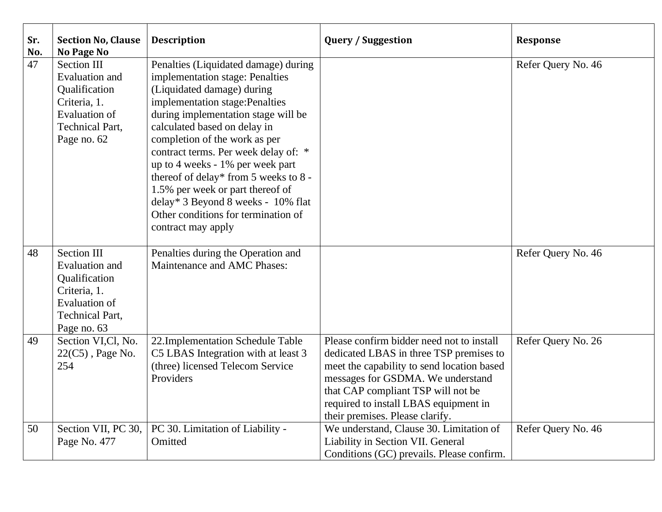| Sr.<br>No. | <b>Section No, Clause</b><br>No Page No                                                                                                       | <b>Description</b>                                                                                                                                                                                                                                                                                                                                                                                                                                                                                           | <b>Query / Suggestion</b>                                                                                                                                                                                                                                                                 | <b>Response</b>    |
|------------|-----------------------------------------------------------------------------------------------------------------------------------------------|--------------------------------------------------------------------------------------------------------------------------------------------------------------------------------------------------------------------------------------------------------------------------------------------------------------------------------------------------------------------------------------------------------------------------------------------------------------------------------------------------------------|-------------------------------------------------------------------------------------------------------------------------------------------------------------------------------------------------------------------------------------------------------------------------------------------|--------------------|
| 47         | <b>Section III</b><br><b>Evaluation</b> and<br>Qualification<br>Criteria, 1.<br><b>Evaluation of</b><br><b>Technical Part,</b><br>Page no. 62 | Penalties (Liquidated damage) during<br>implementation stage: Penalties<br>(Liquidated damage) during<br>implementation stage: Penalties<br>during implementation stage will be<br>calculated based on delay in<br>completion of the work as per<br>contract terms. Per week delay of: *<br>up to 4 weeks - 1% per week part<br>thereof of delay* from 5 weeks to 8 -<br>1.5% per week or part thereof of<br>delay* 3 Beyond 8 weeks - 10% flat<br>Other conditions for termination of<br>contract may apply |                                                                                                                                                                                                                                                                                           | Refer Query No. 46 |
| 48         | <b>Section III</b><br><b>Evaluation</b> and<br>Qualification<br>Criteria, 1.<br><b>Evaluation of</b><br><b>Technical Part,</b><br>Page no. 63 | Penalties during the Operation and<br>Maintenance and AMC Phases:                                                                                                                                                                                                                                                                                                                                                                                                                                            |                                                                                                                                                                                                                                                                                           | Refer Query No. 46 |
| 49         | Section VI,Cl, No.<br>$22(C5)$ , Page No.<br>254                                                                                              | 22. Implementation Schedule Table<br>C5 LBAS Integration with at least 3<br>(three) licensed Telecom Service<br>Providers                                                                                                                                                                                                                                                                                                                                                                                    | Please confirm bidder need not to install<br>dedicated LBAS in three TSP premises to<br>meet the capability to send location based<br>messages for GSDMA. We understand<br>that CAP compliant TSP will not be<br>required to install LBAS equipment in<br>their premises. Please clarify. | Refer Query No. 26 |
| 50         | Section VII, PC 30,<br>Page No. 477                                                                                                           | PC 30. Limitation of Liability -<br>Omitted                                                                                                                                                                                                                                                                                                                                                                                                                                                                  | We understand, Clause 30. Limitation of<br>Liability in Section VII. General<br>Conditions (GC) prevails. Please confirm.                                                                                                                                                                 | Refer Query No. 46 |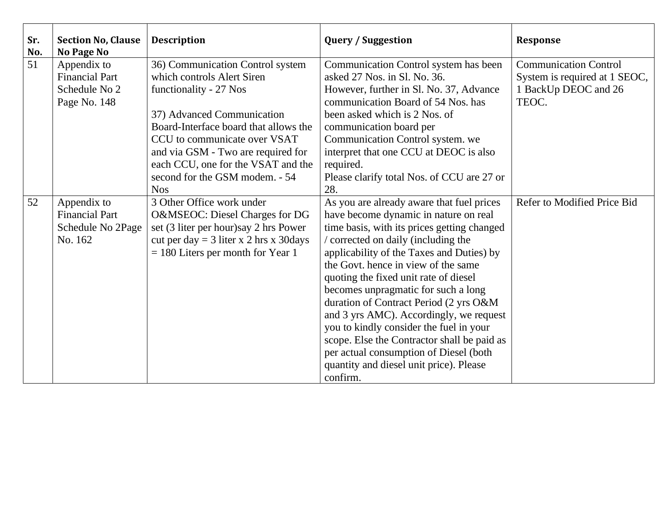| Sr.<br>No. | <b>Section No, Clause</b><br>No Page No | <b>Description</b>                        | <b>Query / Suggestion</b>                   | <b>Response</b>               |
|------------|-----------------------------------------|-------------------------------------------|---------------------------------------------|-------------------------------|
| 51         | Appendix to                             | 36) Communication Control system          | Communication Control system has been       | <b>Communication Control</b>  |
|            | <b>Financial Part</b>                   | which controls Alert Siren                | asked 27 Nos. in Sl. No. 36.                | System is required at 1 SEOC, |
|            | Schedule No 2                           | functionality - 27 Nos                    | However, further in Sl. No. 37, Advance     | 1 BackUp DEOC and 26          |
|            | Page No. 148                            |                                           | communication Board of 54 Nos. has          | TEOC.                         |
|            |                                         | 37) Advanced Communication                | been asked which is 2 Nos. of               |                               |
|            |                                         | Board-Interface board that allows the     | communication board per                     |                               |
|            |                                         | CCU to communicate over VSAT              | Communication Control system. we            |                               |
|            |                                         | and via GSM - Two are required for        | interpret that one CCU at DEOC is also      |                               |
|            |                                         | each CCU, one for the VSAT and the        | required.                                   |                               |
|            |                                         | second for the GSM modem. - 54            | Please clarify total Nos. of CCU are 27 or  |                               |
|            |                                         | <b>Nos</b>                                | 28.                                         |                               |
| 52         | Appendix to                             | 3 Other Office work under                 | As you are already aware that fuel prices   | Refer to Modified Price Bid   |
|            | <b>Financial Part</b>                   | O&MSEOC: Diesel Charges for DG            | have become dynamic in nature on real       |                               |
|            | Schedule No 2Page                       | set (3 liter per hour) say 2 hrs Power    | time basis, with its prices getting changed |                               |
|            | No. 162                                 | cut per day = $3$ liter x 2 hrs x 30 days | / corrected on daily (including the         |                               |
|            |                                         | $= 180$ Liters per month for Year 1       | applicability of the Taxes and Duties) by   |                               |
|            |                                         |                                           | the Govt. hence in view of the same         |                               |
|            |                                         |                                           | quoting the fixed unit rate of diesel       |                               |
|            |                                         |                                           | becomes unpragmatic for such a long         |                               |
|            |                                         |                                           | duration of Contract Period (2 yrs O&M      |                               |
|            |                                         |                                           | and 3 yrs AMC). Accordingly, we request     |                               |
|            |                                         |                                           | you to kindly consider the fuel in your     |                               |
|            |                                         |                                           | scope. Else the Contractor shall be paid as |                               |
|            |                                         |                                           | per actual consumption of Diesel (both      |                               |
|            |                                         |                                           | quantity and diesel unit price). Please     |                               |
|            |                                         |                                           | confirm.                                    |                               |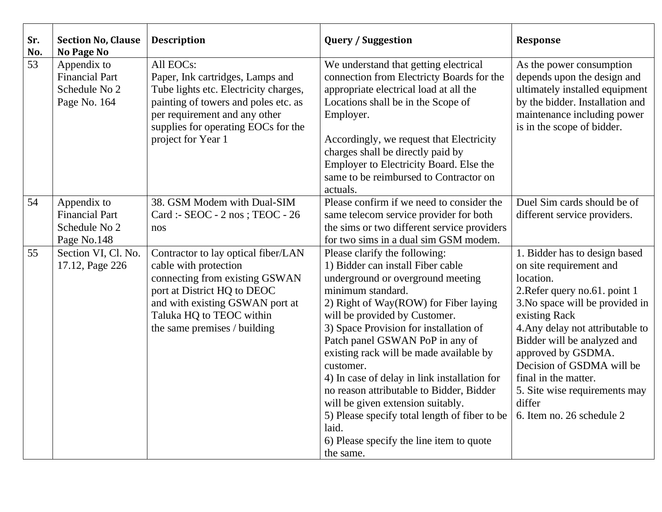| Sr.<br>No. | <b>Section No, Clause</b><br><b>No Page No</b>                        | <b>Description</b>                                                                                                                                                                                                           | <b>Query / Suggestion</b>                                                                                                                                                                                                                                                                                                                                                                                                                                                                                                                                                                       | <b>Response</b>                                                                                                                                                                                                                                                                                                                                                                   |
|------------|-----------------------------------------------------------------------|------------------------------------------------------------------------------------------------------------------------------------------------------------------------------------------------------------------------------|-------------------------------------------------------------------------------------------------------------------------------------------------------------------------------------------------------------------------------------------------------------------------------------------------------------------------------------------------------------------------------------------------------------------------------------------------------------------------------------------------------------------------------------------------------------------------------------------------|-----------------------------------------------------------------------------------------------------------------------------------------------------------------------------------------------------------------------------------------------------------------------------------------------------------------------------------------------------------------------------------|
| 53         | Appendix to<br><b>Financial Part</b><br>Schedule No 2<br>Page No. 164 | All EOCs:<br>Paper, Ink cartridges, Lamps and<br>Tube lights etc. Electricity charges,<br>painting of towers and poles etc. as<br>per requirement and any other<br>supplies for operating EOCs for the<br>project for Year 1 | We understand that getting electrical<br>connection from Electricty Boards for the<br>appropriate electrical load at all the<br>Locations shall be in the Scope of<br>Employer.<br>Accordingly, we request that Electricity<br>charges shall be directly paid by<br>Employer to Electricity Board. Else the<br>same to be reimbursed to Contractor on<br>actuals.                                                                                                                                                                                                                               | As the power consumption<br>depends upon the design and<br>ultimately installed equipment<br>by the bidder. Installation and<br>maintenance including power<br>is in the scope of bidder.                                                                                                                                                                                         |
| 54         | Appendix to<br><b>Financial Part</b><br>Schedule No 2<br>Page No.148  | 38. GSM Modem with Dual-SIM<br>Card :- SEOC - 2 nos ; TEOC - 26<br>nos                                                                                                                                                       | Please confirm if we need to consider the<br>same telecom service provider for both<br>the sims or two different service providers<br>for two sims in a dual sim GSM modem.                                                                                                                                                                                                                                                                                                                                                                                                                     | Duel Sim cards should be of<br>different service providers.                                                                                                                                                                                                                                                                                                                       |
| 55         | Section VI, Cl. No.<br>17.12, Page 226                                | Contractor to lay optical fiber/LAN<br>cable with protection<br>connecting from existing GSWAN<br>port at District HQ to DEOC<br>and with existing GSWAN port at<br>Taluka HQ to TEOC within<br>the same premises / building | Please clarify the following:<br>1) Bidder can install Fiber cable<br>underground or overground meeting<br>minimum standard.<br>2) Right of Way(ROW) for Fiber laying<br>will be provided by Customer.<br>3) Space Provision for installation of<br>Patch panel GSWAN PoP in any of<br>existing rack will be made available by<br>customer.<br>4) In case of delay in link installation for<br>no reason attributable to Bidder, Bidder<br>will be given extension suitably.<br>5) Please specify total length of fiber to be<br>laid.<br>6) Please specify the line item to quote<br>the same. | 1. Bidder has to design based<br>on site requirement and<br>location.<br>2. Refer query no. 61. point 1<br>3. No space will be provided in<br>existing Rack<br>4. Any delay not attributable to<br>Bidder will be analyzed and<br>approved by GSDMA.<br>Decision of GSDMA will be<br>final in the matter.<br>5. Site wise requirements may<br>differ<br>6. Item no. 26 schedule 2 |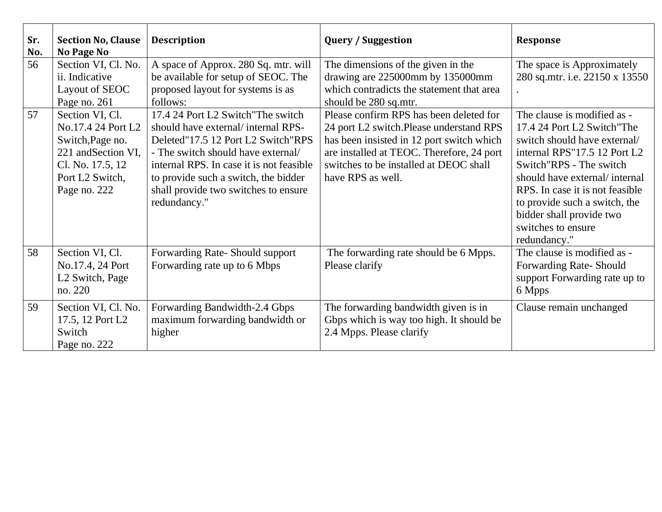| Sr.<br>No. | <b>Section No, Clause</b><br><b>No Page No</b>                                                                                                      | <b>Description</b>                                                                                                                                                                                                                                                                                | <b>Query / Suggestion</b>                                                                                                                                                                                                                   | <b>Response</b>                                                                                                                                                                                                                                                                                                              |
|------------|-----------------------------------------------------------------------------------------------------------------------------------------------------|---------------------------------------------------------------------------------------------------------------------------------------------------------------------------------------------------------------------------------------------------------------------------------------------------|---------------------------------------------------------------------------------------------------------------------------------------------------------------------------------------------------------------------------------------------|------------------------------------------------------------------------------------------------------------------------------------------------------------------------------------------------------------------------------------------------------------------------------------------------------------------------------|
| 56         | Section VI, Cl. No.<br>ii. Indicative<br>Layout of SEOC<br>Page no. 261                                                                             | A space of Approx. 280 Sq. mtr. will<br>be available for setup of SEOC. The<br>proposed layout for systems is as<br>follows:                                                                                                                                                                      | The dimensions of the given in the<br>drawing are 225000mm by 135000mm<br>which contradicts the statement that area<br>should be 280 sq.mtr.                                                                                                | The space is Approximately<br>280 sq.mtr. i.e. 22150 x 13550                                                                                                                                                                                                                                                                 |
| 57         | Section VI, Cl.<br>No.17.4 24 Port L2<br>Switch, Page no.<br>221 and Section VI,<br>Cl. No. 17.5, 12<br>Port L <sub>2</sub> Switch,<br>Page no. 222 | 17.4 24 Port L2 Switch "The switch"<br>should have external/internal RPS-<br>Deleted"17.5 12 Port L2 Switch"RPS<br>- The switch should have external/<br>internal RPS. In case it is not feasible<br>to provide such a switch, the bidder<br>shall provide two switches to ensure<br>redundancy." | Please confirm RPS has been deleted for<br>24 port L2 switch.Please understand RPS<br>has been insisted in 12 port switch which<br>are installed at TEOC. Therefore, 24 port<br>switches to be installed at DEOC shall<br>have RPS as well. | The clause is modified as -<br>17.4 24 Port L2 Switch "The<br>switch should have external/<br>internal RPS"17.5 12 Port L2<br>Switch"RPS - The switch<br>should have external/internal<br>RPS. In case it is not feasible<br>to provide such a switch, the<br>bidder shall provide two<br>switches to ensure<br>redundancy." |
| 58         | Section VI, Cl.<br>No.17.4, 24 Port<br>L <sub>2</sub> Switch, Page<br>no. 220                                                                       | Forwarding Rate-Should support<br>Forwarding rate up to 6 Mbps                                                                                                                                                                                                                                    | The forwarding rate should be 6 Mpps.<br>Please clarify                                                                                                                                                                                     | The clause is modified as -<br>Forwarding Rate-Should<br>support Forwarding rate up to<br>6 Mpps                                                                                                                                                                                                                             |
| 59         | Section VI, Cl. No.<br>17.5, 12 Port L2<br>Switch<br>Page no. 222                                                                                   | Forwarding Bandwidth-2.4 Gbps<br>maximum forwarding bandwidth or<br>higher                                                                                                                                                                                                                        | The forwarding bandwidth given is in<br>Gbps which is way too high. It should be<br>2.4 Mpps. Please clarify                                                                                                                                | Clause remain unchanged                                                                                                                                                                                                                                                                                                      |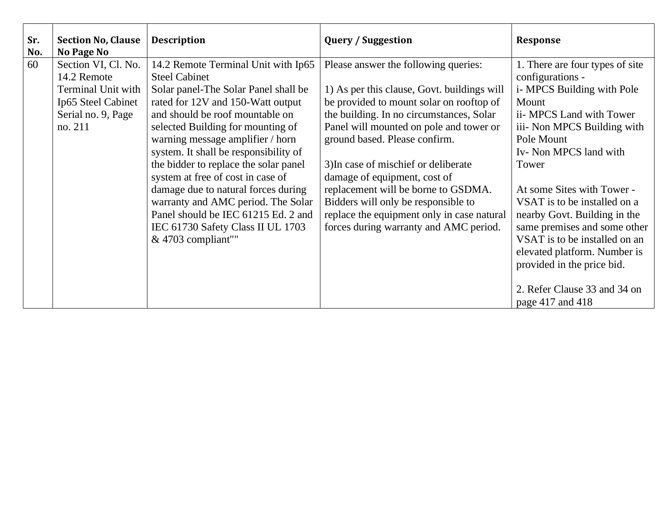| Sr.<br>No. | <b>Section No, Clause</b><br>No Page No | <b>Description</b>                                                                             | <b>Query / Suggestion</b>                                                            | Response                                                                                                                                                    |
|------------|-----------------------------------------|------------------------------------------------------------------------------------------------|--------------------------------------------------------------------------------------|-------------------------------------------------------------------------------------------------------------------------------------------------------------|
| 60         | Section VI, Cl. No.                     | 14.2 Remote Terminal Unit with Ip65                                                            | Please answer the following queries:                                                 | 1. There are four types of site                                                                                                                             |
|            | 14.2 Remote                             | <b>Steel Cabinet</b>                                                                           |                                                                                      | configurations -                                                                                                                                            |
|            | Terminal Unit with                      | Solar panel-The Solar Panel shall be                                                           | 1) As per this clause, Govt. buildings will                                          | i- MPCS Building with Pole                                                                                                                                  |
|            | Ip65 Steel Cabinet                      | rated for 12V and 150-Watt output                                                              | be provided to mount solar on rooftop of                                             | Mount                                                                                                                                                       |
|            | Serial no. 9, Page                      | and should be roof mountable on                                                                | the building. In no circumstances, Solar                                             | ii- MPCS Land with Tower                                                                                                                                    |
|            | no. 211                                 | selected Building for mounting of                                                              | Panel will mounted on pole and tower or                                              | iii- Non MPCS Building with                                                                                                                                 |
|            |                                         | warning message amplifier / horn                                                               | ground based. Please confirm.                                                        | Pole Mount                                                                                                                                                  |
|            |                                         | system. It shall be responsibility of                                                          |                                                                                      | Iv- Non MPCS land with                                                                                                                                      |
|            |                                         | the bidder to replace the solar panel                                                          | 3) In case of mischief or deliberate                                                 | Tower                                                                                                                                                       |
|            |                                         | system at free of cost in case of                                                              | damage of equipment, cost of                                                         |                                                                                                                                                             |
|            |                                         | damage due to natural forces during                                                            | replacement will be borne to GSDMA.                                                  | At some Sites with Tower -                                                                                                                                  |
|            |                                         | warranty and AMC period. The Solar                                                             | Bidders will only be responsible to                                                  | VSAT is to be installed on a                                                                                                                                |
|            |                                         | Panel should be IEC 61215 Ed. 2 and<br>IEC 61730 Safety Class II UL 1703<br>& 4703 compliant"" | replace the equipment only in case natural<br>forces during warranty and AMC period. | nearby Govt. Building in the<br>same premises and some other<br>VSAT is to be installed on an<br>elevated platform. Number is<br>provided in the price bid. |
|            |                                         |                                                                                                |                                                                                      | 2. Refer Clause 33 and 34 on<br>page 417 and 418                                                                                                            |
|            |                                         |                                                                                                |                                                                                      |                                                                                                                                                             |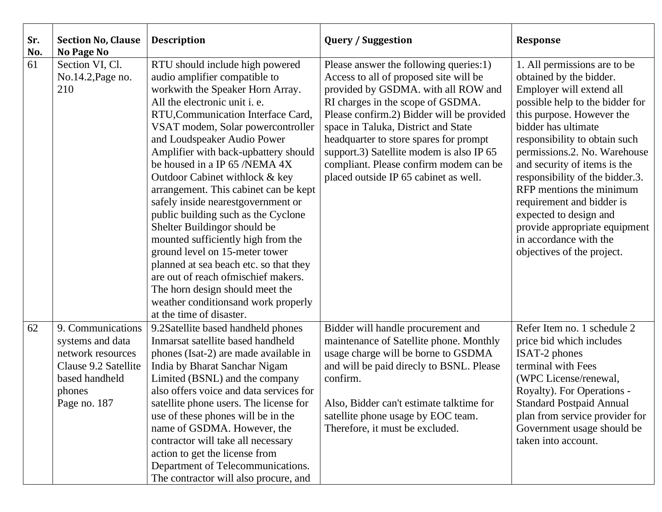| Sr.<br>No. | <b>Section No, Clause</b><br>No Page No                                                                                        | <b>Description</b>                                                                                                                                                                                                                                                                                                                                                                                                                                                                                                                                                                                                                                                                                                                                                                 | <b>Query / Suggestion</b>                                                                                                                                                                                                                                                                                                                                                                                                 | <b>Response</b>                                                                                                                                                                                                                                                                                                                                                                                                                                                                            |
|------------|--------------------------------------------------------------------------------------------------------------------------------|------------------------------------------------------------------------------------------------------------------------------------------------------------------------------------------------------------------------------------------------------------------------------------------------------------------------------------------------------------------------------------------------------------------------------------------------------------------------------------------------------------------------------------------------------------------------------------------------------------------------------------------------------------------------------------------------------------------------------------------------------------------------------------|---------------------------------------------------------------------------------------------------------------------------------------------------------------------------------------------------------------------------------------------------------------------------------------------------------------------------------------------------------------------------------------------------------------------------|--------------------------------------------------------------------------------------------------------------------------------------------------------------------------------------------------------------------------------------------------------------------------------------------------------------------------------------------------------------------------------------------------------------------------------------------------------------------------------------------|
| 61         | Section VI, Cl.<br>No.14.2, Page no.<br>210                                                                                    | RTU should include high powered<br>audio amplifier compatible to<br>workwith the Speaker Horn Array.<br>All the electronic unit i. e.<br>RTU, Communication Interface Card,<br>VSAT modem, Solar powercontroller<br>and Loudspeaker Audio Power<br>Amplifier with back-upbattery should<br>be housed in a IP 65 /NEMA 4X<br>Outdoor Cabinet with lock & key<br>arrangement. This cabinet can be kept<br>safely inside nearestgovernment or<br>public building such as the Cyclone<br>Shelter Buildingor should be<br>mounted sufficiently high from the<br>ground level on 15-meter tower<br>planned at sea beach etc. so that they<br>are out of reach of mischief makers.<br>The horn design should meet the<br>weather conditions and work properly<br>at the time of disaster. | Please answer the following queries:1)<br>Access to all of proposed site will be<br>provided by GSDMA. with all ROW and<br>RI charges in the scope of GSDMA.<br>Please confirm.2) Bidder will be provided<br>space in Taluka, District and State<br>headquarter to store spares for prompt<br>support.3) Satellite modem is also IP 65<br>compliant. Please confirm modem can be<br>placed outside IP 65 cabinet as well. | 1. All permissions are to be<br>obtained by the bidder.<br>Employer will extend all<br>possible help to the bidder for<br>this purpose. However the<br>bidder has ultimate<br>responsibility to obtain such<br>permissions.2. No. Warehouse<br>and security of items is the<br>responsibility of the bidder.3.<br>RFP mentions the minimum<br>requirement and bidder is<br>expected to design and<br>provide appropriate equipment<br>in accordance with the<br>objectives of the project. |
| 62         | 9. Communications<br>systems and data<br>network resources<br>Clause 9.2 Satellite<br>based handheld<br>phones<br>Page no. 187 | 9.2Satellite based handheld phones<br>Inmarsat satellite based handheld<br>phones (Isat-2) are made available in<br>India by Bharat Sanchar Nigam<br>Limited (BSNL) and the company<br>also offers voice and data services for<br>satellite phone users. The license for<br>use of these phones will be in the<br>name of GSDMA. However, the<br>contractor will take all necessary<br>action to get the license from<br>Department of Telecommunications.<br>The contractor will also procure, and                                                                                                                                                                                                                                                                                | Bidder will handle procurement and<br>maintenance of Satellite phone. Monthly<br>usage charge will be borne to GSDMA<br>and will be paid directy to BSNL. Please<br>confirm.<br>Also, Bidder can't estimate talktime for<br>satellite phone usage by EOC team.<br>Therefore, it must be excluded.                                                                                                                         | Refer Item no. 1 schedule 2<br>price bid which includes<br><b>ISAT-2</b> phones<br>terminal with Fees<br>(WPC License/renewal,<br>Royalty). For Operations -<br><b>Standard Postpaid Annual</b><br>plan from service provider for<br>Government usage should be<br>taken into account.                                                                                                                                                                                                     |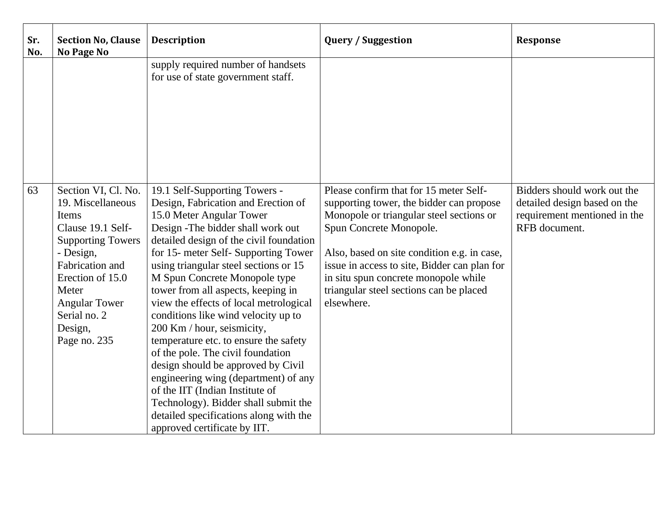| Sr.<br>No. | <b>Section No, Clause</b><br>No Page No                                                                                                                                                                                            | <b>Description</b>                                                                                                                                                                                                                                                                                                                                                                                                                                                                                                                                                                                                                                                                                                                                                        | <b>Query / Suggestion</b>                                                                                                                                                                                                                                                                                                                                 | <b>Response</b>                                                                                              |
|------------|------------------------------------------------------------------------------------------------------------------------------------------------------------------------------------------------------------------------------------|---------------------------------------------------------------------------------------------------------------------------------------------------------------------------------------------------------------------------------------------------------------------------------------------------------------------------------------------------------------------------------------------------------------------------------------------------------------------------------------------------------------------------------------------------------------------------------------------------------------------------------------------------------------------------------------------------------------------------------------------------------------------------|-----------------------------------------------------------------------------------------------------------------------------------------------------------------------------------------------------------------------------------------------------------------------------------------------------------------------------------------------------------|--------------------------------------------------------------------------------------------------------------|
|            |                                                                                                                                                                                                                                    | supply required number of handsets<br>for use of state government staff.                                                                                                                                                                                                                                                                                                                                                                                                                                                                                                                                                                                                                                                                                                  |                                                                                                                                                                                                                                                                                                                                                           |                                                                                                              |
| 63         | Section VI, Cl. No.<br>19. Miscellaneous<br>Items<br>Clause 19.1 Self-<br><b>Supporting Towers</b><br>- Design,<br>Fabrication and<br>Erection of 15.0<br>Meter<br><b>Angular Tower</b><br>Serial no. 2<br>Design,<br>Page no. 235 | 19.1 Self-Supporting Towers -<br>Design, Fabrication and Erection of<br>15.0 Meter Angular Tower<br>Design - The bidder shall work out<br>detailed design of the civil foundation<br>for 15- meter Self- Supporting Tower<br>using triangular steel sections or 15<br>M Spun Concrete Monopole type<br>tower from all aspects, keeping in<br>view the effects of local metrological<br>conditions like wind velocity up to<br>200 Km / hour, seismicity,<br>temperature etc. to ensure the safety<br>of the pole. The civil foundation<br>design should be approved by Civil<br>engineering wing (department) of any<br>of the IIT (Indian Institute of<br>Technology). Bidder shall submit the<br>detailed specifications along with the<br>approved certificate by IIT. | Please confirm that for 15 meter Self-<br>supporting tower, the bidder can propose<br>Monopole or triangular steel sections or<br>Spun Concrete Monopole.<br>Also, based on site condition e.g. in case,<br>issue in access to site, Bidder can plan for<br>in situ spun concrete monopole while<br>triangular steel sections can be placed<br>elsewhere. | Bidders should work out the<br>detailed design based on the<br>requirement mentioned in the<br>RFB document. |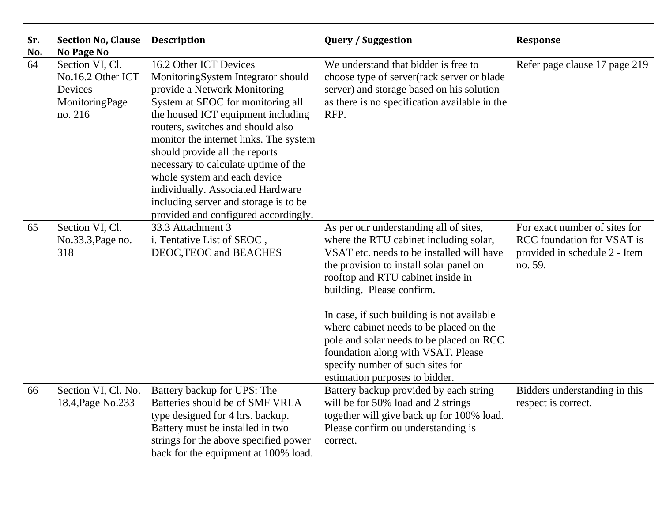| Sr.<br>No. | <b>Section No, Clause</b><br>No Page No                                      | <b>Description</b>                                                                                                                                                                                                                                                                                                                                                                                                                                                                     | <b>Query / Suggestion</b>                                                                                                                                                                                                                                                                                                                                                                                                                                                                   | <b>Response</b>                                                                                                |
|------------|------------------------------------------------------------------------------|----------------------------------------------------------------------------------------------------------------------------------------------------------------------------------------------------------------------------------------------------------------------------------------------------------------------------------------------------------------------------------------------------------------------------------------------------------------------------------------|---------------------------------------------------------------------------------------------------------------------------------------------------------------------------------------------------------------------------------------------------------------------------------------------------------------------------------------------------------------------------------------------------------------------------------------------------------------------------------------------|----------------------------------------------------------------------------------------------------------------|
| 64         | Section VI, Cl.<br>No.16.2 Other ICT<br>Devices<br>MonitoringPage<br>no. 216 | 16.2 Other ICT Devices<br>MonitoringSystem Integrator should<br>provide a Network Monitoring<br>System at SEOC for monitoring all<br>the housed ICT equipment including<br>routers, switches and should also<br>monitor the internet links. The system<br>should provide all the reports<br>necessary to calculate uptime of the<br>whole system and each device<br>individually. Associated Hardware<br>including server and storage is to be<br>provided and configured accordingly. | We understand that bidder is free to<br>choose type of server(rack server or blade<br>server) and storage based on his solution<br>as there is no specification available in the<br>RFP.                                                                                                                                                                                                                                                                                                    | Refer page clause 17 page 219                                                                                  |
| 65         | Section VI, Cl.<br>No.33.3, Page no.<br>318                                  | 33.3 Attachment 3<br>i. Tentative List of SEOC,<br>DEOC, TEOC and BEACHES                                                                                                                                                                                                                                                                                                                                                                                                              | As per our understanding all of sites,<br>where the RTU cabinet including solar,<br>VSAT etc. needs to be installed will have<br>the provision to install solar panel on<br>rooftop and RTU cabinet inside in<br>building. Please confirm.<br>In case, if such building is not available<br>where cabinet needs to be placed on the<br>pole and solar needs to be placed on RCC<br>foundation along with VSAT. Please<br>specify number of such sites for<br>estimation purposes to bidder. | For exact number of sites for<br><b>RCC</b> foundation for VSAT is<br>provided in schedule 2 - Item<br>no. 59. |
| 66         | Section VI, Cl. No.<br>18.4, Page No.233                                     | Battery backup for UPS: The<br>Batteries should be of SMF VRLA<br>type designed for 4 hrs. backup.<br>Battery must be installed in two<br>strings for the above specified power<br>back for the equipment at 100% load.                                                                                                                                                                                                                                                                | Battery backup provided by each string<br>will be for 50% load and 2 strings<br>together will give back up for 100% load.<br>Please confirm ou understanding is<br>correct.                                                                                                                                                                                                                                                                                                                 | Bidders understanding in this<br>respect is correct.                                                           |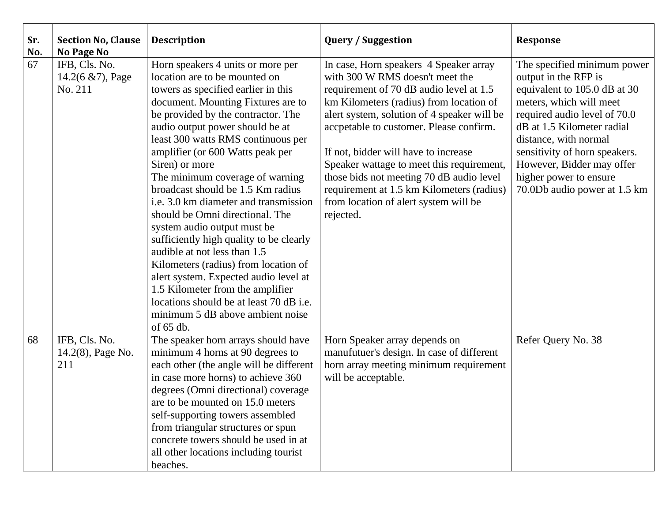| Sr.<br>No. | <b>Section No, Clause</b><br><b>No Page No</b>    | <b>Description</b>                                                                                                                                                                                                                                                                                                                                                                                                                                                                                                                                                                                                                                                                                                                                                                                    | <b>Query / Suggestion</b>                                                                                                                                                                                                                                                                                                                                                                                                                                                                     | <b>Response</b>                                                                                                                                                                                                                                                                                                               |
|------------|---------------------------------------------------|-------------------------------------------------------------------------------------------------------------------------------------------------------------------------------------------------------------------------------------------------------------------------------------------------------------------------------------------------------------------------------------------------------------------------------------------------------------------------------------------------------------------------------------------------------------------------------------------------------------------------------------------------------------------------------------------------------------------------------------------------------------------------------------------------------|-----------------------------------------------------------------------------------------------------------------------------------------------------------------------------------------------------------------------------------------------------------------------------------------------------------------------------------------------------------------------------------------------------------------------------------------------------------------------------------------------|-------------------------------------------------------------------------------------------------------------------------------------------------------------------------------------------------------------------------------------------------------------------------------------------------------------------------------|
| 67         | IFB, Cls. No.<br>$14.2(6 \& 7)$ , Page<br>No. 211 | Horn speakers 4 units or more per<br>location are to be mounted on<br>towers as specified earlier in this<br>document. Mounting Fixtures are to<br>be provided by the contractor. The<br>audio output power should be at<br>least 300 watts RMS continuous per<br>amplifier (or 600 Watts peak per<br>Siren) or more<br>The minimum coverage of warning<br>broadcast should be 1.5 Km radius<br>i.e. 3.0 km diameter and transmission<br>should be Omni directional. The<br>system audio output must be<br>sufficiently high quality to be clearly<br>audible at not less than 1.5<br>Kilometers (radius) from location of<br>alert system. Expected audio level at<br>1.5 Kilometer from the amplifier<br>locations should be at least 70 dB i.e.<br>minimum 5 dB above ambient noise<br>of $65$ db. | In case, Horn speakers 4 Speaker array<br>with 300 W RMS doesn't meet the<br>requirement of 70 dB audio level at 1.5<br>km Kilometers (radius) from location of<br>alert system, solution of 4 speaker will be<br>accpetable to customer. Please confirm.<br>If not, bidder will have to increase<br>Speaker wattage to meet this requirement,<br>those bids not meeting 70 dB audio level<br>requirement at 1.5 km Kilometers (radius)<br>from location of alert system will be<br>rejected. | The specified minimum power<br>output in the RFP is<br>equivalent to 105.0 dB at 30<br>meters, which will meet<br>required audio level of 70.0<br>dB at 1.5 Kilometer radial<br>distance, with normal<br>sensitivity of horn speakers.<br>However, Bidder may offer<br>higher power to ensure<br>70.0Db audio power at 1.5 km |
| 68         | IFB, Cls. No.<br>14.2(8), Page No.<br>211         | The speaker horn arrays should have<br>minimum 4 horns at 90 degrees to<br>each other (the angle will be different<br>in case more horns) to achieve 360<br>degrees (Omni directional) coverage<br>are to be mounted on 15.0 meters<br>self-supporting towers assembled<br>from triangular structures or spun<br>concrete towers should be used in at<br>all other locations including tourist<br>beaches.                                                                                                                                                                                                                                                                                                                                                                                            | Horn Speaker array depends on<br>manufutuer's design. In case of different<br>horn array meeting minimum requirement<br>will be acceptable.                                                                                                                                                                                                                                                                                                                                                   | Refer Query No. 38                                                                                                                                                                                                                                                                                                            |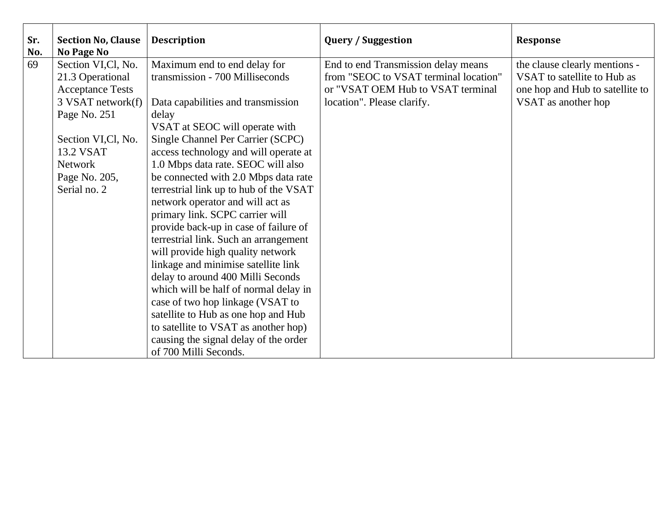| Sr.<br>No. | <b>Section No, Clause</b><br>No Page No | <b>Description</b>                     | <b>Query / Suggestion</b>             | <b>Response</b>                 |
|------------|-----------------------------------------|----------------------------------------|---------------------------------------|---------------------------------|
| 69         | Section VI, Cl, No.                     | Maximum end to end delay for           | End to end Transmission delay means   | the clause clearly mentions -   |
|            | 21.3 Operational                        | transmission - 700 Milliseconds        | from "SEOC to VSAT terminal location" | VSAT to satellite to Hub as     |
|            | <b>Acceptance Tests</b>                 |                                        | or "VSAT OEM Hub to VSAT terminal     | one hop and Hub to satellite to |
|            | 3 VSAT network(f)                       | Data capabilities and transmission     | location". Please clarify.            | VSAT as another hop             |
|            | Page No. 251                            | delay                                  |                                       |                                 |
|            |                                         | VSAT at SEOC will operate with         |                                       |                                 |
|            | Section VI, Cl, No.                     | Single Channel Per Carrier (SCPC)      |                                       |                                 |
|            | 13.2 VSAT                               | access technology and will operate at  |                                       |                                 |
|            | <b>Network</b>                          | 1.0 Mbps data rate. SEOC will also     |                                       |                                 |
|            | Page No. 205,                           | be connected with 2.0 Mbps data rate   |                                       |                                 |
|            | Serial no. 2                            | terrestrial link up to hub of the VSAT |                                       |                                 |
|            |                                         | network operator and will act as       |                                       |                                 |
|            |                                         | primary link. SCPC carrier will        |                                       |                                 |
|            |                                         | provide back-up in case of failure of  |                                       |                                 |
|            |                                         | terrestrial link. Such an arrangement  |                                       |                                 |
|            |                                         | will provide high quality network      |                                       |                                 |
|            |                                         | linkage and minimise satellite link    |                                       |                                 |
|            |                                         | delay to around 400 Milli Seconds      |                                       |                                 |
|            |                                         | which will be half of normal delay in  |                                       |                                 |
|            |                                         | case of two hop linkage (VSAT to       |                                       |                                 |
|            |                                         | satellite to Hub as one hop and Hub    |                                       |                                 |
|            |                                         | to satellite to VSAT as another hop)   |                                       |                                 |
|            |                                         | causing the signal delay of the order  |                                       |                                 |
|            |                                         | of 700 Milli Seconds.                  |                                       |                                 |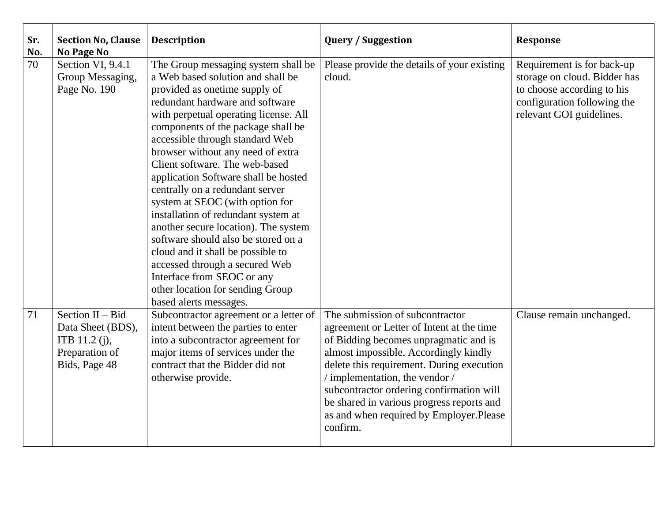| Sr.<br>No. | <b>Section No, Clause</b><br><b>No Page No</b>                                              | <b>Description</b>                                                                                                                                                                                                                                                                                                                                                                                                                                                                                                                                                                                                                                                                                                                            | <b>Query / Suggestion</b>                                                                                                                                                                                                                                                                                                                                                                     | <b>Response</b>                                                                                                                                     |
|------------|---------------------------------------------------------------------------------------------|-----------------------------------------------------------------------------------------------------------------------------------------------------------------------------------------------------------------------------------------------------------------------------------------------------------------------------------------------------------------------------------------------------------------------------------------------------------------------------------------------------------------------------------------------------------------------------------------------------------------------------------------------------------------------------------------------------------------------------------------------|-----------------------------------------------------------------------------------------------------------------------------------------------------------------------------------------------------------------------------------------------------------------------------------------------------------------------------------------------------------------------------------------------|-----------------------------------------------------------------------------------------------------------------------------------------------------|
| 70         | Section VI, 9.4.1<br>Group Messaging,<br>Page No. 190                                       | The Group messaging system shall be<br>a Web based solution and shall be<br>provided as one time supply of<br>redundant hardware and software<br>with perpetual operating license. All<br>components of the package shall be<br>accessible through standard Web<br>browser without any need of extra<br>Client software. The web-based<br>application Software shall be hosted<br>centrally on a redundant server<br>system at SEOC (with option for<br>installation of redundant system at<br>another secure location). The system<br>software should also be stored on a<br>cloud and it shall be possible to<br>accessed through a secured Web<br>Interface from SEOC or any<br>other location for sending Group<br>based alerts messages. | Please provide the details of your existing<br>cloud.                                                                                                                                                                                                                                                                                                                                         | Requirement is for back-up<br>storage on cloud. Bidder has<br>to choose according to his<br>configuration following the<br>relevant GOI guidelines. |
| 71         | Section $II - Bid$<br>Data Sheet (BDS),<br>ITB 11.2 (j),<br>Preparation of<br>Bids, Page 48 | Subcontractor agreement or a letter of<br>intent between the parties to enter<br>into a subcontractor agreement for<br>major items of services under the<br>contract that the Bidder did not<br>otherwise provide.                                                                                                                                                                                                                                                                                                                                                                                                                                                                                                                            | The submission of subcontractor<br>agreement or Letter of Intent at the time<br>of Bidding becomes unpragmatic and is<br>almost impossible. Accordingly kindly<br>delete this requirement. During execution<br>/ implementation, the vendor /<br>subcontractor ordering confirmation will<br>be shared in various progress reports and<br>as and when required by Employer.Please<br>confirm. | Clause remain unchanged.                                                                                                                            |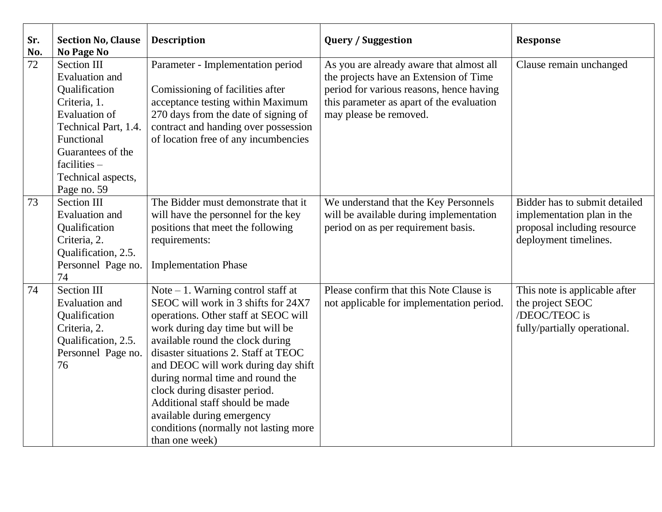| Sr.<br>No. | <b>Section No, Clause</b><br><b>No Page No</b>                                                                                                                                                                  | <b>Description</b>                                                                                                                                                                                                                                                                                                                                                                                                                                                          | <b>Query / Suggestion</b>                                                                                                                                                                             | <b>Response</b>                                                                                                     |
|------------|-----------------------------------------------------------------------------------------------------------------------------------------------------------------------------------------------------------------|-----------------------------------------------------------------------------------------------------------------------------------------------------------------------------------------------------------------------------------------------------------------------------------------------------------------------------------------------------------------------------------------------------------------------------------------------------------------------------|-------------------------------------------------------------------------------------------------------------------------------------------------------------------------------------------------------|---------------------------------------------------------------------------------------------------------------------|
| 72         | <b>Section III</b><br>Evaluation and<br>Qualification<br>Criteria, 1.<br><b>Evaluation of</b><br>Technical Part, 1.4.<br>Functional<br>Guarantees of the<br>$facilities -$<br>Technical aspects,<br>Page no. 59 | Parameter - Implementation period<br>Comissioning of facilities after<br>acceptance testing within Maximum<br>270 days from the date of signing of<br>contract and handing over possession<br>of location free of any incumbencies                                                                                                                                                                                                                                          | As you are already aware that almost all<br>the projects have an Extension of Time<br>period for various reasons, hence having<br>this parameter as apart of the evaluation<br>may please be removed. | Clause remain unchanged                                                                                             |
| 73         | <b>Section III</b><br>Evaluation and<br>Qualification<br>Criteria, 2.<br>Qualification, 2.5.<br>Personnel Page no.<br>74                                                                                        | The Bidder must demonstrate that it<br>will have the personnel for the key<br>positions that meet the following<br>requirements:<br><b>Implementation Phase</b>                                                                                                                                                                                                                                                                                                             | We understand that the Key Personnels<br>will be available during implementation<br>period on as per requirement basis.                                                                               | Bidder has to submit detailed<br>implementation plan in the<br>proposal including resource<br>deployment timelines. |
| 74         | <b>Section III</b><br>Evaluation and<br>Qualification<br>Criteria, 2.<br>Qualification, 2.5.<br>Personnel Page no.<br>76                                                                                        | Note $-1$ . Warning control staff at<br>SEOC will work in 3 shifts for 24X7<br>operations. Other staff at SEOC will<br>work during day time but will be<br>available round the clock during<br>disaster situations 2. Staff at TEOC<br>and DEOC will work during day shift<br>during normal time and round the<br>clock during disaster period.<br>Additional staff should be made<br>available during emergency<br>conditions (normally not lasting more<br>than one week) | Please confirm that this Note Clause is<br>not applicable for implementation period.                                                                                                                  | This note is applicable after<br>the project SEOC<br>/DEOC/TEOC is<br>fully/partially operational.                  |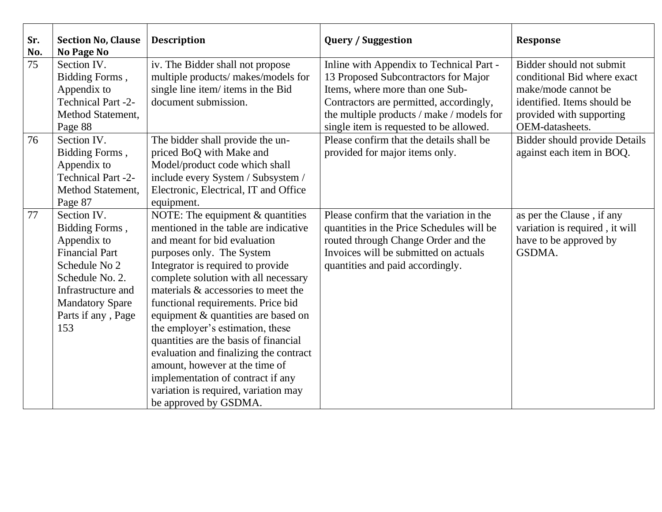| Sr.<br>No. | <b>Section No, Clause</b><br>No Page No                                                                                                                                                | <b>Description</b>                                                                                                                                                                                                                                                                                                                                                                                                                                                                                                                                                                                     | <b>Query / Suggestion</b>                                                                                                                                                                                                                              | Response                                                                                                                                                     |
|------------|----------------------------------------------------------------------------------------------------------------------------------------------------------------------------------------|--------------------------------------------------------------------------------------------------------------------------------------------------------------------------------------------------------------------------------------------------------------------------------------------------------------------------------------------------------------------------------------------------------------------------------------------------------------------------------------------------------------------------------------------------------------------------------------------------------|--------------------------------------------------------------------------------------------------------------------------------------------------------------------------------------------------------------------------------------------------------|--------------------------------------------------------------------------------------------------------------------------------------------------------------|
| 75         | Section IV.<br>Bidding Forms,<br>Appendix to<br><b>Technical Part -2-</b><br>Method Statement,<br>Page 88                                                                              | iv. The Bidder shall not propose<br>multiple products/ makes/models for<br>single line item/ items in the Bid<br>document submission.                                                                                                                                                                                                                                                                                                                                                                                                                                                                  | Inline with Appendix to Technical Part -<br>13 Proposed Subcontractors for Major<br>Items, where more than one Sub-<br>Contractors are permitted, accordingly,<br>the multiple products / make / models for<br>single item is requested to be allowed. | Bidder should not submit<br>conditional Bid where exact<br>make/mode cannot be<br>identified. Items should be<br>provided with supporting<br>OEM-datasheets. |
| 76         | Section IV.<br>Bidding Forms,<br>Appendix to<br><b>Technical Part -2-</b><br><b>Method Statement,</b><br>Page 87                                                                       | The bidder shall provide the un-<br>priced BoQ with Make and<br>Model/product code which shall<br>include every System / Subsystem /<br>Electronic, Electrical, IT and Office<br>equipment.                                                                                                                                                                                                                                                                                                                                                                                                            | Please confirm that the details shall be<br>provided for major items only.                                                                                                                                                                             | <b>Bidder should provide Details</b><br>against each item in BOQ.                                                                                            |
| 77         | Section IV.<br>Bidding Forms,<br>Appendix to<br><b>Financial Part</b><br>Schedule No 2<br>Schedule No. 2.<br>Infrastructure and<br><b>Mandatory Spare</b><br>Parts if any, Page<br>153 | NOTE: The equipment & quantities<br>mentioned in the table are indicative<br>and meant for bid evaluation<br>purposes only. The System<br>Integrator is required to provide<br>complete solution with all necessary<br>materials & accessories to meet the<br>functional requirements. Price bid<br>equipment & quantities are based on<br>the employer's estimation, these<br>quantities are the basis of financial<br>evaluation and finalizing the contract<br>amount, however at the time of<br>implementation of contract if any<br>variation is required, variation may<br>be approved by GSDMA. | Please confirm that the variation in the<br>quantities in the Price Schedules will be<br>routed through Change Order and the<br>Invoices will be submitted on actuals<br>quantities and paid accordingly.                                              | as per the Clause, if any<br>variation is required, it will<br>have to be approved by<br>GSDMA.                                                              |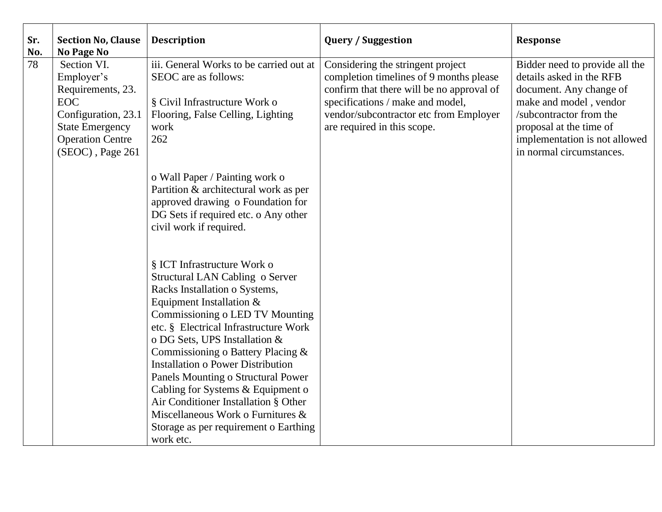| Sr.<br>No. | <b>Section No, Clause</b><br><b>No Page No</b>                                                                                                               | <b>Description</b>                                                                                                                                                                                                                                                                                                                                              | <b>Query / Suggestion</b>                                                                                                                                                                                                              | <b>Response</b>                                                                                                                                                                                                                    |
|------------|--------------------------------------------------------------------------------------------------------------------------------------------------------------|-----------------------------------------------------------------------------------------------------------------------------------------------------------------------------------------------------------------------------------------------------------------------------------------------------------------------------------------------------------------|----------------------------------------------------------------------------------------------------------------------------------------------------------------------------------------------------------------------------------------|------------------------------------------------------------------------------------------------------------------------------------------------------------------------------------------------------------------------------------|
| 78         | Section VI.<br>Employer's<br>Requirements, 23.<br><b>EOC</b><br>Configuration, 23.1<br><b>State Emergency</b><br><b>Operation Centre</b><br>(SEOC), Page 261 | iii. General Works to be carried out at<br>SEOC are as follows:<br>§ Civil Infrastructure Work o<br>Flooring, False Celling, Lighting<br>work<br>262                                                                                                                                                                                                            | Considering the stringent project<br>completion timelines of 9 months please<br>confirm that there will be no approval of<br>specifications / make and model,<br>vendor/subcontractor etc from Employer<br>are required in this scope. | Bidder need to provide all the<br>details asked in the RFB<br>document. Any change of<br>make and model, vendor<br>/subcontractor from the<br>proposal at the time of<br>implementation is not allowed<br>in normal circumstances. |
|            |                                                                                                                                                              | o Wall Paper / Painting work o<br>Partition & architectural work as per<br>approved drawing o Foundation for<br>DG Sets if required etc. o Any other<br>civil work if required.                                                                                                                                                                                 |                                                                                                                                                                                                                                        |                                                                                                                                                                                                                                    |
|            |                                                                                                                                                              | § ICT Infrastructure Work o<br>Structural LAN Cabling o Server<br>Racks Installation o Systems,<br>Equipment Installation &<br>Commissioning o LED TV Mounting<br>etc. § Electrical Infrastructure Work<br>o DG Sets, UPS Installation &<br>Commissioning o Battery Placing &<br><b>Installation o Power Distribution</b><br>Panels Mounting o Structural Power |                                                                                                                                                                                                                                        |                                                                                                                                                                                                                                    |
|            |                                                                                                                                                              | Cabling for Systems & Equipment o<br>Air Conditioner Installation § Other<br>Miscellaneous Work o Furnitures &<br>Storage as per requirement o Earthing<br>work etc.                                                                                                                                                                                            |                                                                                                                                                                                                                                        |                                                                                                                                                                                                                                    |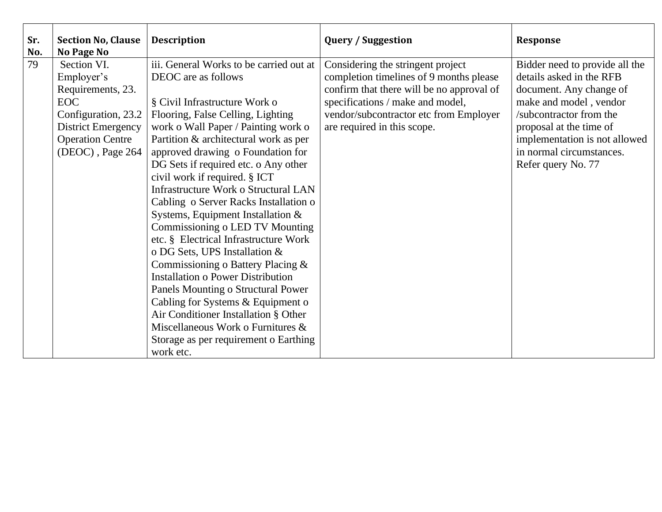| Sr.<br>No. | <b>Section No, Clause</b><br>No Page No | <b>Description</b>                          | <b>Query / Suggestion</b>                 | <b>Response</b>                |
|------------|-----------------------------------------|---------------------------------------------|-------------------------------------------|--------------------------------|
| 79         | Section VI.                             | iii. General Works to be carried out at     | Considering the stringent project         | Bidder need to provide all the |
|            | Employer's                              | DEOC are as follows                         | completion timelines of 9 months please   | details asked in the RFB       |
|            | Requirements, 23.                       |                                             | confirm that there will be no approval of | document. Any change of        |
|            | <b>EOC</b>                              | § Civil Infrastructure Work o               | specifications / make and model,          | make and model, vendor         |
|            | Configuration, 23.2                     | Flooring, False Celling, Lighting           | vendor/subcontractor etc from Employer    | /subcontractor from the        |
|            | <b>District Emergency</b>               | work o Wall Paper / Painting work o         | are required in this scope.               | proposal at the time of        |
|            | <b>Operation Centre</b>                 | Partition & architectural work as per       |                                           | implementation is not allowed  |
|            | (DEOC), Page 264                        | approved drawing o Foundation for           |                                           | in normal circumstances.       |
|            |                                         | DG Sets if required etc. o Any other        |                                           | Refer query No. 77             |
|            |                                         | civil work if required. § ICT               |                                           |                                |
|            |                                         | <b>Infrastructure Work o Structural LAN</b> |                                           |                                |
|            |                                         | Cabling o Server Racks Installation o       |                                           |                                |
|            |                                         | Systems, Equipment Installation &           |                                           |                                |
|            |                                         | Commissioning o LED TV Mounting             |                                           |                                |
|            |                                         | etc. § Electrical Infrastructure Work       |                                           |                                |
|            |                                         | o DG Sets, UPS Installation &               |                                           |                                |
|            |                                         | Commissioning o Battery Placing &           |                                           |                                |
|            |                                         | <b>Installation o Power Distribution</b>    |                                           |                                |
|            |                                         | Panels Mounting o Structural Power          |                                           |                                |
|            |                                         | Cabling for Systems & Equipment o           |                                           |                                |
|            |                                         | Air Conditioner Installation § Other        |                                           |                                |
|            |                                         | Miscellaneous Work o Furnitures &           |                                           |                                |
|            |                                         | Storage as per requirement o Earthing       |                                           |                                |
|            |                                         | work etc.                                   |                                           |                                |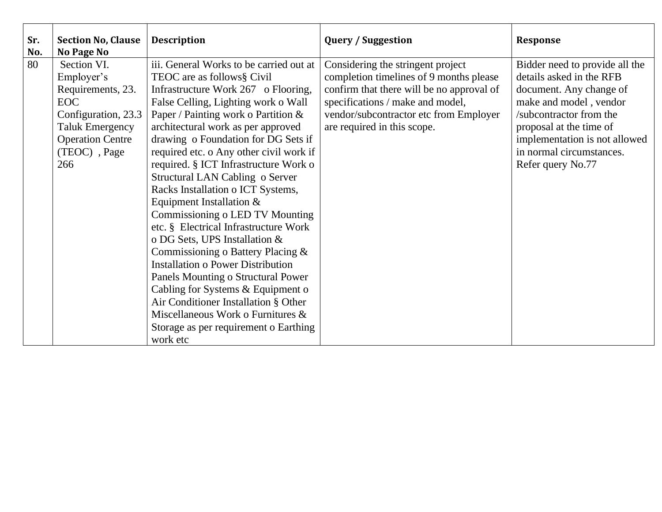| Sr.<br>No. | <b>Section No, Clause</b><br><b>No Page No</b> | <b>Description</b>                       | <b>Query / Suggestion</b>                                                    | <b>Response</b>                                            |
|------------|------------------------------------------------|------------------------------------------|------------------------------------------------------------------------------|------------------------------------------------------------|
| 80         | Section VI.<br>Employer's                      | iii. General Works to be carried out at  | Considering the stringent project<br>completion timelines of 9 months please | Bidder need to provide all the<br>details asked in the RFB |
|            |                                                | TEOC are as follows§ Civil               |                                                                              |                                                            |
|            | Requirements, 23.                              | Infrastructure Work 267 o Flooring,      | confirm that there will be no approval of                                    | document. Any change of                                    |
|            | <b>EOC</b>                                     | False Celling, Lighting work o Wall      | specifications / make and model,                                             | make and model, vendor                                     |
|            | Configuration, 23.3                            | Paper / Painting work o Partition &      | vendor/subcontractor etc from Employer                                       | /subcontractor from the                                    |
|            | <b>Taluk Emergency</b>                         | architectural work as per approved       | are required in this scope.                                                  | proposal at the time of                                    |
|            | <b>Operation Centre</b>                        | drawing o Foundation for DG Sets if      |                                                                              | implementation is not allowed                              |
|            | (TEOC), Page                                   | required etc. o Any other civil work if  |                                                                              | in normal circumstances.                                   |
|            | 266                                            | required. § ICT Infrastructure Work o    |                                                                              | Refer query No.77                                          |
|            |                                                | Structural LAN Cabling o Server          |                                                                              |                                                            |
|            |                                                | Racks Installation o ICT Systems,        |                                                                              |                                                            |
|            |                                                | Equipment Installation $&$               |                                                                              |                                                            |
|            |                                                | Commissioning o LED TV Mounting          |                                                                              |                                                            |
|            |                                                | etc. § Electrical Infrastructure Work    |                                                                              |                                                            |
|            |                                                | o DG Sets, UPS Installation &            |                                                                              |                                                            |
|            |                                                | Commissioning o Battery Placing $\&$     |                                                                              |                                                            |
|            |                                                | <b>Installation o Power Distribution</b> |                                                                              |                                                            |
|            |                                                | Panels Mounting o Structural Power       |                                                                              |                                                            |
|            |                                                | Cabling for Systems & Equipment o        |                                                                              |                                                            |
|            |                                                | Air Conditioner Installation § Other     |                                                                              |                                                            |
|            |                                                | Miscellaneous Work o Furnitures &        |                                                                              |                                                            |
|            |                                                | Storage as per requirement o Earthing    |                                                                              |                                                            |
|            |                                                | work etc                                 |                                                                              |                                                            |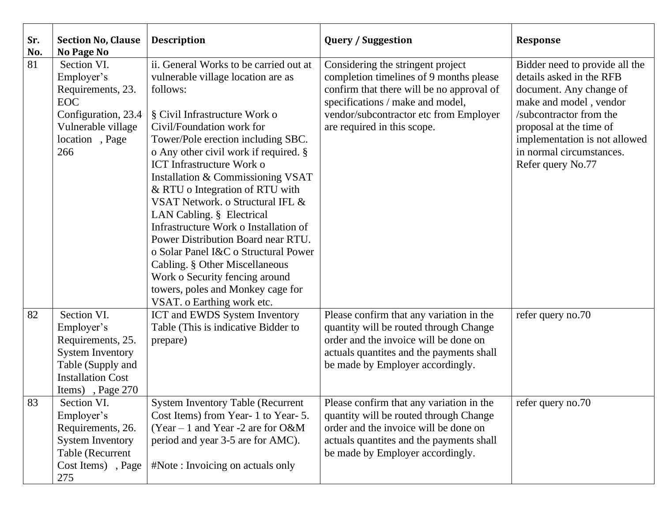| Sr.<br>No. | <b>Section No, Clause</b><br>No Page No                                                                                                        | <b>Description</b>                                                                                                                                                                                                                                                                                                                                                                                                                                                                                                                                                                                                                                                               | <b>Query / Suggestion</b>                                                                                                                                                                                                              | <b>Response</b>                                                                                                                                                                                                                                         |
|------------|------------------------------------------------------------------------------------------------------------------------------------------------|----------------------------------------------------------------------------------------------------------------------------------------------------------------------------------------------------------------------------------------------------------------------------------------------------------------------------------------------------------------------------------------------------------------------------------------------------------------------------------------------------------------------------------------------------------------------------------------------------------------------------------------------------------------------------------|----------------------------------------------------------------------------------------------------------------------------------------------------------------------------------------------------------------------------------------|---------------------------------------------------------------------------------------------------------------------------------------------------------------------------------------------------------------------------------------------------------|
| 81         | Section VI.<br>Employer's<br>Requirements, 23.<br><b>EOC</b><br>Configuration, 23.4<br>Vulnerable village<br>location, Page<br>266             | ii. General Works to be carried out at<br>vulnerable village location are as<br>follows:<br>§ Civil Infrastructure Work o<br>Civil/Foundation work for<br>Tower/Pole erection including SBC.<br>o Any other civil work if required. §<br><b>ICT</b> Infrastructure Work o<br>Installation & Commissioning VSAT<br>& RTU o Integration of RTU with<br>VSAT Network, o Structural IFL &<br>LAN Cabling. § Electrical<br>Infrastructure Work o Installation of<br>Power Distribution Board near RTU.<br>o Solar Panel I&C o Structural Power<br>Cabling. § Other Miscellaneous<br>Work o Security fencing around<br>towers, poles and Monkey cage for<br>VSAT. o Earthing work etc. | Considering the stringent project<br>completion timelines of 9 months please<br>confirm that there will be no approval of<br>specifications / make and model,<br>vendor/subcontractor etc from Employer<br>are required in this scope. | Bidder need to provide all the<br>details asked in the RFB<br>document. Any change of<br>make and model, vendor<br>/subcontractor from the<br>proposal at the time of<br>implementation is not allowed<br>in normal circumstances.<br>Refer query No.77 |
| 82         | Section VI.<br>Employer's<br>Requirements, 25.<br><b>System Inventory</b><br>Table (Supply and<br><b>Installation Cost</b><br>Items), Page 270 | ICT and EWDS System Inventory<br>Table (This is indicative Bidder to<br>prepare)                                                                                                                                                                                                                                                                                                                                                                                                                                                                                                                                                                                                 | Please confirm that any variation in the<br>quantity will be routed through Change<br>order and the invoice will be done on<br>actuals quantites and the payments shall<br>be made by Employer accordingly.                            | refer query no.70                                                                                                                                                                                                                                       |
| 83         | Section VI.<br>Employer's<br>Requirements, 26.<br><b>System Inventory</b><br>Table (Recurrent<br>Cost Items), Page<br>275                      | <b>System Inventory Table (Recurrent</b><br>Cost Items) from Year-1 to Year-5.<br>$(Year - 1$ and Year -2 are for O&M<br>period and year 3-5 are for AMC).<br>#Note: Invoicing on actuals only                                                                                                                                                                                                                                                                                                                                                                                                                                                                                   | Please confirm that any variation in the<br>quantity will be routed through Change<br>order and the invoice will be done on<br>actuals quantites and the payments shall<br>be made by Employer accordingly.                            | refer query no.70                                                                                                                                                                                                                                       |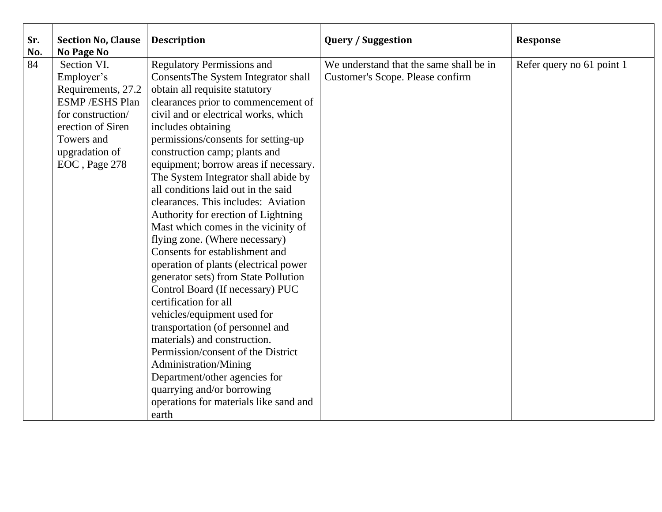| Sr.<br>No. | <b>Section No, Clause</b><br>No Page No | <b>Description</b>                     | <b>Query / Suggestion</b>               | <b>Response</b>           |
|------------|-----------------------------------------|----------------------------------------|-----------------------------------------|---------------------------|
| 84         | Section VI.                             | <b>Regulatory Permissions and</b>      | We understand that the same shall be in | Refer query no 61 point 1 |
|            | Employer's                              | ConsentsThe System Integrator shall    | Customer's Scope. Please confirm        |                           |
|            | Requirements, 27.2                      | obtain all requisite statutory         |                                         |                           |
|            | <b>ESMP/ESHS Plan</b>                   | clearances prior to commencement of    |                                         |                           |
|            | for construction/                       | civil and or electrical works, which   |                                         |                           |
|            | erection of Siren                       | includes obtaining                     |                                         |                           |
|            | Towers and                              | permissions/consents for setting-up    |                                         |                           |
|            | upgradation of                          | construction camp; plants and          |                                         |                           |
|            | EOC, Page 278                           | equipment; borrow areas if necessary.  |                                         |                           |
|            |                                         | The System Integrator shall abide by   |                                         |                           |
|            |                                         | all conditions laid out in the said    |                                         |                           |
|            |                                         | clearances. This includes: Aviation    |                                         |                           |
|            |                                         | Authority for erection of Lightning    |                                         |                           |
|            |                                         | Mast which comes in the vicinity of    |                                         |                           |
|            |                                         | flying zone. (Where necessary)         |                                         |                           |
|            |                                         | Consents for establishment and         |                                         |                           |
|            |                                         | operation of plants (electrical power  |                                         |                           |
|            |                                         | generator sets) from State Pollution   |                                         |                           |
|            |                                         | Control Board (If necessary) PUC       |                                         |                           |
|            |                                         | certification for all                  |                                         |                           |
|            |                                         | vehicles/equipment used for            |                                         |                           |
|            |                                         | transportation (of personnel and       |                                         |                           |
|            |                                         | materials) and construction.           |                                         |                           |
|            |                                         | Permission/consent of the District     |                                         |                           |
|            |                                         | Administration/Mining                  |                                         |                           |
|            |                                         | Department/other agencies for          |                                         |                           |
|            |                                         | quarrying and/or borrowing             |                                         |                           |
|            |                                         | operations for materials like sand and |                                         |                           |
|            |                                         | earth                                  |                                         |                           |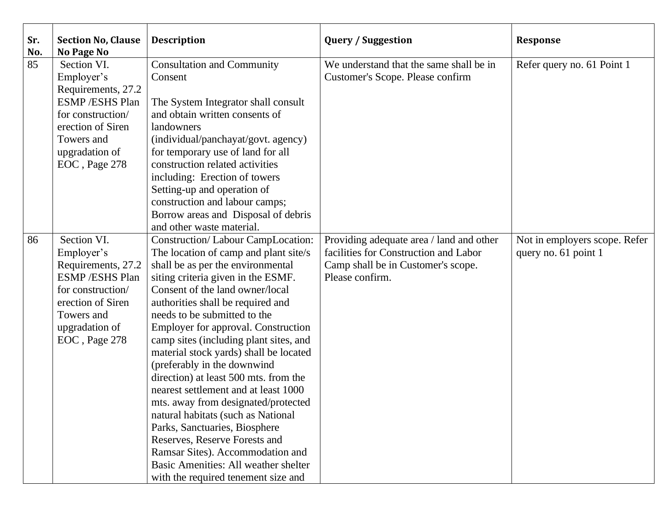| Sr.<br>No. | <b>Section No, Clause</b><br><b>No Page No</b>                                                                                                                        | <b>Description</b>                                                                                                                                                                                                                                                                                                                                                                                                                                                                                                                                                                                                                                                                                                                                                                | <b>Query / Suggestion</b>                                                                                                                  | <b>Response</b>                                       |
|------------|-----------------------------------------------------------------------------------------------------------------------------------------------------------------------|-----------------------------------------------------------------------------------------------------------------------------------------------------------------------------------------------------------------------------------------------------------------------------------------------------------------------------------------------------------------------------------------------------------------------------------------------------------------------------------------------------------------------------------------------------------------------------------------------------------------------------------------------------------------------------------------------------------------------------------------------------------------------------------|--------------------------------------------------------------------------------------------------------------------------------------------|-------------------------------------------------------|
| 85         | Section VI.<br>Employer's<br>Requirements, 27.2<br><b>ESMP/ESHS Plan</b><br>for construction/<br>erection of Siren<br>Towers and<br>upgradation of<br>EOC, Page 278   | <b>Consultation and Community</b><br>Consent<br>The System Integrator shall consult<br>and obtain written consents of<br>landowners<br>(individual/panchayat/govt. agency)<br>for temporary use of land for all<br>construction related activities<br>including: Erection of towers<br>Setting-up and operation of<br>construction and labour camps;<br>Borrow areas and Disposal of debris<br>and other waste material.                                                                                                                                                                                                                                                                                                                                                          | We understand that the same shall be in<br>Customer's Scope. Please confirm                                                                | Refer query no. 61 Point 1                            |
| 86         | Section VI.<br>Employer's<br>Requirements, 27.2<br><b>ESMP</b> / ESHS Plan<br>for construction/<br>erection of Siren<br>Towers and<br>upgradation of<br>EOC, Page 278 | Construction/Labour CampLocation:<br>The location of camp and plant site/s<br>shall be as per the environmental<br>siting criteria given in the ESMF.<br>Consent of the land owner/local<br>authorities shall be required and<br>needs to be submitted to the<br><b>Employer for approval. Construction</b><br>camp sites (including plant sites, and<br>material stock yards) shall be located<br>(preferably in the downwind<br>direction) at least 500 mts. from the<br>nearest settlement and at least 1000<br>mts. away from designated/protected<br>natural habitats (such as National<br>Parks, Sanctuaries, Biosphere<br>Reserves, Reserve Forests and<br>Ramsar Sites). Accommodation and<br>Basic Amenities: All weather shelter<br>with the required tenement size and | Providing adequate area / land and other<br>facilities for Construction and Labor<br>Camp shall be in Customer's scope.<br>Please confirm. | Not in employers scope. Refer<br>query no. 61 point 1 |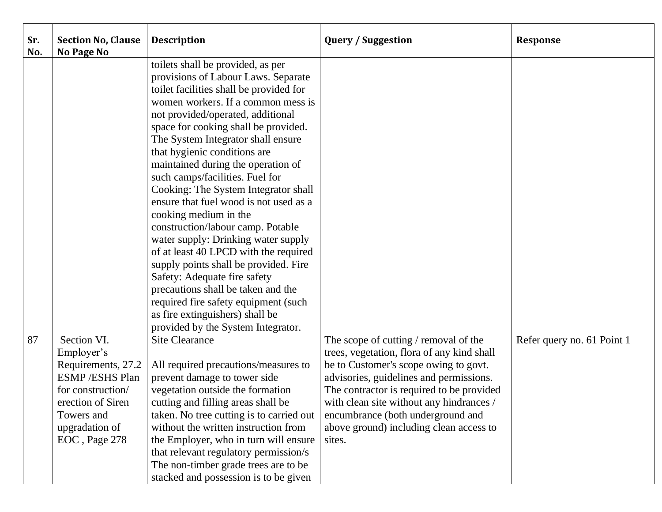| Sr.<br>No. | <b>Section No, Clause</b><br>No Page No | <b>Description</b>                       | <b>Query / Suggestion</b>                  | <b>Response</b>            |
|------------|-----------------------------------------|------------------------------------------|--------------------------------------------|----------------------------|
|            |                                         | toilets shall be provided, as per        |                                            |                            |
|            |                                         | provisions of Labour Laws. Separate      |                                            |                            |
|            |                                         | toilet facilities shall be provided for  |                                            |                            |
|            |                                         | women workers. If a common mess is       |                                            |                            |
|            |                                         | not provided/operated, additional        |                                            |                            |
|            |                                         | space for cooking shall be provided.     |                                            |                            |
|            |                                         | The System Integrator shall ensure       |                                            |                            |
|            |                                         | that hygienic conditions are             |                                            |                            |
|            |                                         | maintained during the operation of       |                                            |                            |
|            |                                         | such camps/facilities. Fuel for          |                                            |                            |
|            |                                         | Cooking: The System Integrator shall     |                                            |                            |
|            |                                         | ensure that fuel wood is not used as a   |                                            |                            |
|            |                                         | cooking medium in the                    |                                            |                            |
|            |                                         | construction/labour camp. Potable        |                                            |                            |
|            |                                         | water supply: Drinking water supply      |                                            |                            |
|            |                                         | of at least 40 LPCD with the required    |                                            |                            |
|            |                                         | supply points shall be provided. Fire    |                                            |                            |
|            |                                         | Safety: Adequate fire safety             |                                            |                            |
|            |                                         | precautions shall be taken and the       |                                            |                            |
|            |                                         | required fire safety equipment (such     |                                            |                            |
|            |                                         | as fire extinguishers) shall be          |                                            |                            |
|            |                                         | provided by the System Integrator.       |                                            |                            |
| 87         | Section VI.                             | <b>Site Clearance</b>                    | The scope of cutting / removal of the      | Refer query no. 61 Point 1 |
|            | Employer's                              |                                          | trees, vegetation, flora of any kind shall |                            |
|            | Requirements, 27.2                      | All required precautions/measures to     | be to Customer's scope owing to govt.      |                            |
|            | <b>ESMP/ESHS Plan</b>                   | prevent damage to tower side             | advisories, guidelines and permissions.    |                            |
|            | for construction/                       | vegetation outside the formation         | The contractor is required to be provided  |                            |
|            | erection of Siren                       | cutting and filling areas shall be       | with clean site without any hindrances /   |                            |
|            | Towers and                              | taken. No tree cutting is to carried out | encumbrance (both underground and          |                            |
|            | upgradation of                          | without the written instruction from     | above ground) including clean access to    |                            |
|            | EOC, Page 278                           | the Employer, who in turn will ensure    | sites.                                     |                            |
|            |                                         | that relevant regulatory permission/s    |                                            |                            |
|            |                                         | The non-timber grade trees are to be     |                                            |                            |
|            |                                         | stacked and possession is to be given    |                                            |                            |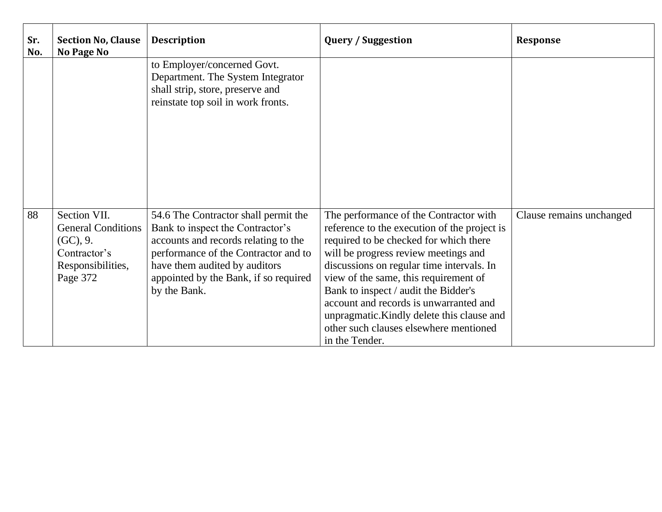| Sr.<br>No. | <b>Section No, Clause</b><br><b>No Page No</b>                                                         | <b>Description</b>                                                                                                                                                                                                                                 | <b>Query / Suggestion</b>                                                                                                                                                                                                                                                                                                                                                                                                                                  | Response                 |
|------------|--------------------------------------------------------------------------------------------------------|----------------------------------------------------------------------------------------------------------------------------------------------------------------------------------------------------------------------------------------------------|------------------------------------------------------------------------------------------------------------------------------------------------------------------------------------------------------------------------------------------------------------------------------------------------------------------------------------------------------------------------------------------------------------------------------------------------------------|--------------------------|
|            |                                                                                                        | to Employer/concerned Govt.<br>Department. The System Integrator<br>shall strip, store, preserve and<br>reinstate top soil in work fronts.                                                                                                         |                                                                                                                                                                                                                                                                                                                                                                                                                                                            |                          |
| 88         | Section VII.<br><b>General Conditions</b><br>(GC), 9.<br>Contractor's<br>Responsibilities,<br>Page 372 | 54.6 The Contractor shall permit the<br>Bank to inspect the Contractor's<br>accounts and records relating to the<br>performance of the Contractor and to<br>have them audited by auditors<br>appointed by the Bank, if so required<br>by the Bank. | The performance of the Contractor with<br>reference to the execution of the project is<br>required to be checked for which there<br>will be progress review meetings and<br>discussions on regular time intervals. In<br>view of the same, this requirement of<br>Bank to inspect / audit the Bidder's<br>account and records is unwarranted and<br>unpragmatic. Kindly delete this clause and<br>other such clauses elsewhere mentioned<br>in the Tender. | Clause remains unchanged |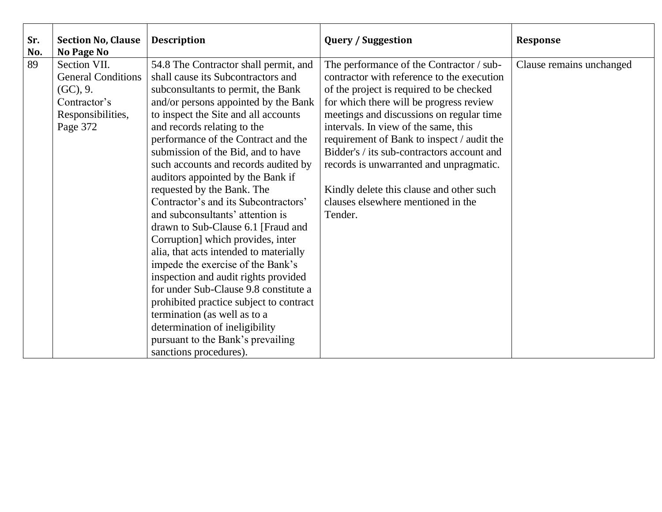| Sr.<br>No. | <b>Section No, Clause</b><br>No Page No | <b>Description</b>                      | <b>Query / Suggestion</b>                  | Response                 |
|------------|-----------------------------------------|-----------------------------------------|--------------------------------------------|--------------------------|
| 89         | Section VII.                            | 54.8 The Contractor shall permit, and   | The performance of the Contractor / sub-   | Clause remains unchanged |
|            | <b>General Conditions</b>               | shall cause its Subcontractors and      | contractor with reference to the execution |                          |
|            | (GC), 9.                                | subconsultants to permit, the Bank      | of the project is required to be checked   |                          |
|            | Contractor's                            | and/or persons appointed by the Bank    | for which there will be progress review    |                          |
|            | Responsibilities,                       | to inspect the Site and all accounts    | meetings and discussions on regular time   |                          |
|            | Page 372                                | and records relating to the             | intervals. In view of the same, this       |                          |
|            |                                         | performance of the Contract and the     | requirement of Bank to inspect / audit the |                          |
|            |                                         | submission of the Bid, and to have      | Bidder's / its sub-contractors account and |                          |
|            |                                         | such accounts and records audited by    | records is unwarranted and unpragmatic.    |                          |
|            |                                         | auditors appointed by the Bank if       |                                            |                          |
|            |                                         | requested by the Bank. The              | Kindly delete this clause and other such   |                          |
|            |                                         | Contractor's and its Subcontractors'    | clauses elsewhere mentioned in the         |                          |
|            |                                         | and subconsultants' attention is        | Tender.                                    |                          |
|            |                                         | drawn to Sub-Clause 6.1 [Fraud and      |                                            |                          |
|            |                                         | Corruption] which provides, inter       |                                            |                          |
|            |                                         | alia, that acts intended to materially  |                                            |                          |
|            |                                         | impede the exercise of the Bank's       |                                            |                          |
|            |                                         | inspection and audit rights provided    |                                            |                          |
|            |                                         | for under Sub-Clause 9.8 constitute a   |                                            |                          |
|            |                                         | prohibited practice subject to contract |                                            |                          |
|            |                                         | termination (as well as to a            |                                            |                          |
|            |                                         | determination of ineligibility          |                                            |                          |
|            |                                         | pursuant to the Bank's prevailing       |                                            |                          |
|            |                                         | sanctions procedures).                  |                                            |                          |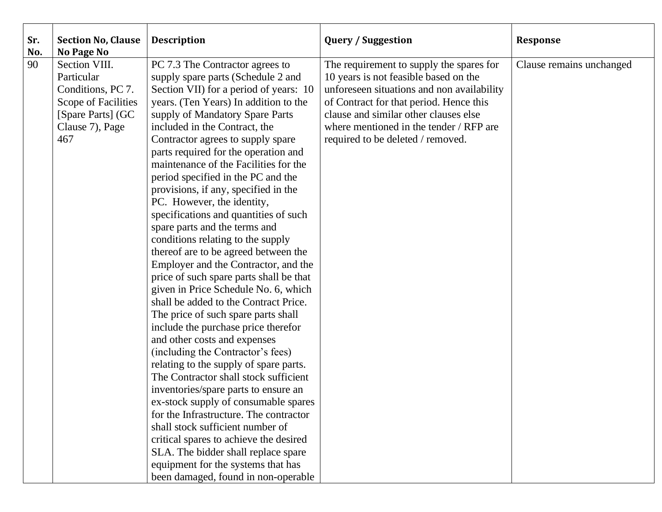| Sr.<br>No. | <b>Section No, Clause</b><br><b>No Page No</b>                                                                         | <b>Description</b>                                                                                                                                                                                                                                                                                                                                                                                                                                                                                                                                                                                                                                                                                                                                                                                                                                                                                                                                                                                                                                                                                                                                                                                                                                                                                                                                          | <b>Query / Suggestion</b>                                                                                                                                                                                                                                                                           | <b>Response</b>          |
|------------|------------------------------------------------------------------------------------------------------------------------|-------------------------------------------------------------------------------------------------------------------------------------------------------------------------------------------------------------------------------------------------------------------------------------------------------------------------------------------------------------------------------------------------------------------------------------------------------------------------------------------------------------------------------------------------------------------------------------------------------------------------------------------------------------------------------------------------------------------------------------------------------------------------------------------------------------------------------------------------------------------------------------------------------------------------------------------------------------------------------------------------------------------------------------------------------------------------------------------------------------------------------------------------------------------------------------------------------------------------------------------------------------------------------------------------------------------------------------------------------------|-----------------------------------------------------------------------------------------------------------------------------------------------------------------------------------------------------------------------------------------------------------------------------------------------------|--------------------------|
| 90         | Section VIII.<br>Particular<br>Conditions, PC 7.<br>Scope of Facilities<br>[Spare Parts] (GC<br>Clause 7), Page<br>467 | PC 7.3 The Contractor agrees to<br>supply spare parts (Schedule 2 and<br>Section VII) for a period of years: 10<br>years. (Ten Years) In addition to the<br>supply of Mandatory Spare Parts<br>included in the Contract, the<br>Contractor agrees to supply spare<br>parts required for the operation and<br>maintenance of the Facilities for the<br>period specified in the PC and the<br>provisions, if any, specified in the<br>PC. However, the identity,<br>specifications and quantities of such<br>spare parts and the terms and<br>conditions relating to the supply<br>thereof are to be agreed between the<br>Employer and the Contractor, and the<br>price of such spare parts shall be that<br>given in Price Schedule No. 6, which<br>shall be added to the Contract Price.<br>The price of such spare parts shall<br>include the purchase price therefor<br>and other costs and expenses<br>(including the Contractor's fees)<br>relating to the supply of spare parts.<br>The Contractor shall stock sufficient<br>inventories/spare parts to ensure an<br>ex-stock supply of consumable spares<br>for the Infrastructure. The contractor<br>shall stock sufficient number of<br>critical spares to achieve the desired<br>SLA. The bidder shall replace spare<br>equipment for the systems that has<br>been damaged, found in non-operable | The requirement to supply the spares for<br>10 years is not feasible based on the<br>unforeseen situations and non availability<br>of Contract for that period. Hence this<br>clause and similar other clauses else<br>where mentioned in the tender / RFP are<br>required to be deleted / removed. | Clause remains unchanged |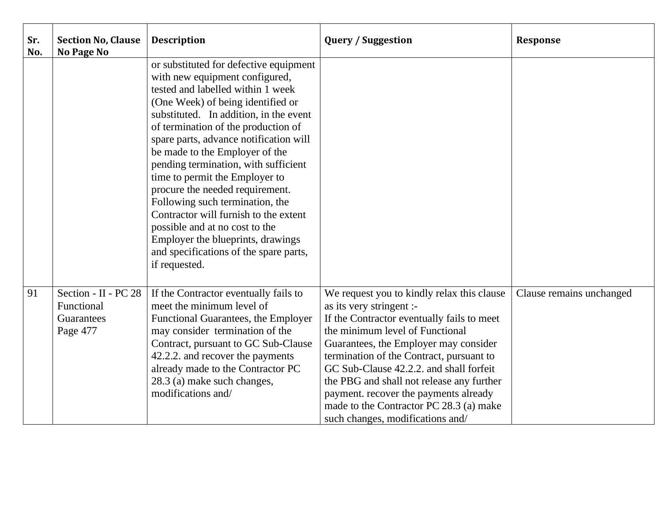| Sr.<br>No. | <b>Section No, Clause</b><br>No Page No                      | <b>Description</b>                                                                                                                                                                                                                                                                                                                                                                                                                                                                                                                                                                                                                         | <b>Query / Suggestion</b>                                                                                                                                                                                                                                                                                                                                                                                                                                    | <b>Response</b>          |
|------------|--------------------------------------------------------------|--------------------------------------------------------------------------------------------------------------------------------------------------------------------------------------------------------------------------------------------------------------------------------------------------------------------------------------------------------------------------------------------------------------------------------------------------------------------------------------------------------------------------------------------------------------------------------------------------------------------------------------------|--------------------------------------------------------------------------------------------------------------------------------------------------------------------------------------------------------------------------------------------------------------------------------------------------------------------------------------------------------------------------------------------------------------------------------------------------------------|--------------------------|
|            |                                                              | or substituted for defective equipment<br>with new equipment configured,<br>tested and labelled within 1 week<br>(One Week) of being identified or<br>substituted. In addition, in the event<br>of termination of the production of<br>spare parts, advance notification will<br>be made to the Employer of the<br>pending termination, with sufficient<br>time to permit the Employer to<br>procure the needed requirement.<br>Following such termination, the<br>Contractor will furnish to the extent<br>possible and at no cost to the<br>Employer the blueprints, drawings<br>and specifications of the spare parts,<br>if requested. |                                                                                                                                                                                                                                                                                                                                                                                                                                                              |                          |
| 91         | Section - II - PC 28<br>Functional<br>Guarantees<br>Page 477 | If the Contractor eventually fails to<br>meet the minimum level of<br>Functional Guarantees, the Employer<br>may consider termination of the<br>Contract, pursuant to GC Sub-Clause<br>42.2.2. and recover the payments<br>already made to the Contractor PC<br>28.3 (a) make such changes,<br>modifications and/                                                                                                                                                                                                                                                                                                                          | We request you to kindly relax this clause<br>as its very stringent :-<br>If the Contractor eventually fails to meet<br>the minimum level of Functional<br>Guarantees, the Employer may consider<br>termination of the Contract, pursuant to<br>GC Sub-Clause 42.2.2. and shall forfeit<br>the PBG and shall not release any further<br>payment. recover the payments already<br>made to the Contractor PC 28.3 (a) make<br>such changes, modifications and/ | Clause remains unchanged |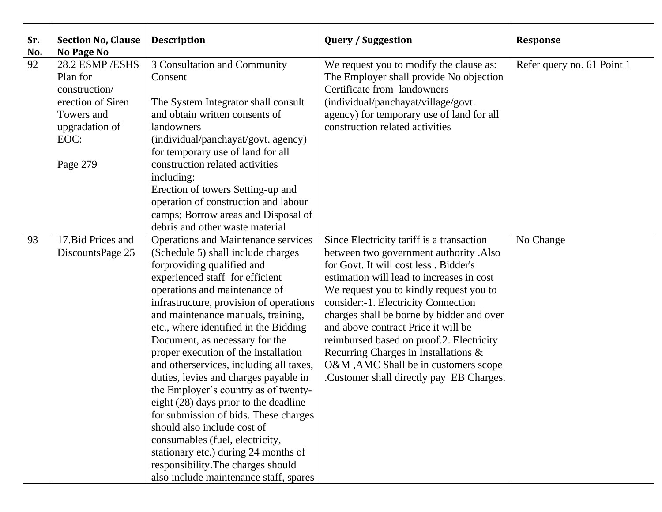| Sr.<br>No. | <b>Section No, Clause</b><br><b>No Page No</b>                                                                       | <b>Description</b>                                                                                                                                                                                                                                                                                                                                                                                                                                                                                                                                                                                                                                                                                                                                                                             | <b>Query / Suggestion</b>                                                                                                                                                                                                                                                                                                                                                                                                                                                                                                | <b>Response</b>            |
|------------|----------------------------------------------------------------------------------------------------------------------|------------------------------------------------------------------------------------------------------------------------------------------------------------------------------------------------------------------------------------------------------------------------------------------------------------------------------------------------------------------------------------------------------------------------------------------------------------------------------------------------------------------------------------------------------------------------------------------------------------------------------------------------------------------------------------------------------------------------------------------------------------------------------------------------|--------------------------------------------------------------------------------------------------------------------------------------------------------------------------------------------------------------------------------------------------------------------------------------------------------------------------------------------------------------------------------------------------------------------------------------------------------------------------------------------------------------------------|----------------------------|
| 92         | 28.2 ESMP/ESHS<br>Plan for<br>construction/<br>erection of Siren<br>Towers and<br>upgradation of<br>EOC:<br>Page 279 | 3 Consultation and Community<br>Consent<br>The System Integrator shall consult<br>and obtain written consents of<br>landowners<br>(individual/panchayat/govt. agency)<br>for temporary use of land for all<br>construction related activities<br>including:<br>Erection of towers Setting-up and<br>operation of construction and labour<br>camps; Borrow areas and Disposal of<br>debris and other waste material                                                                                                                                                                                                                                                                                                                                                                             | We request you to modify the clause as:<br>The Employer shall provide No objection<br>Certificate from landowners<br>(individual/panchayat/village/govt.<br>agency) for temporary use of land for all<br>construction related activities                                                                                                                                                                                                                                                                                 | Refer query no. 61 Point 1 |
| 93         | 17. Bid Prices and<br>DiscountsPage 25                                                                               | <b>Operations and Maintenance services</b><br>(Schedule 5) shall include charges<br>forproviding qualified and<br>experienced staff for efficient<br>operations and maintenance of<br>infrastructure, provision of operations<br>and maintenance manuals, training,<br>etc., where identified in the Bidding<br>Document, as necessary for the<br>proper execution of the installation<br>and otherservices, including all taxes,<br>duties, levies and charges payable in<br>the Employer's country as of twenty-<br>eight (28) days prior to the deadline<br>for submission of bids. These charges<br>should also include cost of<br>consumables (fuel, electricity,<br>stationary etc.) during 24 months of<br>responsibility. The charges should<br>also include maintenance staff, spares | Since Electricity tariff is a transaction<br>between two government authority .Also<br>for Govt. It will cost less . Bidder's<br>estimation will lead to increases in cost<br>We request you to kindly request you to<br>consider:-1. Electricity Connection<br>charges shall be borne by bidder and over<br>and above contract Price it will be<br>reimbursed based on proof.2. Electricity<br>Recurring Charges in Installations &<br>O&M , AMC Shall be in customers scope<br>Customer shall directly pay EB Charges. | No Change                  |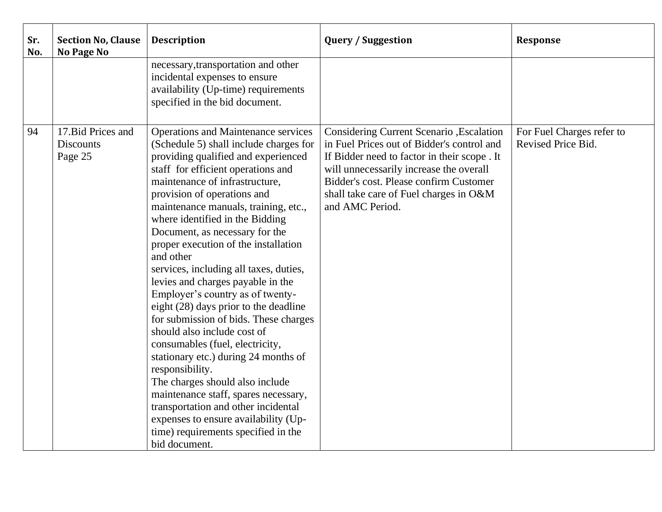| Sr.<br>No. | <b>Section No, Clause</b><br><b>No Page No</b>    | <b>Description</b>                                                                                                                                                                                                                                                                                                                                                                                                                                                                                                                                                                                                                                                                                                                                                                                                                                                                                                                                       | <b>Query / Suggestion</b>                                                                                                                                                                                                                                                                | <b>Response</b>                                 |
|------------|---------------------------------------------------|----------------------------------------------------------------------------------------------------------------------------------------------------------------------------------------------------------------------------------------------------------------------------------------------------------------------------------------------------------------------------------------------------------------------------------------------------------------------------------------------------------------------------------------------------------------------------------------------------------------------------------------------------------------------------------------------------------------------------------------------------------------------------------------------------------------------------------------------------------------------------------------------------------------------------------------------------------|------------------------------------------------------------------------------------------------------------------------------------------------------------------------------------------------------------------------------------------------------------------------------------------|-------------------------------------------------|
|            |                                                   | necessary, transportation and other<br>incidental expenses to ensure<br>availability (Up-time) requirements<br>specified in the bid document.                                                                                                                                                                                                                                                                                                                                                                                                                                                                                                                                                                                                                                                                                                                                                                                                            |                                                                                                                                                                                                                                                                                          |                                                 |
| 94         | 17. Bid Prices and<br><b>Discounts</b><br>Page 25 | <b>Operations and Maintenance services</b><br>(Schedule 5) shall include charges for<br>providing qualified and experienced<br>staff for efficient operations and<br>maintenance of infrastructure,<br>provision of operations and<br>maintenance manuals, training, etc.,<br>where identified in the Bidding<br>Document, as necessary for the<br>proper execution of the installation<br>and other<br>services, including all taxes, duties,<br>levies and charges payable in the<br>Employer's country as of twenty-<br>eight (28) days prior to the deadline<br>for submission of bids. These charges<br>should also include cost of<br>consumables (fuel, electricity,<br>stationary etc.) during 24 months of<br>responsibility.<br>The charges should also include<br>maintenance staff, spares necessary,<br>transportation and other incidental<br>expenses to ensure availability (Up-<br>time) requirements specified in the<br>bid document. | Considering Current Scenario , Escalation<br>in Fuel Prices out of Bidder's control and<br>If Bidder need to factor in their scope. It<br>will unnecessarily increase the overall<br>Bidder's cost. Please confirm Customer<br>shall take care of Fuel charges in O&M<br>and AMC Period. | For Fuel Charges refer to<br>Revised Price Bid. |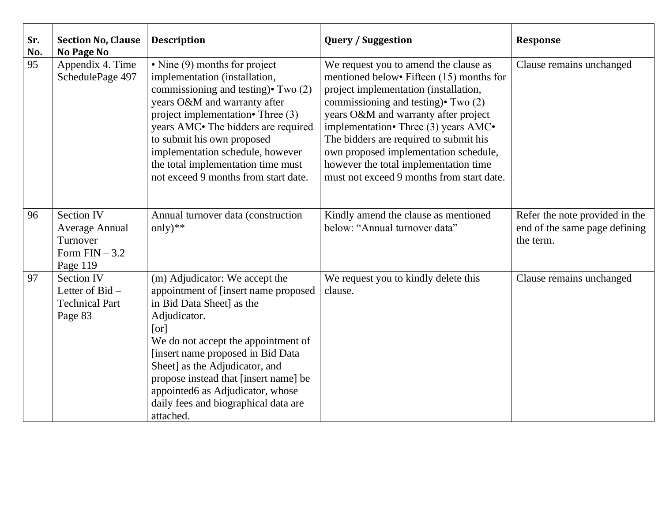| Sr.<br>No. | <b>Section No, Clause</b><br><b>No Page No</b>                                       | <b>Description</b>                                                                                                                                                                                                                                                                                                                                                          | <b>Query / Suggestion</b>                                                                                                                                                                                                                                                                                                                                                                                                         | <b>Response</b>                                                              |
|------------|--------------------------------------------------------------------------------------|-----------------------------------------------------------------------------------------------------------------------------------------------------------------------------------------------------------------------------------------------------------------------------------------------------------------------------------------------------------------------------|-----------------------------------------------------------------------------------------------------------------------------------------------------------------------------------------------------------------------------------------------------------------------------------------------------------------------------------------------------------------------------------------------------------------------------------|------------------------------------------------------------------------------|
| 95         | Appendix 4. Time<br>SchedulePage 497                                                 | • Nine (9) months for project<br>implementation (installation,<br>commissioning and testing) Two (2)<br>years O&M and warranty after<br>project implementation• Three (3)<br>years AMC. The bidders are required<br>to submit his own proposed<br>implementation schedule, however<br>the total implementation time must<br>not exceed 9 months from start date.            | We request you to amend the clause as<br>mentioned below• Fifteen (15) months for<br>project implementation (installation,<br>commissioning and testing) $\cdot$ Two (2)<br>years O&M and warranty after project<br>implementation• Three (3) years AMC•<br>The bidders are required to submit his<br>own proposed implementation schedule,<br>however the total implementation time<br>must not exceed 9 months from start date. | Clause remains unchanged                                                     |
| 96         | <b>Section IV</b><br><b>Average Annual</b><br>Turnover<br>Form $FIN-3.2$<br>Page 119 | Annual turnover data (construction<br>only) $**$                                                                                                                                                                                                                                                                                                                            | Kindly amend the clause as mentioned<br>below: "Annual turnover data"                                                                                                                                                                                                                                                                                                                                                             | Refer the note provided in the<br>end of the same page defining<br>the term. |
| 97         | <b>Section IV</b><br>Letter of $Bid -$<br><b>Technical Part</b><br>Page 83           | (m) Adjudicator: We accept the<br>appointment of [insert name proposed<br>in Bid Data Sheet] as the<br>Adjudicator.<br>[or]<br>We do not accept the appointment of<br>[insert name proposed in Bid Data<br>Sheet] as the Adjudicator, and<br>propose instead that [insert name] be<br>appointed6 as Adjudicator, whose<br>daily fees and biographical data are<br>attached. | We request you to kindly delete this<br>clause.                                                                                                                                                                                                                                                                                                                                                                                   | Clause remains unchanged                                                     |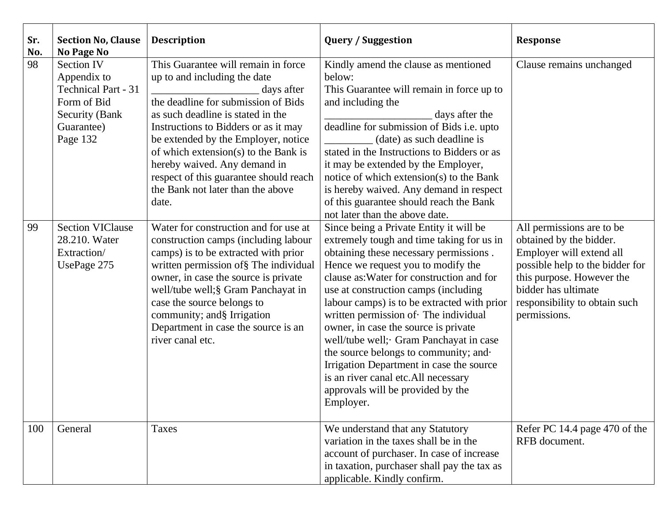| Sr.<br>No. | <b>Section No, Clause</b><br><b>No Page No</b>                                                                             | <b>Description</b>                                                                                                                                                                                                                                                                                                                                                                                           | <b>Query / Suggestion</b>                                                                                                                                                                                                                                                                                                                                                                                                                                                                                                                                                                                       | <b>Response</b>                                                                                                                                                                                                          |
|------------|----------------------------------------------------------------------------------------------------------------------------|--------------------------------------------------------------------------------------------------------------------------------------------------------------------------------------------------------------------------------------------------------------------------------------------------------------------------------------------------------------------------------------------------------------|-----------------------------------------------------------------------------------------------------------------------------------------------------------------------------------------------------------------------------------------------------------------------------------------------------------------------------------------------------------------------------------------------------------------------------------------------------------------------------------------------------------------------------------------------------------------------------------------------------------------|--------------------------------------------------------------------------------------------------------------------------------------------------------------------------------------------------------------------------|
| 98         | <b>Section IV</b><br>Appendix to<br><b>Technical Part - 31</b><br>Form of Bid<br>Security (Bank)<br>Guarantee)<br>Page 132 | This Guarantee will remain in force<br>up to and including the date<br>days after<br>the deadline for submission of Bids<br>as such deadline is stated in the<br>Instructions to Bidders or as it may<br>be extended by the Employer, notice<br>of which extension(s) to the Bank is<br>hereby waived. Any demand in<br>respect of this guarantee should reach<br>the Bank not later than the above<br>date. | Kindly amend the clause as mentioned<br>below:<br>This Guarantee will remain in force up to<br>and including the<br>days after the<br>deadline for submission of Bids i.e. upto<br>(date) as such deadline is<br>stated in the Instructions to Bidders or as<br>it may be extended by the Employer,<br>notice of which extension(s) to the Bank<br>is hereby waived. Any demand in respect<br>of this guarantee should reach the Bank<br>not later than the above date.                                                                                                                                         | Clause remains unchanged                                                                                                                                                                                                 |
| 99         | <b>Section VIClause</b><br>28.210. Water<br>Extraction/<br>UsePage 275                                                     | Water for construction and for use at<br>construction camps (including labour<br>camps) is to be extracted with prior<br>written permission of § The individual<br>owner, in case the source is private<br>well/tube well;§ Gram Panchayat in<br>case the source belongs to<br>community; and§ Irrigation<br>Department in case the source is an<br>river canal etc.                                         | Since being a Private Entity it will be<br>extremely tough and time taking for us in<br>obtaining these necessary permissions.<br>Hence we request you to modify the<br>clause as: Water for construction and for<br>use at construction camps (including<br>labour camps) is to be extracted with prior<br>written permission of The individual<br>owner, in case the source is private<br>well/tube well; Gram Panchayat in case<br>the source belongs to community; and<br>Irrigation Department in case the source<br>is an river canal etc.All necessary<br>approvals will be provided by the<br>Employer. | All permissions are to be<br>obtained by the bidder.<br>Employer will extend all<br>possible help to the bidder for<br>this purpose. However the<br>bidder has ultimate<br>responsibility to obtain such<br>permissions. |
| 100        | General                                                                                                                    | <b>Taxes</b>                                                                                                                                                                                                                                                                                                                                                                                                 | We understand that any Statutory<br>variation in the taxes shall be in the<br>account of purchaser. In case of increase<br>in taxation, purchaser shall pay the tax as<br>applicable. Kindly confirm.                                                                                                                                                                                                                                                                                                                                                                                                           | Refer PC 14.4 page 470 of the<br>RFB document.                                                                                                                                                                           |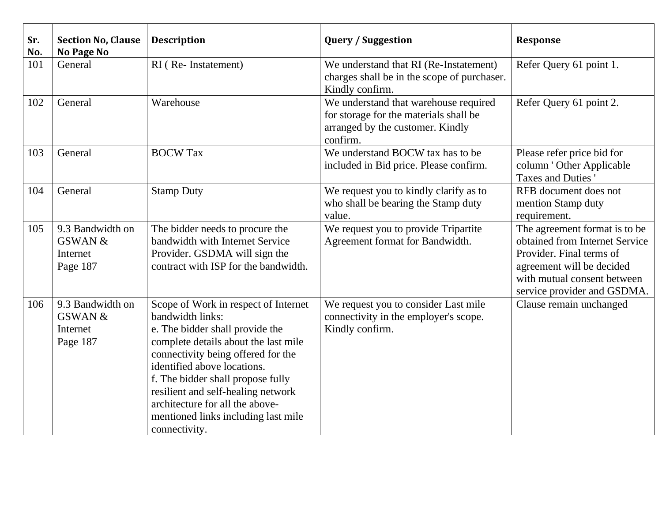| Sr.<br>No. | <b>Section No, Clause</b><br><b>No Page No</b>                 | <b>Description</b>                                                                                                                                                                                                                                                                                                                                                             | <b>Query / Suggestion</b>                                                                                                       | <b>Response</b>                                                                                                                                                                        |
|------------|----------------------------------------------------------------|--------------------------------------------------------------------------------------------------------------------------------------------------------------------------------------------------------------------------------------------------------------------------------------------------------------------------------------------------------------------------------|---------------------------------------------------------------------------------------------------------------------------------|----------------------------------------------------------------------------------------------------------------------------------------------------------------------------------------|
| 101        | General                                                        | RI (Re-Instatement)                                                                                                                                                                                                                                                                                                                                                            | We understand that RI (Re-Instatement)<br>charges shall be in the scope of purchaser.<br>Kindly confirm.                        | Refer Query 61 point 1.                                                                                                                                                                |
| 102        | General                                                        | Warehouse                                                                                                                                                                                                                                                                                                                                                                      | We understand that warehouse required<br>for storage for the materials shall be<br>arranged by the customer. Kindly<br>confirm. | Refer Query 61 point 2.                                                                                                                                                                |
| 103        | General                                                        | <b>BOCW Tax</b>                                                                                                                                                                                                                                                                                                                                                                | We understand BOCW tax has to be<br>included in Bid price. Please confirm.                                                      | Please refer price bid for<br>column ' Other Applicable<br>Taxes and Duties                                                                                                            |
| 104        | General                                                        | <b>Stamp Duty</b>                                                                                                                                                                                                                                                                                                                                                              | We request you to kindly clarify as to<br>who shall be bearing the Stamp duty<br>value.                                         | RFB document does not<br>mention Stamp duty<br>requirement.                                                                                                                            |
| 105        | 9.3 Bandwidth on<br><b>GSWAN &amp;</b><br>Internet<br>Page 187 | The bidder needs to procure the<br>bandwidth with Internet Service<br>Provider. GSDMA will sign the<br>contract with ISP for the bandwidth.                                                                                                                                                                                                                                    | We request you to provide Tripartite<br>Agreement format for Bandwidth.                                                         | The agreement format is to be<br>obtained from Internet Service<br>Provider. Final terms of<br>agreement will be decided<br>with mutual consent between<br>service provider and GSDMA. |
| 106        | 9.3 Bandwidth on<br><b>GSWAN &amp;</b><br>Internet<br>Page 187 | Scope of Work in respect of Internet<br>bandwidth links:<br>e. The bidder shall provide the<br>complete details about the last mile<br>connectivity being offered for the<br>identified above locations.<br>f. The bidder shall propose fully<br>resilient and self-healing network<br>architecture for all the above-<br>mentioned links including last mile<br>connectivity. | We request you to consider Last mile<br>connectivity in the employer's scope.<br>Kindly confirm.                                | Clause remain unchanged                                                                                                                                                                |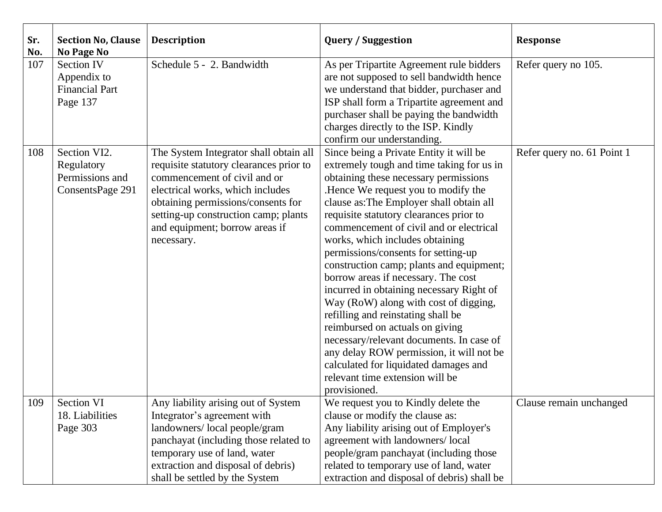| Sr.<br>No. | <b>Section No, Clause</b><br><b>No Page No</b>                        | <b>Description</b>                                                                                                                                                                                                                                                                  | <b>Query / Suggestion</b>                                                                                                                                                                                                                                                                                                                                                                                                                                                                                                                                                                                                                                                                                                                                                                                             | <b>Response</b>            |
|------------|-----------------------------------------------------------------------|-------------------------------------------------------------------------------------------------------------------------------------------------------------------------------------------------------------------------------------------------------------------------------------|-----------------------------------------------------------------------------------------------------------------------------------------------------------------------------------------------------------------------------------------------------------------------------------------------------------------------------------------------------------------------------------------------------------------------------------------------------------------------------------------------------------------------------------------------------------------------------------------------------------------------------------------------------------------------------------------------------------------------------------------------------------------------------------------------------------------------|----------------------------|
| 107        | <b>Section IV</b><br>Appendix to<br><b>Financial Part</b><br>Page 137 | Schedule 5 - 2. Bandwidth                                                                                                                                                                                                                                                           | As per Tripartite Agreement rule bidders<br>are not supposed to sell bandwidth hence<br>we understand that bidder, purchaser and<br>ISP shall form a Tripartite agreement and<br>purchaser shall be paying the bandwidth<br>charges directly to the ISP. Kindly<br>confirm our understanding.                                                                                                                                                                                                                                                                                                                                                                                                                                                                                                                         | Refer query no 105.        |
| 108        | Section VI2.<br>Regulatory<br>Permissions and<br>ConsentsPage 291     | The System Integrator shall obtain all<br>requisite statutory clearances prior to<br>commencement of civil and or<br>electrical works, which includes<br>obtaining permissions/consents for<br>setting-up construction camp; plants<br>and equipment; borrow areas if<br>necessary. | Since being a Private Entity it will be<br>extremely tough and time taking for us in<br>obtaining these necessary permissions<br>.Hence We request you to modify the<br>clause as: The Employer shall obtain all<br>requisite statutory clearances prior to<br>commencement of civil and or electrical<br>works, which includes obtaining<br>permissions/consents for setting-up<br>construction camp; plants and equipment;<br>borrow areas if necessary. The cost<br>incurred in obtaining necessary Right of<br>Way (RoW) along with cost of digging,<br>refilling and reinstating shall be<br>reimbursed on actuals on giving<br>necessary/relevant documents. In case of<br>any delay ROW permission, it will not be<br>calculated for liquidated damages and<br>relevant time extension will be<br>provisioned. | Refer query no. 61 Point 1 |
| 109        | Section VI                                                            | Any liability arising out of System                                                                                                                                                                                                                                                 | We request you to Kindly delete the                                                                                                                                                                                                                                                                                                                                                                                                                                                                                                                                                                                                                                                                                                                                                                                   | Clause remain unchanged    |
|            | 18. Liabilities                                                       | Integrator's agreement with                                                                                                                                                                                                                                                         | clause or modify the clause as:                                                                                                                                                                                                                                                                                                                                                                                                                                                                                                                                                                                                                                                                                                                                                                                       |                            |
|            | Page 303                                                              | landowners/local people/gram<br>panchayat (including those related to                                                                                                                                                                                                               | Any liability arising out of Employer's<br>agreement with landowners/local                                                                                                                                                                                                                                                                                                                                                                                                                                                                                                                                                                                                                                                                                                                                            |                            |
|            |                                                                       | temporary use of land, water                                                                                                                                                                                                                                                        | people/gram panchayat (including those                                                                                                                                                                                                                                                                                                                                                                                                                                                                                                                                                                                                                                                                                                                                                                                |                            |
|            |                                                                       | extraction and disposal of debris)                                                                                                                                                                                                                                                  | related to temporary use of land, water                                                                                                                                                                                                                                                                                                                                                                                                                                                                                                                                                                                                                                                                                                                                                                               |                            |
|            |                                                                       | shall be settled by the System                                                                                                                                                                                                                                                      | extraction and disposal of debris) shall be                                                                                                                                                                                                                                                                                                                                                                                                                                                                                                                                                                                                                                                                                                                                                                           |                            |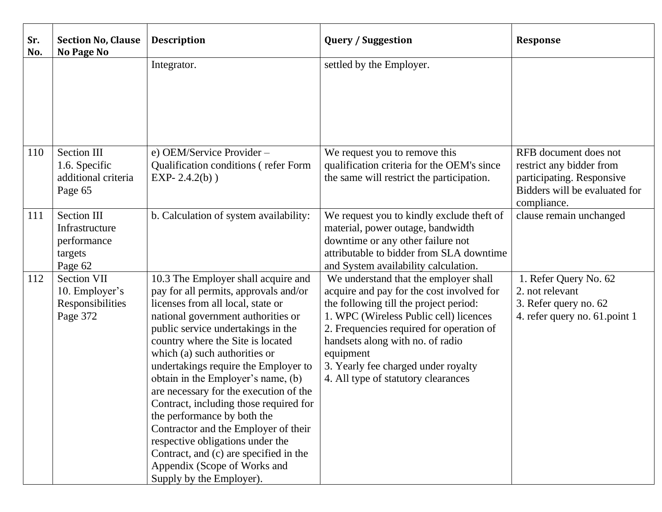| Sr.<br>No. | <b>Section No, Clause</b><br><b>No Page No</b>                            | <b>Description</b>                                                                                                                                                                                                                                                                                                                                                                                                                                                                                                                                                                                                                                     | <b>Query / Suggestion</b>                                                                                                                                                                                                                                                                                                                         | <b>Response</b>                                                                                                                |
|------------|---------------------------------------------------------------------------|--------------------------------------------------------------------------------------------------------------------------------------------------------------------------------------------------------------------------------------------------------------------------------------------------------------------------------------------------------------------------------------------------------------------------------------------------------------------------------------------------------------------------------------------------------------------------------------------------------------------------------------------------------|---------------------------------------------------------------------------------------------------------------------------------------------------------------------------------------------------------------------------------------------------------------------------------------------------------------------------------------------------|--------------------------------------------------------------------------------------------------------------------------------|
|            |                                                                           | Integrator.                                                                                                                                                                                                                                                                                                                                                                                                                                                                                                                                                                                                                                            | settled by the Employer.                                                                                                                                                                                                                                                                                                                          |                                                                                                                                |
| 110        | Section III<br>1.6. Specific<br>additional criteria<br>Page 65            | e) OEM/Service Provider -<br>Qualification conditions (refer Form<br>EXP-2.4.2(b))                                                                                                                                                                                                                                                                                                                                                                                                                                                                                                                                                                     | We request you to remove this<br>qualification criteria for the OEM's since<br>the same will restrict the participation.                                                                                                                                                                                                                          | RFB document does not<br>restrict any bidder from<br>participating. Responsive<br>Bidders will be evaluated for<br>compliance. |
| 111        | <b>Section III</b><br>Infrastructure<br>performance<br>targets<br>Page 62 | b. Calculation of system availability:                                                                                                                                                                                                                                                                                                                                                                                                                                                                                                                                                                                                                 | We request you to kindly exclude theft of<br>material, power outage, bandwidth<br>downtime or any other failure not<br>attributable to bidder from SLA downtime<br>and System availability calculation.                                                                                                                                           | clause remain unchanged                                                                                                        |
| 112        | <b>Section VII</b><br>10. Employer's<br>Responsibilities<br>Page 372      | 10.3 The Employer shall acquire and<br>pay for all permits, approvals and/or<br>licenses from all local, state or<br>national government authorities or<br>public service undertakings in the<br>country where the Site is located<br>which (a) such authorities or<br>undertakings require the Employer to<br>obtain in the Employer's name, (b)<br>are necessary for the execution of the<br>Contract, including those required for<br>the performance by both the<br>Contractor and the Employer of their<br>respective obligations under the<br>Contract, and (c) are specified in the<br>Appendix (Scope of Works and<br>Supply by the Employer). | We understand that the employer shall<br>acquire and pay for the cost involved for<br>the following till the project period:<br>1. WPC (Wireless Public cell) licences<br>2. Frequencies required for operation of<br>handsets along with no. of radio<br>equipment<br>3. Yearly fee charged under royalty<br>4. All type of statutory clearances | 1. Refer Query No. 62<br>2. not relevant<br>3. Refer query no. 62<br>4. refer query no. 61. point 1                            |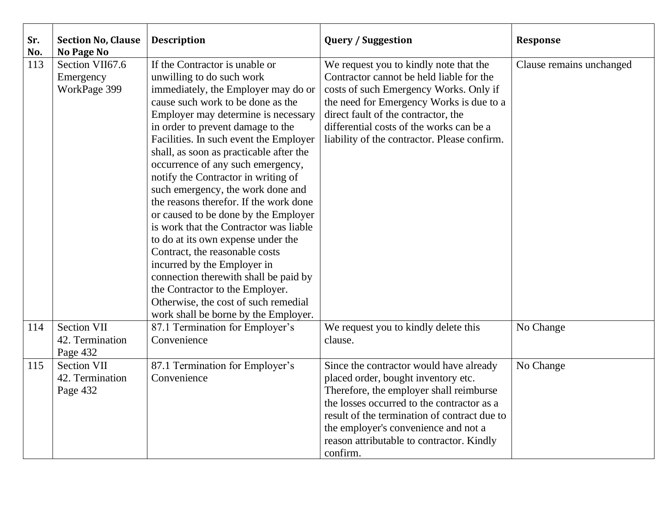| Sr.<br>No. | <b>Section No, Clause</b><br>No Page No           | <b>Description</b>                                                                                                                                                                                                                                                                                                                                                                                                                                                                                                                                                                                                                                                                                                                                                                                                       | <b>Query / Suggestion</b>                                                                                                                                                                                                                                                                                                | <b>Response</b>          |
|------------|---------------------------------------------------|--------------------------------------------------------------------------------------------------------------------------------------------------------------------------------------------------------------------------------------------------------------------------------------------------------------------------------------------------------------------------------------------------------------------------------------------------------------------------------------------------------------------------------------------------------------------------------------------------------------------------------------------------------------------------------------------------------------------------------------------------------------------------------------------------------------------------|--------------------------------------------------------------------------------------------------------------------------------------------------------------------------------------------------------------------------------------------------------------------------------------------------------------------------|--------------------------|
| 113        | Section VII67.6<br>Emergency<br>WorkPage 399      | If the Contractor is unable or<br>unwilling to do such work<br>immediately, the Employer may do or<br>cause such work to be done as the<br>Employer may determine is necessary<br>in order to prevent damage to the<br>Facilities. In such event the Employer<br>shall, as soon as practicable after the<br>occurrence of any such emergency,<br>notify the Contractor in writing of<br>such emergency, the work done and<br>the reasons therefor. If the work done<br>or caused to be done by the Employer<br>is work that the Contractor was liable<br>to do at its own expense under the<br>Contract, the reasonable costs<br>incurred by the Employer in<br>connection therewith shall be paid by<br>the Contractor to the Employer.<br>Otherwise, the cost of such remedial<br>work shall be borne by the Employer. | We request you to kindly note that the<br>Contractor cannot be held liable for the<br>costs of such Emergency Works. Only if<br>the need for Emergency Works is due to a<br>direct fault of the contractor, the<br>differential costs of the works can be a<br>liability of the contractor. Please confirm.              | Clause remains unchanged |
| 114        | <b>Section VII</b><br>42. Termination<br>Page 432 | 87.1 Termination for Employer's<br>Convenience                                                                                                                                                                                                                                                                                                                                                                                                                                                                                                                                                                                                                                                                                                                                                                           | We request you to kindly delete this<br>clause.                                                                                                                                                                                                                                                                          | No Change                |
| 115        | <b>Section VII</b><br>42. Termination<br>Page 432 | 87.1 Termination for Employer's<br>Convenience                                                                                                                                                                                                                                                                                                                                                                                                                                                                                                                                                                                                                                                                                                                                                                           | Since the contractor would have already<br>placed order, bought inventory etc.<br>Therefore, the employer shall reimburse<br>the losses occurred to the contractor as a<br>result of the termination of contract due to<br>the employer's convenience and not a<br>reason attributable to contractor. Kindly<br>confirm. | No Change                |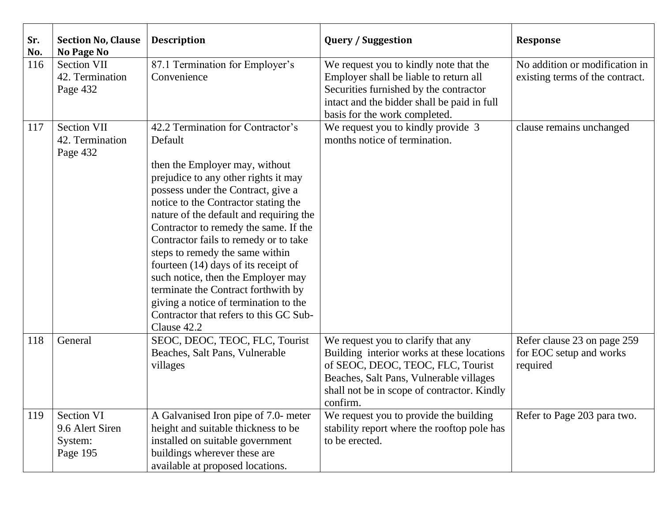| Sr.<br>No. | <b>Section No, Clause</b><br><b>No Page No</b>              | <b>Description</b>                                                                                                                                                                                                                                                                                                                                                                                                                                                                                                                                                                          | <b>Query / Suggestion</b>                                                                                                                                                                                                   | <b>Response</b>                                                    |
|------------|-------------------------------------------------------------|---------------------------------------------------------------------------------------------------------------------------------------------------------------------------------------------------------------------------------------------------------------------------------------------------------------------------------------------------------------------------------------------------------------------------------------------------------------------------------------------------------------------------------------------------------------------------------------------|-----------------------------------------------------------------------------------------------------------------------------------------------------------------------------------------------------------------------------|--------------------------------------------------------------------|
| 116        | <b>Section VII</b><br>42. Termination<br>Page 432           | 87.1 Termination for Employer's<br>Convenience                                                                                                                                                                                                                                                                                                                                                                                                                                                                                                                                              | We request you to kindly note that the<br>Employer shall be liable to return all<br>Securities furnished by the contractor<br>intact and the bidder shall be paid in full<br>basis for the work completed.                  | No addition or modification in<br>existing terms of the contract.  |
| 117        | <b>Section VII</b><br>42. Termination<br>Page 432           | 42.2 Termination for Contractor's<br>Default<br>then the Employer may, without<br>prejudice to any other rights it may<br>possess under the Contract, give a<br>notice to the Contractor stating the<br>nature of the default and requiring the<br>Contractor to remedy the same. If the<br>Contractor fails to remedy or to take<br>steps to remedy the same within<br>fourteen (14) days of its receipt of<br>such notice, then the Employer may<br>terminate the Contract forthwith by<br>giving a notice of termination to the<br>Contractor that refers to this GC Sub-<br>Clause 42.2 | We request you to kindly provide 3<br>months notice of termination.                                                                                                                                                         | clause remains unchanged                                           |
| 118        | General                                                     | SEOC, DEOC, TEOC, FLC, Tourist<br>Beaches, Salt Pans, Vulnerable<br>villages                                                                                                                                                                                                                                                                                                                                                                                                                                                                                                                | We request you to clarify that any<br>Building interior works at these locations<br>of SEOC, DEOC, TEOC, FLC, Tourist<br>Beaches, Salt Pans, Vulnerable villages<br>shall not be in scope of contractor. Kindly<br>confirm. | Refer clause 23 on page 259<br>for EOC setup and works<br>required |
| 119        | <b>Section VI</b><br>9.6 Alert Siren<br>System:<br>Page 195 | A Galvanised Iron pipe of 7.0- meter<br>height and suitable thickness to be<br>installed on suitable government<br>buildings wherever these are<br>available at proposed locations.                                                                                                                                                                                                                                                                                                                                                                                                         | We request you to provide the building<br>stability report where the rooftop pole has<br>to be erected.                                                                                                                     | Refer to Page 203 para two.                                        |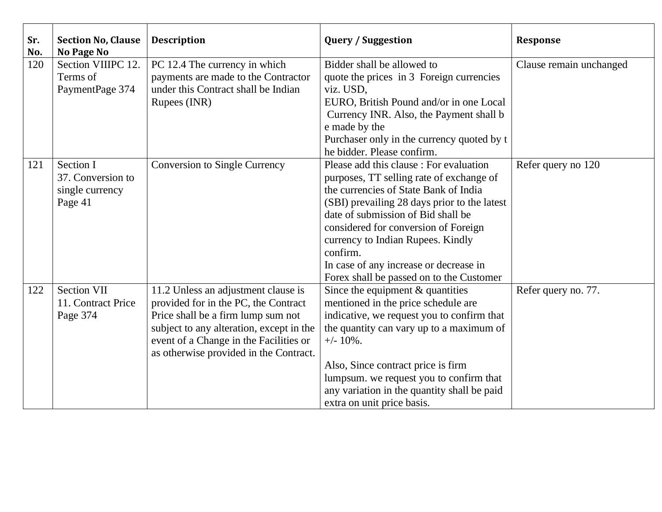| Sr.<br>No. | <b>Section No, Clause</b><br><b>No Page No</b>               | <b>Description</b>                                                                                                                                                                                                                                | <b>Query / Suggestion</b>                                                                                                                                                                                                                                                                                                                                                                         | <b>Response</b>         |
|------------|--------------------------------------------------------------|---------------------------------------------------------------------------------------------------------------------------------------------------------------------------------------------------------------------------------------------------|---------------------------------------------------------------------------------------------------------------------------------------------------------------------------------------------------------------------------------------------------------------------------------------------------------------------------------------------------------------------------------------------------|-------------------------|
| 120        | Section VIIIPC 12.<br>Terms of<br>PaymentPage 374            | PC 12.4 The currency in which<br>payments are made to the Contractor<br>under this Contract shall be Indian<br>Rupees (INR)                                                                                                                       | Bidder shall be allowed to<br>quote the prices in 3 Foreign currencies<br>viz. USD,<br>EURO, British Pound and/or in one Local<br>Currency INR. Also, the Payment shall b<br>e made by the<br>Purchaser only in the currency quoted by t<br>he bidder. Please confirm.                                                                                                                            | Clause remain unchanged |
| 121        | Section I<br>37. Conversion to<br>single currency<br>Page 41 | <b>Conversion to Single Currency</b>                                                                                                                                                                                                              | Please add this clause : For evaluation<br>purposes, TT selling rate of exchange of<br>the currencies of State Bank of India<br>(SBI) prevailing 28 days prior to the latest<br>date of submission of Bid shall be<br>considered for conversion of Foreign<br>currency to Indian Rupees. Kindly<br>confirm.<br>In case of any increase or decrease in<br>Forex shall be passed on to the Customer | Refer query no 120      |
| 122        | <b>Section VII</b><br>11. Contract Price<br>Page 374         | 11.2 Unless an adjustment clause is<br>provided for in the PC, the Contract<br>Price shall be a firm lump sum not<br>subject to any alteration, except in the<br>event of a Change in the Facilities or<br>as otherwise provided in the Contract. | Since the equipment $&$ quantities<br>mentioned in the price schedule are<br>indicative, we request you to confirm that<br>the quantity can vary up to a maximum of<br>$+/- 10\%$ .<br>Also, Since contract price is firm<br>lumpsum. we request you to confirm that<br>any variation in the quantity shall be paid<br>extra on unit price basis.                                                 | Refer query no. 77.     |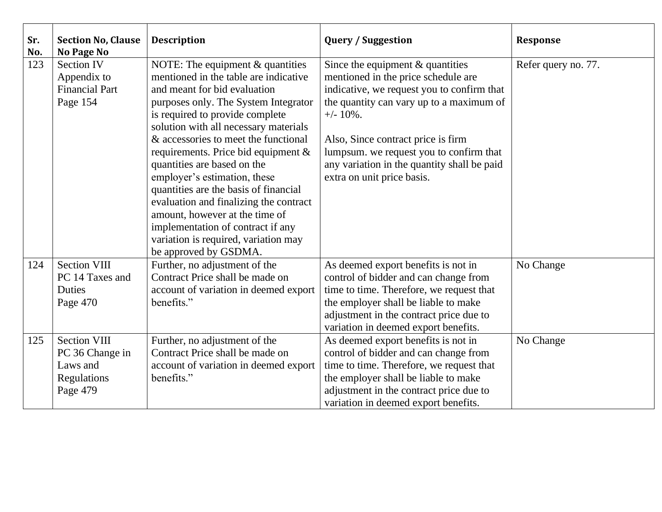| Sr.<br>No. | <b>Section No, Clause</b><br>No Page No                                       | <b>Description</b>                                                                                                                                                                                                                                                                                                                                                                                                                                                                                                                                                                                          | <b>Query / Suggestion</b>                                                                                                                                                                                                                                                                                                                         | <b>Response</b>     |
|------------|-------------------------------------------------------------------------------|-------------------------------------------------------------------------------------------------------------------------------------------------------------------------------------------------------------------------------------------------------------------------------------------------------------------------------------------------------------------------------------------------------------------------------------------------------------------------------------------------------------------------------------------------------------------------------------------------------------|---------------------------------------------------------------------------------------------------------------------------------------------------------------------------------------------------------------------------------------------------------------------------------------------------------------------------------------------------|---------------------|
| 123        | <b>Section IV</b><br>Appendix to<br><b>Financial Part</b><br>Page 154         | NOTE: The equipment $&$ quantities<br>mentioned in the table are indicative<br>and meant for bid evaluation<br>purposes only. The System Integrator<br>is required to provide complete<br>solution with all necessary materials<br>& accessories to meet the functional<br>requirements. Price bid equipment $\&$<br>quantities are based on the<br>employer's estimation, these<br>quantities are the basis of financial<br>evaluation and finalizing the contract<br>amount, however at the time of<br>implementation of contract if any<br>variation is required, variation may<br>be approved by GSDMA. | Since the equipment $&$ quantities<br>mentioned in the price schedule are<br>indicative, we request you to confirm that<br>the quantity can vary up to a maximum of<br>$+/- 10\%$ .<br>Also, Since contract price is firm<br>lumpsum. we request you to confirm that<br>any variation in the quantity shall be paid<br>extra on unit price basis. | Refer query no. 77. |
| 124        | <b>Section VIII</b><br>PC 14 Taxes and<br>Duties<br>Page 470                  | Further, no adjustment of the<br>Contract Price shall be made on<br>account of variation in deemed export<br>benefits."                                                                                                                                                                                                                                                                                                                                                                                                                                                                                     | As deemed export benefits is not in<br>control of bidder and can change from<br>time to time. Therefore, we request that<br>the employer shall be liable to make<br>adjustment in the contract price due to<br>variation in deemed export benefits.                                                                                               | No Change           |
| 125        | <b>Section VIII</b><br>PC 36 Change in<br>Laws and<br>Regulations<br>Page 479 | Further, no adjustment of the<br>Contract Price shall be made on<br>account of variation in deemed export<br>benefits."                                                                                                                                                                                                                                                                                                                                                                                                                                                                                     | As deemed export benefits is not in<br>control of bidder and can change from<br>time to time. Therefore, we request that<br>the employer shall be liable to make<br>adjustment in the contract price due to<br>variation in deemed export benefits.                                                                                               | No Change           |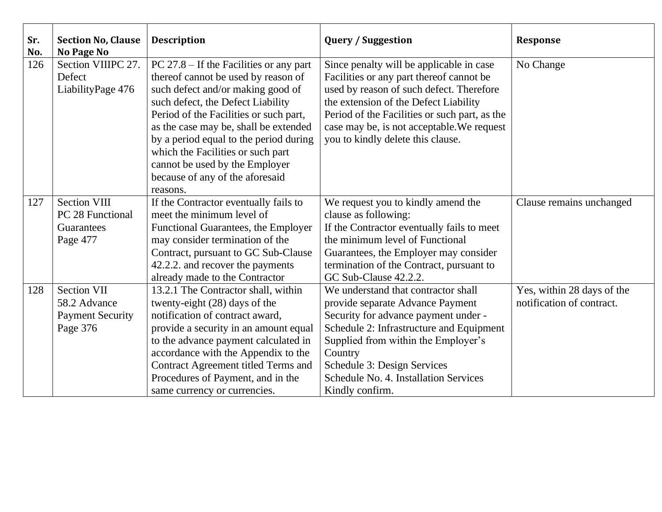| Sr.<br>No. | <b>Section No, Clause</b><br><b>No Page No</b> | <b>Description</b>                                                  | <b>Query / Suggestion</b>                     | <b>Response</b>            |
|------------|------------------------------------------------|---------------------------------------------------------------------|-----------------------------------------------|----------------------------|
| 126        | Section VIIIPC 27.                             | $PC 27.8 - If the Facilities or any part$                           | Since penalty will be applicable in case      | No Change                  |
|            | Defect                                         | thereof cannot be used by reason of                                 | Facilities or any part thereof cannot be      |                            |
|            | LiabilityPage 476                              | such defect and/or making good of                                   | used by reason of such defect. Therefore      |                            |
|            |                                                | such defect, the Defect Liability                                   | the extension of the Defect Liability         |                            |
|            |                                                | Period of the Facilities or such part,                              | Period of the Facilities or such part, as the |                            |
|            |                                                | as the case may be, shall be extended                               | case may be, is not acceptable. We request    |                            |
|            |                                                | by a period equal to the period during                              | you to kindly delete this clause.             |                            |
|            |                                                | which the Facilities or such part<br>cannot be used by the Employer |                                               |                            |
|            |                                                | because of any of the aforesaid                                     |                                               |                            |
|            |                                                | reasons.                                                            |                                               |                            |
| 127        | <b>Section VIII</b>                            | If the Contractor eventually fails to                               | We request you to kindly amend the            | Clause remains unchanged   |
|            | PC 28 Functional                               | meet the minimum level of                                           | clause as following:                          |                            |
|            | Guarantees                                     | Functional Guarantees, the Employer                                 | If the Contractor eventually fails to meet    |                            |
|            | Page 477                                       | may consider termination of the                                     | the minimum level of Functional               |                            |
|            |                                                | Contract, pursuant to GC Sub-Clause                                 | Guarantees, the Employer may consider         |                            |
|            |                                                | 42.2.2. and recover the payments                                    | termination of the Contract, pursuant to      |                            |
|            |                                                | already made to the Contractor                                      | GC Sub-Clause 42.2.2.                         |                            |
| 128        | <b>Section VII</b>                             | 13.2.1 The Contractor shall, within                                 | We understand that contractor shall           | Yes, within 28 days of the |
|            | 58.2 Advance                                   | twenty-eight (28) days of the                                       | provide separate Advance Payment              | notification of contract.  |
|            | <b>Payment Security</b>                        | notification of contract award,                                     | Security for advance payment under -          |                            |
|            | Page 376                                       | provide a security in an amount equal                               | Schedule 2: Infrastructure and Equipment      |                            |
|            |                                                | to the advance payment calculated in                                | Supplied from within the Employer's           |                            |
|            |                                                | accordance with the Appendix to the                                 | Country                                       |                            |
|            |                                                | Contract Agreement titled Terms and                                 | Schedule 3: Design Services                   |                            |
|            |                                                | Procedures of Payment, and in the                                   | Schedule No. 4. Installation Services         |                            |
|            |                                                | same currency or currencies.                                        | Kindly confirm.                               |                            |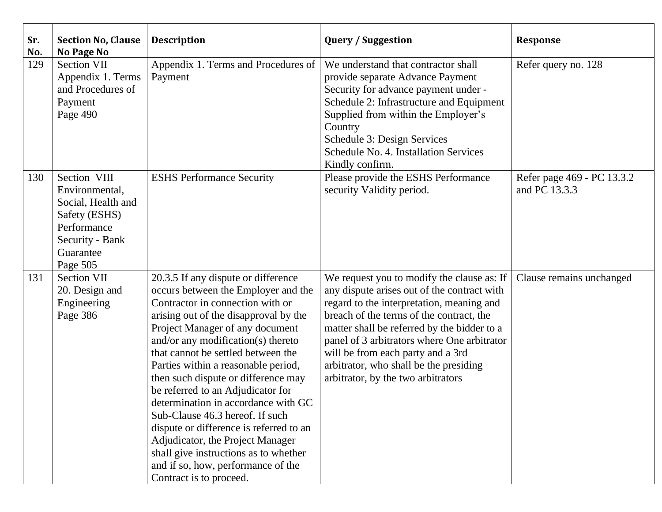| Sr.<br>No. | <b>Section No, Clause</b><br><b>No Page No</b>                                                                                   | <b>Description</b>                                                                                                                                                                                                                                                                                                                                                                                                                                                                                                                                                                                                                                           | <b>Query / Suggestion</b>                                                                                                                                                                                                                                                                                                                                                                             | <b>Response</b>                             |
|------------|----------------------------------------------------------------------------------------------------------------------------------|--------------------------------------------------------------------------------------------------------------------------------------------------------------------------------------------------------------------------------------------------------------------------------------------------------------------------------------------------------------------------------------------------------------------------------------------------------------------------------------------------------------------------------------------------------------------------------------------------------------------------------------------------------------|-------------------------------------------------------------------------------------------------------------------------------------------------------------------------------------------------------------------------------------------------------------------------------------------------------------------------------------------------------------------------------------------------------|---------------------------------------------|
| 129        | <b>Section VII</b><br>Appendix 1. Terms<br>and Procedures of<br>Payment<br>Page 490                                              | Appendix 1. Terms and Procedures of<br>Payment                                                                                                                                                                                                                                                                                                                                                                                                                                                                                                                                                                                                               | We understand that contractor shall<br>provide separate Advance Payment<br>Security for advance payment under -<br>Schedule 2: Infrastructure and Equipment<br>Supplied from within the Employer's<br>Country<br>Schedule 3: Design Services<br>Schedule No. 4. Installation Services<br>Kindly confirm.                                                                                              | Refer query no. 128                         |
| 130        | Section VIII<br>Environmental,<br>Social, Health and<br>Safety (ESHS)<br>Performance<br>Security - Bank<br>Guarantee<br>Page 505 | <b>ESHS Performance Security</b>                                                                                                                                                                                                                                                                                                                                                                                                                                                                                                                                                                                                                             | Please provide the ESHS Performance<br>security Validity period.                                                                                                                                                                                                                                                                                                                                      | Refer page 469 - PC 13.3.2<br>and PC 13.3.3 |
| 131        | <b>Section VII</b><br>20. Design and<br>Engineering<br>Page 386                                                                  | 20.3.5 If any dispute or difference<br>occurs between the Employer and the<br>Contractor in connection with or<br>arising out of the disapproval by the<br>Project Manager of any document<br>and/or any modification(s) thereto<br>that cannot be settled between the<br>Parties within a reasonable period,<br>then such dispute or difference may<br>be referred to an Adjudicator for<br>determination in accordance with GC<br>Sub-Clause 46.3 hereof. If such<br>dispute or difference is referred to an<br>Adjudicator, the Project Manager<br>shall give instructions as to whether<br>and if so, how, performance of the<br>Contract is to proceed. | We request you to modify the clause as: If<br>any dispute arises out of the contract with<br>regard to the interpretation, meaning and<br>breach of the terms of the contract, the<br>matter shall be referred by the bidder to a<br>panel of 3 arbitrators where One arbitrator<br>will be from each party and a 3rd<br>arbitrator, who shall be the presiding<br>arbitrator, by the two arbitrators | Clause remains unchanged                    |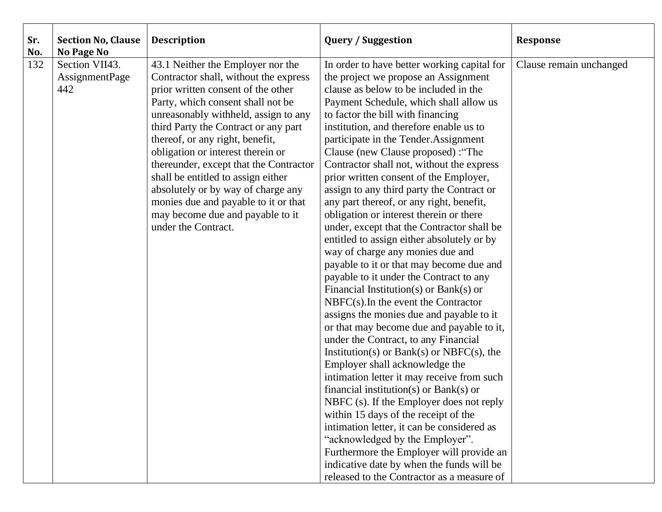| Sr.<br>No. | <b>Section No, Clause</b><br><b>No Page No</b> | <b>Description</b>                                                                                                                                                                                                                                                                                                                                                                                                                                                                                                                     | <b>Query / Suggestion</b>                                                                                                                                                                                                                                                                                                                                                                                                                                                                                                                                                                                                                                                                                                                                                                                                                                                                                                                                                                                                                                                                                                                                                                                                                                                                                                                                                                                                                                                                         | <b>Response</b>         |
|------------|------------------------------------------------|----------------------------------------------------------------------------------------------------------------------------------------------------------------------------------------------------------------------------------------------------------------------------------------------------------------------------------------------------------------------------------------------------------------------------------------------------------------------------------------------------------------------------------------|---------------------------------------------------------------------------------------------------------------------------------------------------------------------------------------------------------------------------------------------------------------------------------------------------------------------------------------------------------------------------------------------------------------------------------------------------------------------------------------------------------------------------------------------------------------------------------------------------------------------------------------------------------------------------------------------------------------------------------------------------------------------------------------------------------------------------------------------------------------------------------------------------------------------------------------------------------------------------------------------------------------------------------------------------------------------------------------------------------------------------------------------------------------------------------------------------------------------------------------------------------------------------------------------------------------------------------------------------------------------------------------------------------------------------------------------------------------------------------------------------|-------------------------|
| 132        | Section VII43.<br><b>AssignmentPage</b><br>442 | 43.1 Neither the Employer nor the<br>Contractor shall, without the express<br>prior written consent of the other<br>Party, which consent shall not be<br>unreasonably withheld, assign to any<br>third Party the Contract or any part<br>thereof, or any right, benefit,<br>obligation or interest therein or<br>thereunder, except that the Contractor<br>shall be entitled to assign either<br>absolutely or by way of charge any<br>monies due and payable to it or that<br>may become due and payable to it<br>under the Contract. | In order to have better working capital for<br>the project we propose an Assignment<br>clause as below to be included in the<br>Payment Schedule, which shall allow us<br>to factor the bill with financing<br>institution, and therefore enable us to<br>participate in the Tender. Assignment<br>Clause (new Clause proposed) : "The<br>Contractor shall not, without the express<br>prior written consent of the Employer,<br>assign to any third party the Contract or<br>any part thereof, or any right, benefit,<br>obligation or interest therein or there<br>under, except that the Contractor shall be<br>entitled to assign either absolutely or by<br>way of charge any monies due and<br>payable to it or that may become due and<br>payable to it under the Contract to any<br>Financial Institution(s) or Bank(s) or<br>$NBFC(s)$ . In the event the Contractor<br>assigns the monies due and payable to it<br>or that may become due and payable to it,<br>under the Contract, to any Financial<br>Institution(s) or Bank(s) or NBFC(s), the<br>Employer shall acknowledge the<br>intimation letter it may receive from such<br>financial institution(s) or Bank(s) or<br>NBFC (s). If the Employer does not reply<br>within 15 days of the receipt of the<br>intimation letter, it can be considered as<br>"acknowledged by the Employer".<br>Furthermore the Employer will provide an<br>indicative date by when the funds will be<br>released to the Contractor as a measure of | Clause remain unchanged |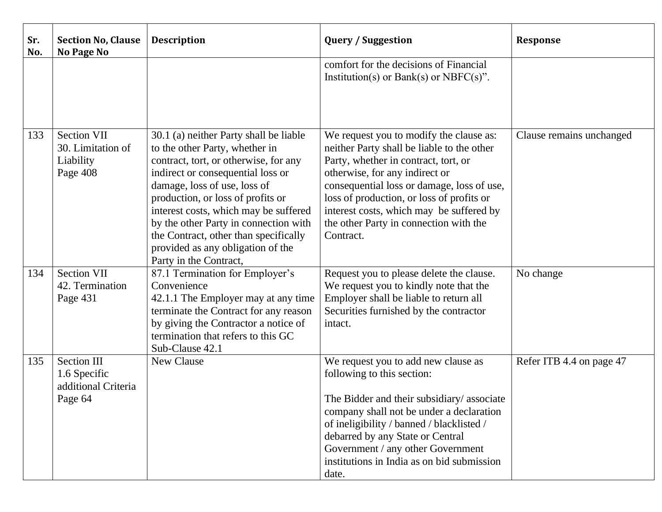| Sr.<br>No. | <b>Section No, Clause</b><br><b>No Page No</b>                       | <b>Description</b>                                                                                                                                                                                                                                                                                                                                                                                                    | <b>Query / Suggestion</b>                                                                                                                                                                                                                                                                                                                                     | <b>Response</b>          |
|------------|----------------------------------------------------------------------|-----------------------------------------------------------------------------------------------------------------------------------------------------------------------------------------------------------------------------------------------------------------------------------------------------------------------------------------------------------------------------------------------------------------------|---------------------------------------------------------------------------------------------------------------------------------------------------------------------------------------------------------------------------------------------------------------------------------------------------------------------------------------------------------------|--------------------------|
|            |                                                                      |                                                                                                                                                                                                                                                                                                                                                                                                                       | comfort for the decisions of Financial<br>Institution(s) or Bank(s) or NBFC(s)".                                                                                                                                                                                                                                                                              |                          |
| 133        | <b>Section VII</b><br>30. Limitation of<br>Liability<br>Page 408     | 30.1 (a) neither Party shall be liable<br>to the other Party, whether in<br>contract, tort, or otherwise, for any<br>indirect or consequential loss or<br>damage, loss of use, loss of<br>production, or loss of profits or<br>interest costs, which may be suffered<br>by the other Party in connection with<br>the Contract, other than specifically<br>provided as any obligation of the<br>Party in the Contract, | We request you to modify the clause as:<br>neither Party shall be liable to the other<br>Party, whether in contract, tort, or<br>otherwise, for any indirect or<br>consequential loss or damage, loss of use,<br>loss of production, or loss of profits or<br>interest costs, which may be suffered by<br>the other Party in connection with the<br>Contract. | Clause remains unchanged |
| 134        | <b>Section VII</b><br>42. Termination<br>Page 431                    | 87.1 Termination for Employer's<br>Convenience<br>42.1.1 The Employer may at any time<br>terminate the Contract for any reason<br>by giving the Contractor a notice of<br>termination that refers to this GC<br>Sub-Clause 42.1                                                                                                                                                                                       | Request you to please delete the clause.<br>We request you to kindly note that the<br>Employer shall be liable to return all<br>Securities furnished by the contractor<br>intact.                                                                                                                                                                             | No change                |
| 135        | <b>Section III</b><br>1.6 Specific<br>additional Criteria<br>Page 64 | New Clause                                                                                                                                                                                                                                                                                                                                                                                                            | We request you to add new clause as<br>following to this section:<br>The Bidder and their subsidiary/associate<br>company shall not be under a declaration<br>of ineligibility / banned / blacklisted /<br>debarred by any State or Central<br>Government / any other Government<br>institutions in India as on bid submission<br>date.                       | Refer ITB 4.4 on page 47 |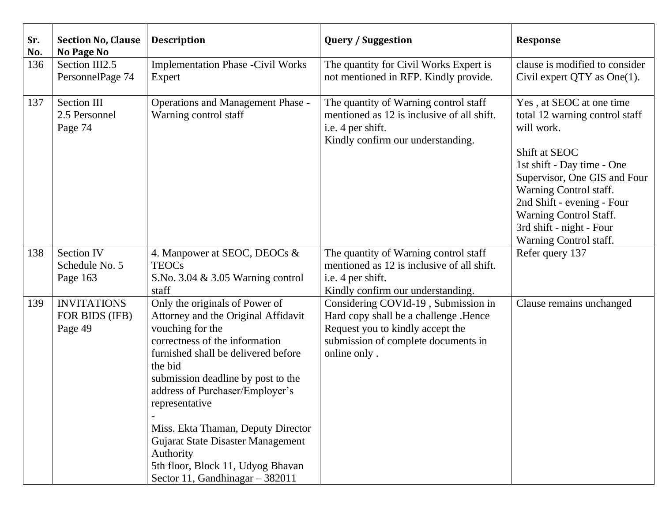| Sr.<br>No. | <b>Section No, Clause</b><br><b>No Page No</b>  | <b>Description</b>                                                                                                                                                                                                                                                                                                                                                                                                                       | <b>Query / Suggestion</b>                                                                                                                                               | <b>Response</b>                                                                                                                                                                                                                                                                                 |
|------------|-------------------------------------------------|------------------------------------------------------------------------------------------------------------------------------------------------------------------------------------------------------------------------------------------------------------------------------------------------------------------------------------------------------------------------------------------------------------------------------------------|-------------------------------------------------------------------------------------------------------------------------------------------------------------------------|-------------------------------------------------------------------------------------------------------------------------------------------------------------------------------------------------------------------------------------------------------------------------------------------------|
| 136        | Section III2.5<br>PersonnelPage 74              | <b>Implementation Phase -Civil Works</b><br>Expert                                                                                                                                                                                                                                                                                                                                                                                       | The quantity for Civil Works Expert is<br>not mentioned in RFP. Kindly provide.                                                                                         | clause is modified to consider<br>Civil expert $QTY$ as $One(1)$ .                                                                                                                                                                                                                              |
| 137        | Section III<br>2.5 Personnel<br>Page 74         | <b>Operations and Management Phase -</b><br>Warning control staff                                                                                                                                                                                                                                                                                                                                                                        | The quantity of Warning control staff<br>mentioned as 12 is inclusive of all shift.<br>i.e. 4 per shift.<br>Kindly confirm our understanding.                           | Yes, at SEOC at one time<br>total 12 warning control staff<br>will work.<br>Shift at SEOC<br>1st shift - Day time - One<br>Supervisor, One GIS and Four<br>Warning Control staff.<br>2nd Shift - evening - Four<br>Warning Control Staff.<br>3rd shift - night - Four<br>Warning Control staff. |
| 138        | <b>Section IV</b><br>Schedule No. 5<br>Page 163 | 4. Manpower at SEOC, DEOCs &<br><b>TEOCs</b><br>S.No. 3.04 & 3.05 Warning control<br>staff                                                                                                                                                                                                                                                                                                                                               | The quantity of Warning control staff<br>mentioned as 12 is inclusive of all shift.<br>i.e. 4 per shift.<br>Kindly confirm our understanding.                           | Refer query 137                                                                                                                                                                                                                                                                                 |
| 139        | <b>INVITATIONS</b><br>FOR BIDS (IFB)<br>Page 49 | Only the originals of Power of<br>Attorney and the Original Affidavit<br>vouching for the<br>correctness of the information<br>furnished shall be delivered before<br>the bid<br>submission deadline by post to the<br>address of Purchaser/Employer's<br>representative<br>Miss. Ekta Thaman, Deputy Director<br>Gujarat State Disaster Management<br>Authority<br>5th floor, Block 11, Udyog Bhavan<br>Sector 11, Gandhinagar - 382011 | Considering COVId-19, Submission in<br>Hard copy shall be a challenge .Hence<br>Request you to kindly accept the<br>submission of complete documents in<br>online only. | Clause remains unchanged                                                                                                                                                                                                                                                                        |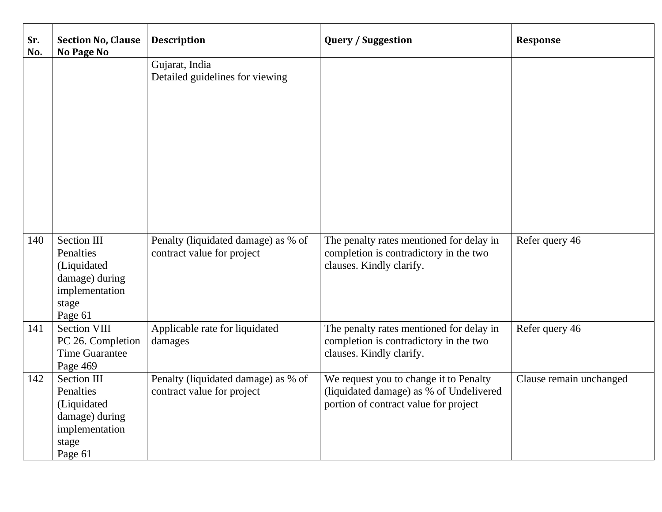| Sr.<br>No. | <b>Section No, Clause</b><br><b>No Page No</b>                                                         | <b>Description</b>                                                | <b>Query / Suggestion</b>                                                                                                  | <b>Response</b>         |
|------------|--------------------------------------------------------------------------------------------------------|-------------------------------------------------------------------|----------------------------------------------------------------------------------------------------------------------------|-------------------------|
|            |                                                                                                        | Gujarat, India<br>Detailed guidelines for viewing                 |                                                                                                                            |                         |
| 140        | <b>Section III</b><br>Penalties<br>(Liquidated<br>damage) during<br>implementation<br>stage<br>Page 61 | Penalty (liquidated damage) as % of<br>contract value for project | The penalty rates mentioned for delay in<br>completion is contradictory in the two<br>clauses. Kindly clarify.             | Refer query 46          |
| 141        | <b>Section VIII</b><br>PC 26. Completion<br><b>Time Guarantee</b><br>Page 469                          | Applicable rate for liquidated<br>damages                         | The penalty rates mentioned for delay in<br>completion is contradictory in the two<br>clauses. Kindly clarify.             | Refer query 46          |
| 142        | <b>Section III</b><br>Penalties<br>(Liquidated<br>damage) during<br>implementation<br>stage<br>Page 61 | Penalty (liquidated damage) as % of<br>contract value for project | We request you to change it to Penalty<br>(liquidated damage) as % of Undelivered<br>portion of contract value for project | Clause remain unchanged |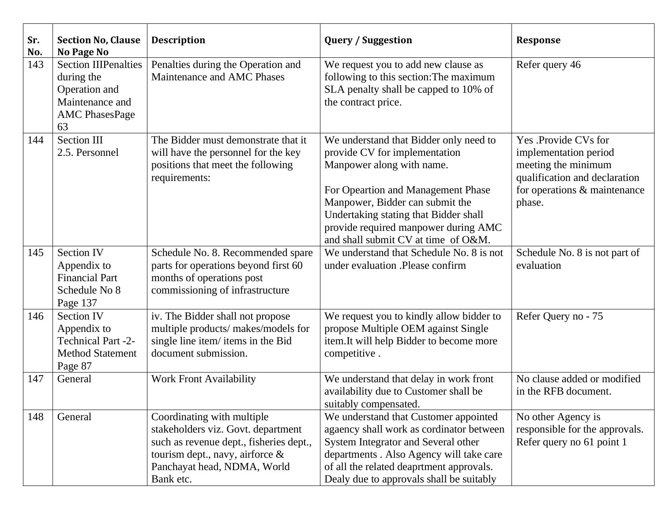| Sr.<br>No. | <b>Section No, Clause</b><br><b>No Page No</b>                                                               | <b>Description</b>                                                                                                                                                                            | <b>Query / Suggestion</b>                                                                                                                                                                                                                                                                             | <b>Response</b>                                                                                                                                 |
|------------|--------------------------------------------------------------------------------------------------------------|-----------------------------------------------------------------------------------------------------------------------------------------------------------------------------------------------|-------------------------------------------------------------------------------------------------------------------------------------------------------------------------------------------------------------------------------------------------------------------------------------------------------|-------------------------------------------------------------------------------------------------------------------------------------------------|
| 143        | <b>Section IIIPenalties</b><br>during the<br>Operation and<br>Maintenance and<br><b>AMC PhasesPage</b><br>63 | Penalties during the Operation and<br>Maintenance and AMC Phases                                                                                                                              | We request you to add new clause as<br>following to this section: The maximum<br>SLA penalty shall be capped to 10% of<br>the contract price.                                                                                                                                                         | Refer query 46                                                                                                                                  |
| 144        | <b>Section III</b><br>2.5. Personnel                                                                         | The Bidder must demonstrate that it<br>will have the personnel for the key<br>positions that meet the following<br>requirements:                                                              | We understand that Bidder only need to<br>provide CV for implementation<br>Manpower along with name.<br>For Opeartion and Management Phase<br>Manpower, Bidder can submit the<br>Undertaking stating that Bidder shall<br>provide required manpower during AMC<br>and shall submit CV at time of O&M. | Yes .Provide CVs for<br>implementation period<br>meeting the minimum<br>qualification and declaration<br>for operations & maintenance<br>phase. |
| 145        | <b>Section IV</b><br>Appendix to<br><b>Financial Part</b><br>Schedule No 8<br>Page 137                       | Schedule No. 8. Recommended spare<br>parts for operations beyond first 60<br>months of operations post<br>commissioning of infrastructure                                                     | We understand that Schedule No. 8 is not<br>under evaluation .Please confirm                                                                                                                                                                                                                          | Schedule No. 8 is not part of<br>evaluation                                                                                                     |
| 146        | <b>Section IV</b><br>Appendix to<br><b>Technical Part -2-</b><br><b>Method Statement</b><br>Page 87          | iv. The Bidder shall not propose<br>multiple products/ makes/models for<br>single line item/items in the Bid<br>document submission.                                                          | We request you to kindly allow bidder to<br>propose Multiple OEM against Single<br>item.It will help Bidder to become more<br>competitive.                                                                                                                                                            | Refer Query no - 75                                                                                                                             |
| 147        | General                                                                                                      | <b>Work Front Availability</b>                                                                                                                                                                | We understand that delay in work front<br>availability due to Customer shall be<br>suitably compensated.                                                                                                                                                                                              | No clause added or modified<br>in the RFB document.                                                                                             |
| 148        | General                                                                                                      | Coordinating with multiple<br>stakeholders viz. Govt. department<br>such as revenue dept., fisheries dept.,<br>tourism dept., navy, airforce $\&$<br>Panchayat head, NDMA, World<br>Bank etc. | We understand that Customer appointed<br>agaency shall work as cordinator between<br>System Integrator and Several other<br>departments . Also Agency will take care<br>of all the related deaprtment approvals.<br>Dealy due to approvals shall be suitably                                          | No other Agency is<br>responsible for the approvals.<br>Refer query no 61 point 1                                                               |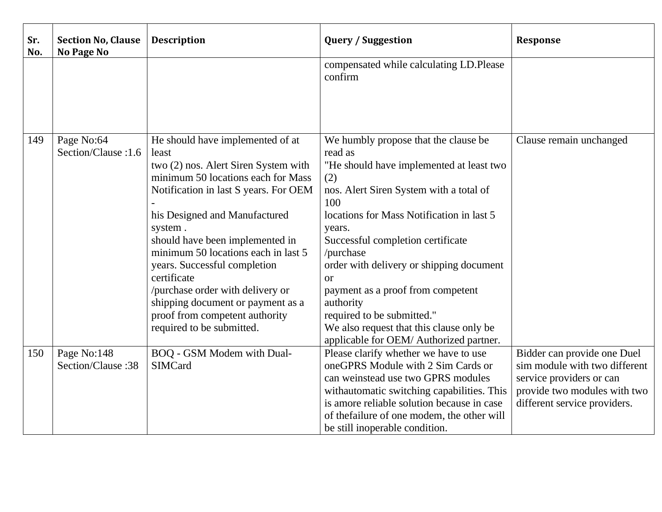| Sr.<br>No. | <b>Section No, Clause</b><br><b>No Page No</b> | <b>Description</b>                           | <b>Query / Suggestion</b>                                                   | Response                                                     |
|------------|------------------------------------------------|----------------------------------------------|-----------------------------------------------------------------------------|--------------------------------------------------------------|
|            |                                                |                                              | compensated while calculating LD.Please<br>confirm                          |                                                              |
|            |                                                |                                              |                                                                             |                                                              |
| 149        | Page No:64                                     | He should have implemented of at             | We humbly propose that the clause be                                        | Clause remain unchanged                                      |
|            | Section/Clause: 1.6                            | least                                        | read as                                                                     |                                                              |
|            |                                                | two (2) nos. Alert Siren System with         | "He should have implemented at least two                                    |                                                              |
|            |                                                | minimum 50 locations each for Mass           | (2)                                                                         |                                                              |
|            |                                                | Notification in last S years. For OEM        | nos. Alert Siren System with a total of<br>100                              |                                                              |
|            |                                                | his Designed and Manufactured                | locations for Mass Notification in last 5                                   |                                                              |
|            |                                                | system.                                      | years.                                                                      |                                                              |
|            |                                                | should have been implemented in              | Successful completion certificate                                           |                                                              |
|            |                                                | minimum 50 locations each in last 5          | /purchase                                                                   |                                                              |
|            |                                                | years. Successful completion                 | order with delivery or shipping document                                    |                                                              |
|            |                                                | certificate                                  | <b>or</b>                                                                   |                                                              |
|            |                                                | /purchase order with delivery or             | payment as a proof from competent                                           |                                                              |
|            |                                                | shipping document or payment as a            | authority                                                                   |                                                              |
|            |                                                | proof from competent authority               | required to be submitted."                                                  |                                                              |
|            |                                                | required to be submitted.                    | We also request that this clause only be                                    |                                                              |
|            |                                                |                                              | applicable for OEM/Authorized partner.                                      |                                                              |
| 150        | Page No:148<br>Section/Clause: 38              | BOQ - GSM Modem with Dual-<br><b>SIMCard</b> | Please clarify whether we have to use<br>oneGPRS Module with 2 Sim Cards or | Bidder can provide one Duel<br>sim module with two different |
|            |                                                |                                              | can weinstead use two GPRS modules                                          | service providers or can                                     |
|            |                                                |                                              | withautomatic switching capabilities. This                                  | provide two modules with two                                 |
|            |                                                |                                              | is amore reliable solution because in case                                  | different service providers.                                 |
|            |                                                |                                              | of thefailure of one modem, the other will                                  |                                                              |
|            |                                                |                                              | be still inoperable condition.                                              |                                                              |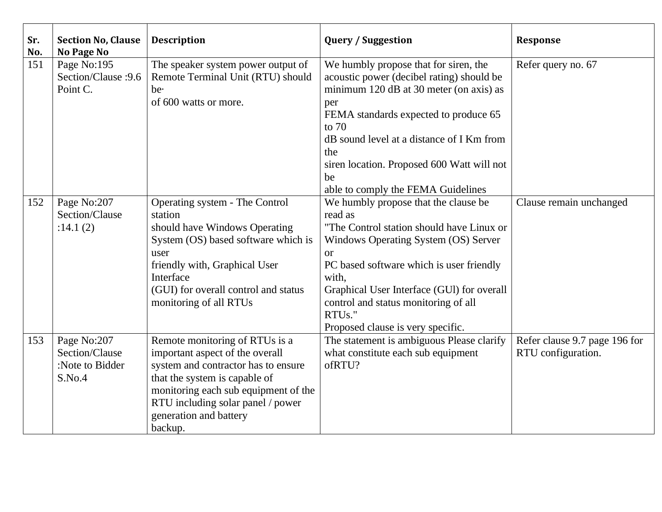| Sr.<br>No. | <b>Section No, Clause</b><br>No Page No                    | <b>Description</b>                                                                                                                                                                                                                                          | <b>Query / Suggestion</b>                                                                                                                                                                                                                                                                                                                                                                     | <b>Response</b>                                     |
|------------|------------------------------------------------------------|-------------------------------------------------------------------------------------------------------------------------------------------------------------------------------------------------------------------------------------------------------------|-----------------------------------------------------------------------------------------------------------------------------------------------------------------------------------------------------------------------------------------------------------------------------------------------------------------------------------------------------------------------------------------------|-----------------------------------------------------|
| 151        | Page No:195<br>Section/Clause : 9.6<br>Point C.            | The speaker system power output of<br>Remote Terminal Unit (RTU) should<br>be.<br>of 600 watts or more.                                                                                                                                                     | We humbly propose that for siren, the<br>acoustic power (decibel rating) should be<br>minimum 120 dB at 30 meter (on axis) as<br>per<br>FEMA standards expected to produce 65<br>to $70$<br>dB sound level at a distance of I Km from<br>the<br>siren location. Proposed 600 Watt will not<br>be                                                                                              | Refer query no. 67                                  |
| 152        | Page No:207<br>Section/Clause<br>:14.1(2)                  | Operating system - The Control<br>station<br>should have Windows Operating<br>System (OS) based software which is<br>user<br>friendly with, Graphical User<br>Interface<br>(GUI) for overall control and status<br>monitoring of all RTUs                   | able to comply the FEMA Guidelines<br>We humbly propose that the clause be<br>read as<br>"The Control station should have Linux or<br>Windows Operating System (OS) Server<br><b>or</b><br>PC based software which is user friendly<br>with,<br>Graphical User Interface (GUI) for overall<br>control and status monitoring of all<br>RTU <sub>s."</sub><br>Proposed clause is very specific. | Clause remain unchanged                             |
| 153        | Page No:207<br>Section/Clause<br>:Note to Bidder<br>S.No.4 | Remote monitoring of RTUs is a<br>important aspect of the overall<br>system and contractor has to ensure<br>that the system is capable of<br>monitoring each sub equipment of the<br>RTU including solar panel / power<br>generation and battery<br>backup. | The statement is ambiguous Please clarify<br>what constitute each sub equipment<br>ofRTU?                                                                                                                                                                                                                                                                                                     | Refer clause 9.7 page 196 for<br>RTU configuration. |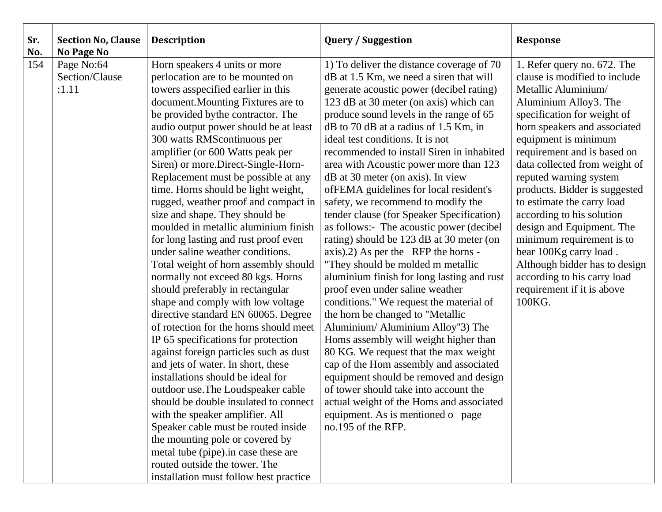| Sr.<br>No. | <b>Section No, Clause</b><br>No Page No | <b>Description</b>                                                                                                                                                                                                                                                                                                                                                                                                                                                                                                                                                                                                                                                                                                                                                                                                                                                                                                                                                                                                                                                                                                                                                                                                                                                                                                                 | <b>Query / Suggestion</b>                                                                                                                                                                                                                                                                                                                                                                                                                                                                                                                                                                                                                                                                                                                                                                                                                                                                                                                                                                                                                                                                                                                                                                                                                                  | Response                                                                                                                                                                                                                                                                                                                                                                                                                                                                                                                                                                              |
|------------|-----------------------------------------|------------------------------------------------------------------------------------------------------------------------------------------------------------------------------------------------------------------------------------------------------------------------------------------------------------------------------------------------------------------------------------------------------------------------------------------------------------------------------------------------------------------------------------------------------------------------------------------------------------------------------------------------------------------------------------------------------------------------------------------------------------------------------------------------------------------------------------------------------------------------------------------------------------------------------------------------------------------------------------------------------------------------------------------------------------------------------------------------------------------------------------------------------------------------------------------------------------------------------------------------------------------------------------------------------------------------------------|------------------------------------------------------------------------------------------------------------------------------------------------------------------------------------------------------------------------------------------------------------------------------------------------------------------------------------------------------------------------------------------------------------------------------------------------------------------------------------------------------------------------------------------------------------------------------------------------------------------------------------------------------------------------------------------------------------------------------------------------------------------------------------------------------------------------------------------------------------------------------------------------------------------------------------------------------------------------------------------------------------------------------------------------------------------------------------------------------------------------------------------------------------------------------------------------------------------------------------------------------------|---------------------------------------------------------------------------------------------------------------------------------------------------------------------------------------------------------------------------------------------------------------------------------------------------------------------------------------------------------------------------------------------------------------------------------------------------------------------------------------------------------------------------------------------------------------------------------------|
| 154        | Page No:64<br>Section/Clause<br>:1.11   | Horn speakers 4 units or more<br>perlocation are to be mounted on<br>towers asspecified earlier in this<br>document. Mounting Fixtures are to<br>be provided by the contractor. The<br>audio output power should be at least<br>300 watts RMScontinuous per<br>amplifier (or 600 Watts peak per<br>Siren) or more.Direct-Single-Horn-<br>Replacement must be possible at any<br>time. Horns should be light weight,<br>rugged, weather proof and compact in<br>size and shape. They should be<br>moulded in metallic aluminium finish<br>for long lasting and rust proof even<br>under saline weather conditions.<br>Total weight of horn assembly should<br>normally not exceed 80 kgs. Horns<br>should preferably in rectangular<br>shape and comply with low voltage<br>directive standard EN 60065. Degree<br>of rotection for the horns should meet<br>IP 65 specifications for protection<br>against foreign particles such as dust<br>and jets of water. In short, these<br>installations should be ideal for<br>outdoor use. The Loudspeaker cable<br>should be double insulated to connect<br>with the speaker amplifier. All<br>Speaker cable must be routed inside<br>the mounting pole or covered by<br>metal tube (pipe).in case these are<br>routed outside the tower. The<br>installation must follow best practice | 1) To deliver the distance coverage of 70<br>dB at 1.5 Km, we need a siren that will<br>generate acoustic power (decibel rating)<br>123 dB at 30 meter (on axis) which can<br>produce sound levels in the range of 65<br>dB to 70 dB at a radius of 1.5 Km, in<br>ideal test conditions. It is not<br>recommended to install Siren in inhabited<br>area with Acoustic power more than 123<br>dB at 30 meter (on axis). In view<br>ofFEMA guidelines for local resident's<br>safety, we recommend to modify the<br>tender clause (for Speaker Specification)<br>as follows:- The acoustic power (decibel<br>rating) should be 123 dB at 30 meter (on<br>axis).2) As per the RFP the horns -<br>"They should be molded m metallic<br>aluminium finish for long lasting and rust<br>proof even under saline weather<br>conditions." We request the material of<br>the horn be changed to "Metallic<br>Aluminium/ Aluminium Alloy"3) The<br>Homs assembly will weight higher than<br>80 KG. We request that the max weight<br>cap of the Hom assembly and associated<br>equipment should be removed and design<br>of tower should take into account the<br>actual weight of the Homs and associated<br>equipment. As is mentioned o page<br>no.195 of the RFP. | 1. Refer query no. 672. The<br>clause is modified to include<br>Metallic Aluminium/<br>Aluminium Alloy3. The<br>specification for weight of<br>horn speakers and associated<br>equipment is minimum<br>requirement and is based on<br>data collected from weight of<br>reputed warning system<br>products. Bidder is suggested<br>to estimate the carry load<br>according to his solution<br>design and Equipment. The<br>minimum requirement is to<br>bear 100Kg carry load.<br>Although bidder has to design<br>according to his carry load<br>requirement if it is above<br>100KG. |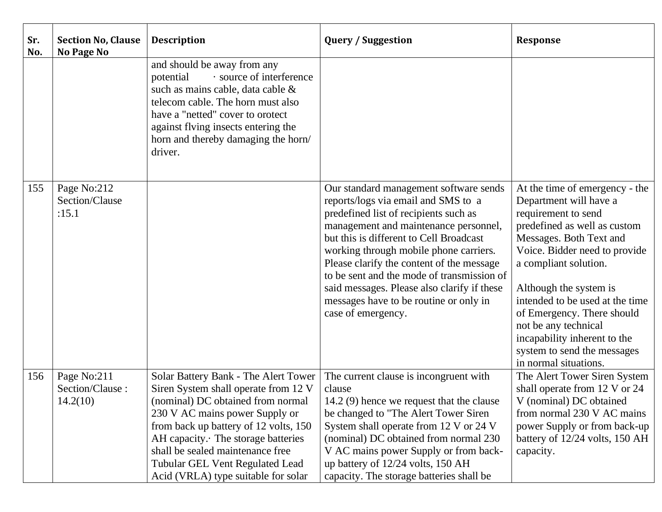| Sr.<br>No. | <b>Section No, Clause</b><br>No Page No    | <b>Description</b>                                                                                                                                                                                                                                                                                                                               | <b>Query / Suggestion</b>                                                                                                                                                                                                                                                                                                                                                                                                                                      | <b>Response</b>                                                                                                                                                                                                                                                                                                                                                                                                 |
|------------|--------------------------------------------|--------------------------------------------------------------------------------------------------------------------------------------------------------------------------------------------------------------------------------------------------------------------------------------------------------------------------------------------------|----------------------------------------------------------------------------------------------------------------------------------------------------------------------------------------------------------------------------------------------------------------------------------------------------------------------------------------------------------------------------------------------------------------------------------------------------------------|-----------------------------------------------------------------------------------------------------------------------------------------------------------------------------------------------------------------------------------------------------------------------------------------------------------------------------------------------------------------------------------------------------------------|
|            |                                            | and should be away from any<br>· source of interference<br>potential<br>such as mains cable, data cable &<br>telecom cable. The horn must also<br>have a "netted" cover to orotect<br>against flving insects entering the<br>horn and thereby damaging the horn/<br>driver.                                                                      |                                                                                                                                                                                                                                                                                                                                                                                                                                                                |                                                                                                                                                                                                                                                                                                                                                                                                                 |
| 155        | Page No:212<br>Section/Clause<br>:15.1     |                                                                                                                                                                                                                                                                                                                                                  | Our standard management software sends<br>reports/logs via email and SMS to a<br>predefined list of recipients such as<br>management and maintenance personnel,<br>but this is different to Cell Broadcast<br>working through mobile phone carriers.<br>Please clarify the content of the message<br>to be sent and the mode of transmission of<br>said messages. Please also clarify if these<br>messages have to be routine or only in<br>case of emergency. | At the time of emergency - the<br>Department will have a<br>requirement to send<br>predefined as well as custom<br>Messages. Both Text and<br>Voice. Bidder need to provide<br>a compliant solution.<br>Although the system is<br>intended to be used at the time<br>of Emergency. There should<br>not be any technical<br>incapability inherent to the<br>system to send the messages<br>in normal situations. |
| 156        | Page No:211<br>Section/Clause:<br>14.2(10) | Solar Battery Bank - The Alert Tower<br>Siren System shall operate from 12 V<br>(nominal) DC obtained from normal<br>230 V AC mains power Supply or<br>from back up battery of 12 volts, 150<br>AH capacity. The storage batteries<br>shall be sealed maintenance free<br>Tubular GEL Vent Regulated Lead<br>Acid (VRLA) type suitable for solar | The current clause is incongruent with<br>clause<br>14.2 (9) hence we request that the clause<br>be changed to "The Alert Tower Siren<br>System shall operate from 12 V or 24 V<br>(nominal) DC obtained from normal 230<br>V AC mains power Supply or from back-<br>up battery of 12/24 volts, 150 AH<br>capacity. The storage batteries shall be                                                                                                             | The Alert Tower Siren System<br>shall operate from 12 V or 24<br>V (nominal) DC obtained<br>from normal 230 V AC mains<br>power Supply or from back-up<br>battery of 12/24 volts, 150 AH<br>capacity.                                                                                                                                                                                                           |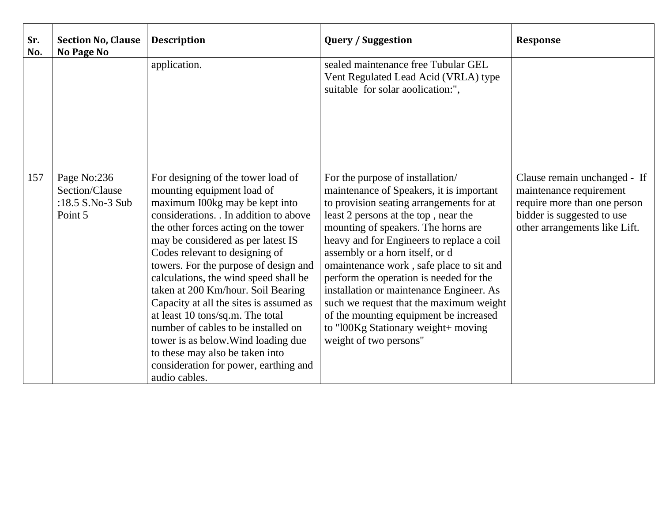| Sr.<br>No. | <b>Section No, Clause</b><br><b>No Page No</b>               | <b>Description</b>                                                                                                                                                                                                                                                                                                                                                                                                                                                                                                                                                                                                                           | <b>Query / Suggestion</b>                                                                                                                                                                                                                                                                                                                                                                                                                                                                                                                                                        | <b>Response</b>                                                                                                                                        |
|------------|--------------------------------------------------------------|----------------------------------------------------------------------------------------------------------------------------------------------------------------------------------------------------------------------------------------------------------------------------------------------------------------------------------------------------------------------------------------------------------------------------------------------------------------------------------------------------------------------------------------------------------------------------------------------------------------------------------------------|----------------------------------------------------------------------------------------------------------------------------------------------------------------------------------------------------------------------------------------------------------------------------------------------------------------------------------------------------------------------------------------------------------------------------------------------------------------------------------------------------------------------------------------------------------------------------------|--------------------------------------------------------------------------------------------------------------------------------------------------------|
|            |                                                              | application.                                                                                                                                                                                                                                                                                                                                                                                                                                                                                                                                                                                                                                 | sealed maintenance free Tubular GEL<br>Vent Regulated Lead Acid (VRLA) type<br>suitable for solar aoolication:",                                                                                                                                                                                                                                                                                                                                                                                                                                                                 |                                                                                                                                                        |
| 157        | Page No:236<br>Section/Clause<br>:18.5 S.No-3 Sub<br>Point 5 | For designing of the tower load of<br>mounting equipment load of<br>maximum I00kg may be kept into<br>considerations. In addition to above<br>the other forces acting on the tower<br>may be considered as per latest IS<br>Codes relevant to designing of<br>towers. For the purpose of design and<br>calculations, the wind speed shall be<br>taken at 200 Km/hour. Soil Bearing<br>Capacity at all the sites is assumed as<br>at least 10 tons/sq.m. The total<br>number of cables to be installed on<br>tower is as below. Wind loading due<br>to these may also be taken into<br>consideration for power, earthing and<br>audio cables. | For the purpose of installation/<br>maintenance of Speakers, it is important<br>to provision seating arrangements for at<br>least 2 persons at the top, near the<br>mounting of speakers. The horns are<br>heavy and for Engineers to replace a coil<br>assembly or a horn itself, or d<br>omaintenance work, safe place to sit and<br>perform the operation is needed for the<br>installation or maintenance Engineer. As<br>such we request that the maximum weight<br>of the mounting equipment be increased<br>to "l00Kg Stationary weight+ moving<br>weight of two persons" | Clause remain unchanged - If<br>maintenance requirement<br>require more than one person<br>bidder is suggested to use<br>other arrangements like Lift. |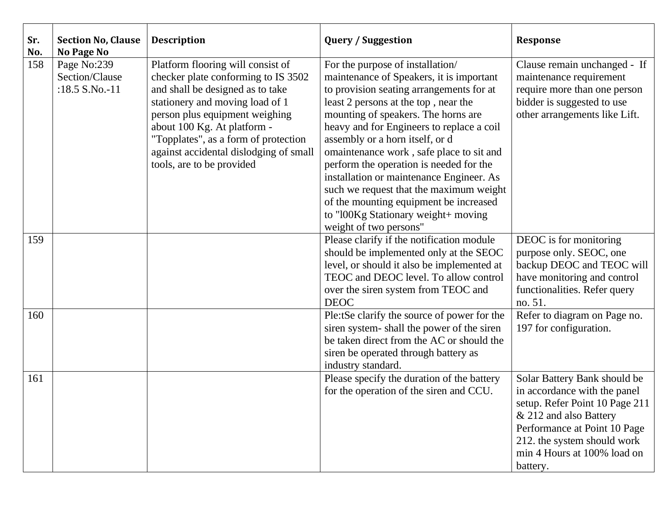| Sr.<br>No. | <b>Section No, Clause</b><br><b>No Page No</b>  | <b>Description</b>                                                                                                                                                                                                                                                                                                              | <b>Query / Suggestion</b>                                                                                                                                                                                                                                                                                                                                                                                                                                                                                                                                                        | <b>Response</b>                                                                                                                                                                                                                    |
|------------|-------------------------------------------------|---------------------------------------------------------------------------------------------------------------------------------------------------------------------------------------------------------------------------------------------------------------------------------------------------------------------------------|----------------------------------------------------------------------------------------------------------------------------------------------------------------------------------------------------------------------------------------------------------------------------------------------------------------------------------------------------------------------------------------------------------------------------------------------------------------------------------------------------------------------------------------------------------------------------------|------------------------------------------------------------------------------------------------------------------------------------------------------------------------------------------------------------------------------------|
| 158        | Page No:239<br>Section/Clause<br>:18.5 S.No.-11 | Platform flooring will consist of<br>checker plate conforming to IS 3502<br>and shall be designed as to take<br>stationery and moving load of 1<br>person plus equipment weighing<br>about 100 Kg. At platform -<br>"Topplates", as a form of protection<br>against accidental dislodging of small<br>tools, are to be provided | For the purpose of installation/<br>maintenance of Speakers, it is important<br>to provision seating arrangements for at<br>least 2 persons at the top, near the<br>mounting of speakers. The horns are<br>heavy and for Engineers to replace a coil<br>assembly or a horn itself, or d<br>omaintenance work, safe place to sit and<br>perform the operation is needed for the<br>installation or maintenance Engineer. As<br>such we request that the maximum weight<br>of the mounting equipment be increased<br>to "l00Kg Stationary weight+ moving<br>weight of two persons" | Clause remain unchanged - If<br>maintenance requirement<br>require more than one person<br>bidder is suggested to use<br>other arrangements like Lift.                                                                             |
| 159        |                                                 |                                                                                                                                                                                                                                                                                                                                 | Please clarify if the notification module<br>should be implemented only at the SEOC<br>level, or should it also be implemented at<br>TEOC and DEOC level. To allow control<br>over the siren system from TEOC and<br><b>DEOC</b>                                                                                                                                                                                                                                                                                                                                                 | DEOC is for monitoring<br>purpose only. SEOC, one<br>backup DEOC and TEOC will<br>have monitoring and control<br>functionalities. Refer query<br>no. 51.                                                                           |
| 160        |                                                 |                                                                                                                                                                                                                                                                                                                                 | Ple:tSe clarify the source of power for the<br>siren system-shall the power of the siren<br>be taken direct from the AC or should the<br>siren be operated through battery as<br>industry standard.                                                                                                                                                                                                                                                                                                                                                                              | Refer to diagram on Page no.<br>197 for configuration.                                                                                                                                                                             |
| 161        |                                                 |                                                                                                                                                                                                                                                                                                                                 | Please specify the duration of the battery<br>for the operation of the siren and CCU.                                                                                                                                                                                                                                                                                                                                                                                                                                                                                            | Solar Battery Bank should be<br>in accordance with the panel<br>setup. Refer Point 10 Page 211<br>& 212 and also Battery<br>Performance at Point 10 Page<br>212. the system should work<br>min 4 Hours at 100% load on<br>battery. |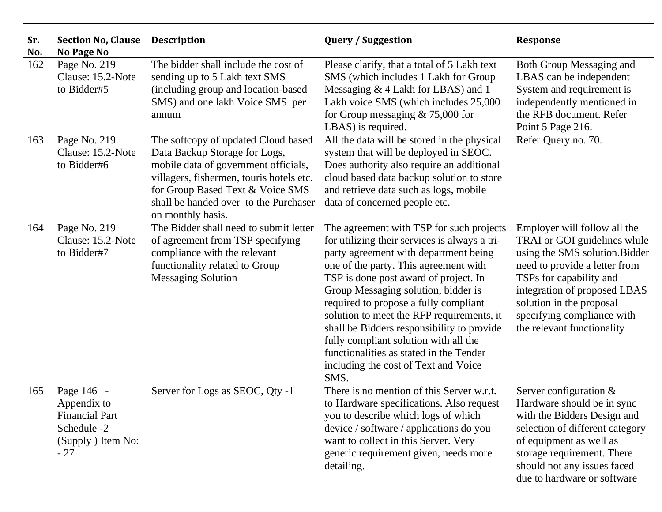| Sr.<br>No. | <b>Section No, Clause</b><br><b>No Page No</b>                                                  | <b>Description</b>                                                                                                                                                                                                                                         | <b>Query / Suggestion</b>                                                                                                                                                                                                                                                                                                                                                                                                                                                                                                           | <b>Response</b>                                                                                                                                                                                                                                                                    |
|------------|-------------------------------------------------------------------------------------------------|------------------------------------------------------------------------------------------------------------------------------------------------------------------------------------------------------------------------------------------------------------|-------------------------------------------------------------------------------------------------------------------------------------------------------------------------------------------------------------------------------------------------------------------------------------------------------------------------------------------------------------------------------------------------------------------------------------------------------------------------------------------------------------------------------------|------------------------------------------------------------------------------------------------------------------------------------------------------------------------------------------------------------------------------------------------------------------------------------|
| 162        | Page No. 219<br>Clause: 15.2-Note<br>to Bidder#5                                                | The bidder shall include the cost of<br>sending up to 5 Lakh text SMS<br>(including group and location-based<br>SMS) and one lakh Voice SMS per<br>annum                                                                                                   | Please clarify, that a total of 5 Lakh text<br>SMS (which includes 1 Lakh for Group<br>Messaging & 4 Lakh for LBAS) and 1<br>Lakh voice SMS (which includes 25,000<br>for Group messaging $& 75,000$ for<br>LBAS) is required.                                                                                                                                                                                                                                                                                                      | Both Group Messaging and<br>LBAS can be independent<br>System and requirement is<br>independently mentioned in<br>the RFB document. Refer<br>Point 5 Page 216.                                                                                                                     |
| 163        | Page No. 219<br>Clause: 15.2-Note<br>to Bidder#6                                                | The softcopy of updated Cloud based<br>Data Backup Storage for Logs,<br>mobile data of government officials,<br>villagers, fishermen, touris hotels etc.<br>for Group Based Text & Voice SMS<br>shall be handed over to the Purchaser<br>on monthly basis. | All the data will be stored in the physical<br>system that will be deployed in SEOC.<br>Does authority also require an additional<br>cloud based data backup solution to store<br>and retrieve data such as logs, mobile<br>data of concerned people etc.                                                                                                                                                                                                                                                                           | Refer Query no. 70.                                                                                                                                                                                                                                                                |
| 164        | Page No. 219<br>Clause: 15.2-Note<br>to Bidder#7                                                | The Bidder shall need to submit letter<br>of agreement from TSP specifying<br>compliance with the relevant<br>functionality related to Group<br><b>Messaging Solution</b>                                                                                  | The agreement with TSP for such projects<br>for utilizing their services is always a tri-<br>party agreement with department being<br>one of the party. This agreement with<br>TSP is done post award of project. In<br>Group Messaging solution, bidder is<br>required to propose a fully compliant<br>solution to meet the RFP requirements, it<br>shall be Bidders responsibility to provide<br>fully compliant solution with all the<br>functionalities as stated in the Tender<br>including the cost of Text and Voice<br>SMS. | Employer will follow all the<br>TRAI or GOI guidelines while<br>using the SMS solution. Bidder<br>need to provide a letter from<br>TSPs for capability and<br>integration of proposed LBAS<br>solution in the proposal<br>specifying compliance with<br>the relevant functionality |
| 165        | Page 146 -<br>Appendix to<br><b>Financial Part</b><br>Schedule -2<br>(Supply) Item No:<br>$-27$ | Server for Logs as SEOC, Qty -1                                                                                                                                                                                                                            | There is no mention of this Server w.r.t.<br>to Hardware specifications. Also request<br>you to describe which logs of which<br>device / software / applications do you<br>want to collect in this Server. Very<br>generic requirement given, needs more<br>detailing.                                                                                                                                                                                                                                                              | Server configuration $&$<br>Hardware should be in sync<br>with the Bidders Design and<br>selection of different category<br>of equipment as well as<br>storage requirement. There<br>should not any issues faced<br>due to hardware or software                                    |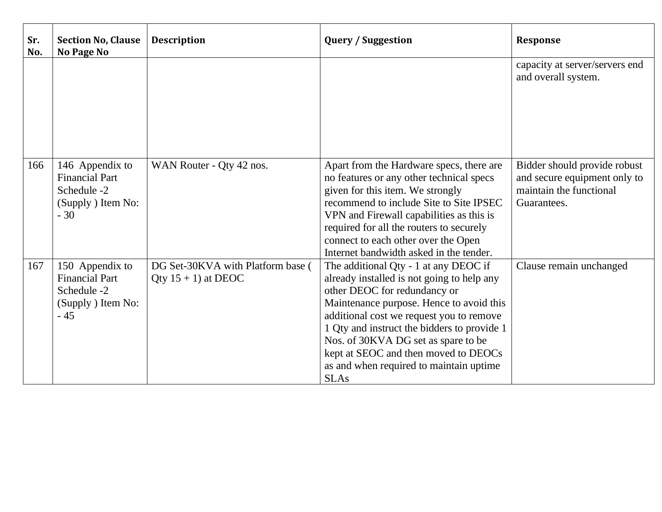| Sr.<br>No. | <b>Section No, Clause</b><br>No Page No                                                | <b>Description</b>                                          | <b>Query / Suggestion</b>                                                                                                                                                                                                                                                                                                                                                                           | <b>Response</b>                                                                                        |
|------------|----------------------------------------------------------------------------------------|-------------------------------------------------------------|-----------------------------------------------------------------------------------------------------------------------------------------------------------------------------------------------------------------------------------------------------------------------------------------------------------------------------------------------------------------------------------------------------|--------------------------------------------------------------------------------------------------------|
|            |                                                                                        |                                                             |                                                                                                                                                                                                                                                                                                                                                                                                     | capacity at server/servers end<br>and overall system.                                                  |
| 166        | 146 Appendix to<br><b>Financial Part</b><br>Schedule -2<br>(Supply ) Item No:<br>$-30$ | WAN Router - Qty 42 nos.                                    | Apart from the Hardware specs, there are<br>no features or any other technical specs<br>given for this item. We strongly<br>recommend to include Site to Site IPSEC<br>VPN and Firewall capabilities as this is<br>required for all the routers to securely<br>connect to each other over the Open<br>Internet bandwidth asked in the tender.                                                       | Bidder should provide robust<br>and secure equipment only to<br>maintain the functional<br>Guarantees. |
| 167        | 150 Appendix to<br><b>Financial Part</b><br>Schedule -2<br>(Supply) Item No:<br>$-45$  | DG Set-30KVA with Platform base (<br>Qty $15 + 1$ ) at DEOC | The additional Qty - 1 at any DEOC if<br>already installed is not going to help any<br>other DEOC for redundancy or<br>Maintenance purpose. Hence to avoid this<br>additional cost we request you to remove<br>1 Qty and instruct the bidders to provide 1<br>Nos. of 30KVA DG set as spare to be<br>kept at SEOC and then moved to DEOCs<br>as and when required to maintain uptime<br><b>SLAs</b> | Clause remain unchanged                                                                                |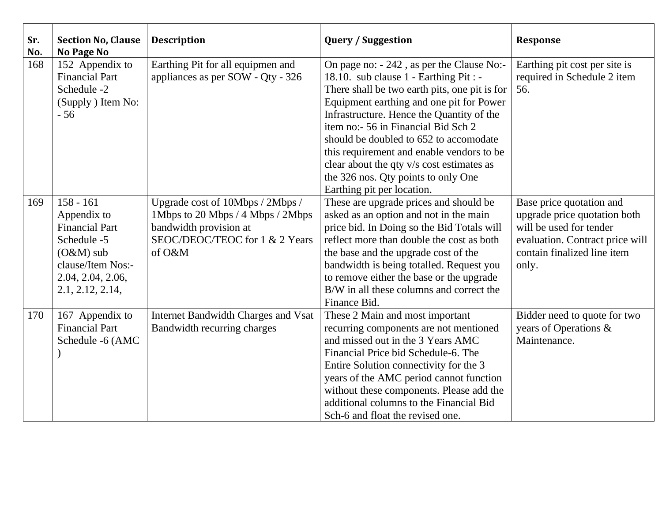| Sr.<br>No. | <b>Section No, Clause</b><br><b>No Page No</b>                                                                                                  | <b>Description</b>                                                                                                                          | <b>Query / Suggestion</b>                                                                                                                                                                                                                                                                                                                                                                                                                                                     | <b>Response</b>                                                                                                                                                |
|------------|-------------------------------------------------------------------------------------------------------------------------------------------------|---------------------------------------------------------------------------------------------------------------------------------------------|-------------------------------------------------------------------------------------------------------------------------------------------------------------------------------------------------------------------------------------------------------------------------------------------------------------------------------------------------------------------------------------------------------------------------------------------------------------------------------|----------------------------------------------------------------------------------------------------------------------------------------------------------------|
| 168        | 152 Appendix to<br><b>Financial Part</b><br>Schedule -2<br>(Supply) Item No:<br>$-56$                                                           | Earthing Pit for all equipmen and<br>appliances as per SOW - Qty - 326                                                                      | On page no: - 242, as per the Clause No:-<br>18.10. sub clause 1 - Earthing Pit : -<br>There shall be two earth pits, one pit is for<br>Equipment earthing and one pit for Power<br>Infrastructure. Hence the Quantity of the<br>item no:- 56 in Financial Bid Sch 2<br>should be doubled to 652 to accomodate<br>this requirement and enable vendors to be<br>clear about the qty v/s cost estimates as<br>the 326 nos. Qty points to only One<br>Earthing pit per location. | Earthing pit cost per site is<br>required in Schedule 2 item<br>56.                                                                                            |
| 169        | $158 - 161$<br>Appendix to<br><b>Financial Part</b><br>Schedule -5<br>$(O&M)$ sub<br>clause/Item Nos:-<br>2.04, 2.04, 2.06,<br>2.1, 2.12, 2.14, | Upgrade cost of 10Mbps / 2Mbps /<br>1Mbps to 20 Mbps / 4 Mbps / 2Mbps<br>bandwidth provision at<br>SEOC/DEOC/TEOC for 1 & 2 Years<br>of O&M | These are upgrade prices and should be<br>asked as an option and not in the main<br>price bid. In Doing so the Bid Totals will<br>reflect more than double the cost as both<br>the base and the upgrade cost of the<br>bandwidth is being totalled. Request you<br>to remove either the base or the upgrade<br>B/W in all these columns and correct the<br>Finance Bid.                                                                                                       | Base price quotation and<br>upgrade price quotation both<br>will be used for tender<br>evaluation. Contract price will<br>contain finalized line item<br>only. |
| 170        | 167 Appendix to<br><b>Financial Part</b><br>Schedule -6 (AMC                                                                                    | Internet Bandwidth Charges and Vsat<br>Bandwidth recurring charges                                                                          | These 2 Main and most important<br>recurring components are not mentioned<br>and missed out in the 3 Years AMC<br>Financial Price bid Schedule-6. The<br>Entire Solution connectivity for the 3<br>years of the AMC period cannot function<br>without these components. Please add the<br>additional columns to the Financial Bid<br>Sch-6 and float the revised one.                                                                                                         | Bidder need to quote for two<br>years of Operations &<br>Maintenance.                                                                                          |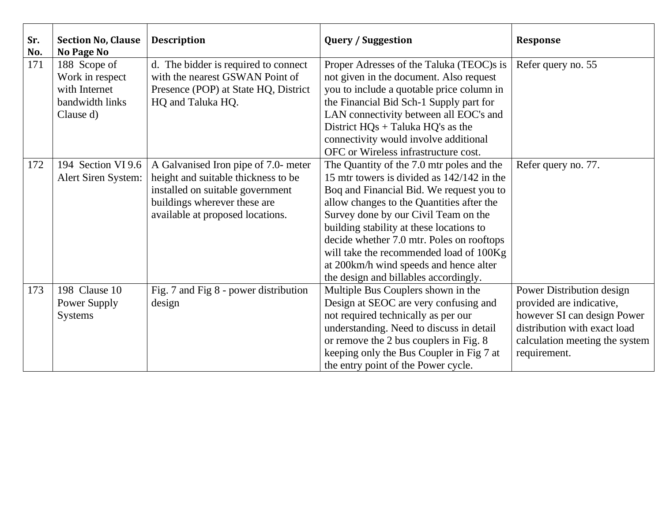| Sr.<br>No. | <b>Section No, Clause</b><br><b>No Page No</b> | <b>Description</b>                    | <b>Query / Suggestion</b>                  | <b>Response</b>                |
|------------|------------------------------------------------|---------------------------------------|--------------------------------------------|--------------------------------|
| 171        | 188 Scope of                                   | d. The bidder is required to connect  | Proper Adresses of the Taluka (TEOC)s is   | Refer query no. 55             |
|            | Work in respect                                | with the nearest GSWAN Point of       | not given in the document. Also request    |                                |
|            | with Internet                                  | Presence (POP) at State HQ, District  | you to include a quotable price column in  |                                |
|            | bandwidth links                                | HQ and Taluka HQ.                     | the Financial Bid Sch-1 Supply part for    |                                |
|            | Clause d)                                      |                                       | LAN connectivity between all EOC's and     |                                |
|            |                                                |                                       | District $HQs + Taluka HQ's as the$        |                                |
|            |                                                |                                       | connectivity would involve additional      |                                |
|            |                                                |                                       | OFC or Wireless infrastructure cost.       |                                |
| 172        | 194 Section VI 9.6                             | A Galvanised Iron pipe of 7.0- meter  | The Quantity of the 7.0 mtr poles and the  | Refer query no. 77.            |
|            | Alert Siren System:                            | height and suitable thickness to be   | 15 mtr towers is divided as 142/142 in the |                                |
|            |                                                | installed on suitable government      | Boq and Financial Bid. We request you to   |                                |
|            |                                                | buildings wherever these are          | allow changes to the Quantities after the  |                                |
|            |                                                | available at proposed locations.      | Survey done by our Civil Team on the       |                                |
|            |                                                |                                       | building stability at these locations to   |                                |
|            |                                                |                                       | decide whether 7.0 mtr. Poles on rooftops  |                                |
|            |                                                |                                       | will take the recommended load of 100Kg    |                                |
|            |                                                |                                       | at 200km/h wind speeds and hence alter     |                                |
|            |                                                |                                       | the design and billables accordingly.      |                                |
| 173        | 198 Clause 10                                  | Fig. 7 and Fig 8 - power distribution | Multiple Bus Couplers shown in the         | Power Distribution design      |
|            | Power Supply                                   | design                                | Design at SEOC are very confusing and      | provided are indicative,       |
|            | <b>Systems</b>                                 |                                       | not required technically as per our        | however SI can design Power    |
|            |                                                |                                       | understanding. Need to discuss in detail   | distribution with exact load   |
|            |                                                |                                       | or remove the 2 bus couplers in Fig. 8     | calculation meeting the system |
|            |                                                |                                       | keeping only the Bus Coupler in Fig 7 at   | requirement.                   |
|            |                                                |                                       | the entry point of the Power cycle.        |                                |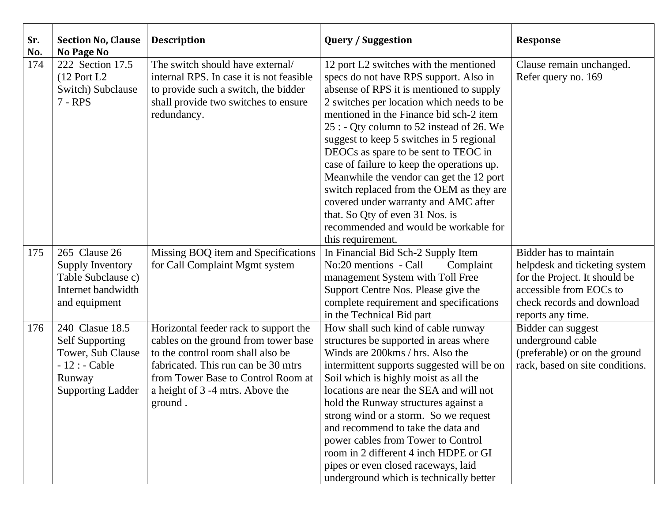| Sr.<br>No. | <b>Section No, Clause</b><br><b>No Page No</b>                                                                         | <b>Description</b>                                                                                                                                                                                                                             | <b>Query / Suggestion</b>                                                                                                                                                                                                                                                                                                                                                                                                                                                                                                                                                                                                            | <b>Response</b>                                                                                                                                                        |
|------------|------------------------------------------------------------------------------------------------------------------------|------------------------------------------------------------------------------------------------------------------------------------------------------------------------------------------------------------------------------------------------|--------------------------------------------------------------------------------------------------------------------------------------------------------------------------------------------------------------------------------------------------------------------------------------------------------------------------------------------------------------------------------------------------------------------------------------------------------------------------------------------------------------------------------------------------------------------------------------------------------------------------------------|------------------------------------------------------------------------------------------------------------------------------------------------------------------------|
| 174        | 222 Section 17.5<br>$(12$ Port L2<br>Switch) Subclause<br>7 - RPS                                                      | The switch should have external/<br>internal RPS. In case it is not feasible<br>to provide such a switch, the bidder<br>shall provide two switches to ensure<br>redundancy.                                                                    | 12 port L2 switches with the mentioned<br>specs do not have RPS support. Also in<br>absense of RPS it is mentioned to supply<br>2 switches per location which needs to be<br>mentioned in the Finance bid sch-2 item<br>25 : - Qty column to 52 instead of 26. We<br>suggest to keep 5 switches in 5 regional<br>DEOCs as spare to be sent to TEOC in<br>case of failure to keep the operations up.<br>Meanwhile the vendor can get the 12 port<br>switch replaced from the OEM as they are<br>covered under warranty and AMC after<br>that. So Qty of even 31 Nos. is<br>recommended and would be workable for<br>this requirement. | Clause remain unchanged.<br>Refer query no. 169                                                                                                                        |
| 175        | 265 Clause 26<br>Supply Inventory<br>Table Subclause c)<br>Internet bandwidth<br>and equipment                         | Missing BOQ item and Specifications<br>for Call Complaint Mgmt system                                                                                                                                                                          | In Financial Bid Sch-2 Supply Item<br>No:20 mentions - Call<br>Complaint<br>management System with Toll Free<br>Support Centre Nos. Please give the<br>complete requirement and specifications<br>in the Technical Bid part                                                                                                                                                                                                                                                                                                                                                                                                          | Bidder has to maintain<br>helpdesk and ticketing system<br>for the Project. It should be<br>accessible from EOCs to<br>check records and download<br>reports any time. |
| 176        | 240 Clasue 18.5<br><b>Self Supporting</b><br>Tower, Sub Clause<br>$-12:$ - Cable<br>Runway<br><b>Supporting Ladder</b> | Horizontal feeder rack to support the<br>cables on the ground from tower base<br>to the control room shall also be<br>fabricated. This run can be 30 mtrs<br>from Tower Base to Control Room at<br>a height of 3 -4 mtrs. Above the<br>ground. | How shall such kind of cable runway<br>structures be supported in areas where<br>Winds are 200 kms / hrs. Also the<br>intermittent supports suggested will be on<br>Soil which is highly moist as all the<br>locations are near the SEA and will not<br>hold the Runway structures against a<br>strong wind or a storm. So we request<br>and recommend to take the data and<br>power cables from Tower to Control<br>room in 2 different 4 inch HDPE or GI<br>pipes or even closed raceways, laid<br>underground which is technically better                                                                                         | Bidder can suggest<br>underground cable<br>(preferable) or on the ground<br>rack, based on site conditions.                                                            |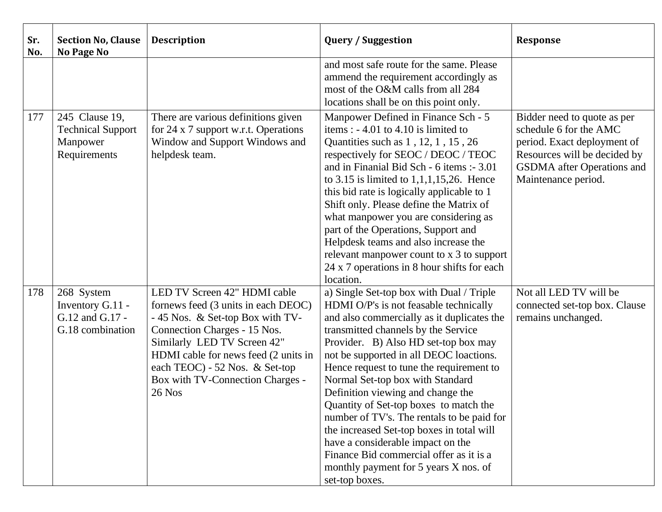| Sr.<br>No. | <b>Section No, Clause</b><br>No Page No                                | <b>Description</b>                                                                                                                                                                                                                                                                            | <b>Query / Suggestion</b>                                                                                                                                                                                                                                                                                                                                                                                                                                                                                                                                                                                                                                       | <b>Response</b>                                                                                                                                                                  |
|------------|------------------------------------------------------------------------|-----------------------------------------------------------------------------------------------------------------------------------------------------------------------------------------------------------------------------------------------------------------------------------------------|-----------------------------------------------------------------------------------------------------------------------------------------------------------------------------------------------------------------------------------------------------------------------------------------------------------------------------------------------------------------------------------------------------------------------------------------------------------------------------------------------------------------------------------------------------------------------------------------------------------------------------------------------------------------|----------------------------------------------------------------------------------------------------------------------------------------------------------------------------------|
|            |                                                                        |                                                                                                                                                                                                                                                                                               | and most safe route for the same. Please<br>ammend the requirement accordingly as<br>most of the O&M calls from all 284<br>locations shall be on this point only.                                                                                                                                                                                                                                                                                                                                                                                                                                                                                               |                                                                                                                                                                                  |
| 177        | 245 Clause 19,<br><b>Technical Support</b><br>Manpower<br>Requirements | There are various definitions given<br>for 24 x 7 support w.r.t. Operations<br>Window and Support Windows and<br>helpdesk team.                                                                                                                                                               | Manpower Defined in Finance Sch - 5<br>items: $-4.01$ to 4.10 is limited to<br>Quantities such as 1, 12, 1, 15, 26<br>respectively for SEOC / DEOC / TEOC<br>and in Finanial Bid Sch - 6 items :- 3.01<br>to 3.15 is limited to $1,1,1,15,26$ . Hence<br>this bid rate is logically applicable to 1<br>Shift only. Please define the Matrix of<br>what manpower you are considering as<br>part of the Operations, Support and<br>Helpdesk teams and also increase the<br>relevant manpower count to x 3 to support<br>24 x 7 operations in 8 hour shifts for each<br>location.                                                                                  | Bidder need to quote as per<br>schedule 6 for the AMC<br>period. Exact deployment of<br>Resources will be decided by<br><b>GSDMA</b> after Operations and<br>Maintenance period. |
| 178        | 268 System<br>Inventory G.11 -<br>G.12 and G.17 -<br>G.18 combination  | LED TV Screen 42" HDMI cable<br>fornews feed (3 units in each DEOC)<br>-45 Nos. & Set-top Box with TV-<br>Connection Charges - 15 Nos.<br>Similarly LED TV Screen 42"<br>HDMI cable for news feed (2 units in<br>each TEOC) - 52 Nos. & Set-top<br>Box with TV-Connection Charges -<br>26 Nos | a) Single Set-top box with Dual / Triple<br>HDMI O/P's is not feasable technically<br>and also commercially as it duplicates the<br>transmitted channels by the Service<br>Provider. B) Also HD set-top box may<br>not be supported in all DEOC loactions.<br>Hence request to tune the requirement to<br>Normal Set-top box with Standard<br>Definition viewing and change the<br>Quantity of Set-top boxes to match the<br>number of TV's. The rentals to be paid for<br>the increased Set-top boxes in total will<br>have a considerable impact on the<br>Finance Bid commercial offer as it is a<br>monthly payment for 5 years X nos. of<br>set-top boxes. | Not all LED TV will be<br>connected set-top box. Clause<br>remains unchanged.                                                                                                    |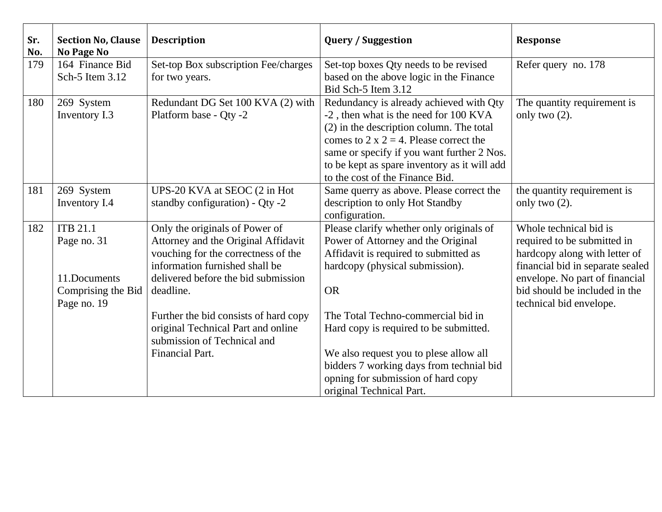| Sr.<br>No. | <b>Section No, Clause</b><br><b>No Page No</b> | <b>Description</b>                                                    | <b>Query / Suggestion</b>                    | <b>Response</b>                                                    |
|------------|------------------------------------------------|-----------------------------------------------------------------------|----------------------------------------------|--------------------------------------------------------------------|
| 179        | 164 Finance Bid                                | Set-top Box subscription Fee/charges                                  | Set-top boxes Qty needs to be revised        | Refer query no. 178                                                |
|            | Sch-5 Item 3.12                                | for two years.                                                        | based on the above logic in the Finance      |                                                                    |
|            |                                                |                                                                       | Bid Sch-5 Item 3.12                          |                                                                    |
| 180        | 269 System                                     | Redundant DG Set 100 KVA (2) with                                     | Redundancy is already achieved with Qty      | The quantity requirement is                                        |
|            | Inventory I.3                                  | Platform base - Qty -2                                                | -2, then what is the need for 100 KVA        | only two $(2)$ .                                                   |
|            |                                                |                                                                       | $(2)$ in the description column. The total   |                                                                    |
|            |                                                |                                                                       | comes to 2 x 2 = 4. Please correct the       |                                                                    |
|            |                                                |                                                                       | same or specify if you want further 2 Nos.   |                                                                    |
|            |                                                |                                                                       | to be kept as spare inventory as it will add |                                                                    |
|            |                                                |                                                                       | to the cost of the Finance Bid.              |                                                                    |
| 181        | 269 System                                     | UPS-20 KVA at SEOC (2 in Hot                                          | Same querry as above. Please correct the     | the quantity requirement is                                        |
|            | Inventory I.4                                  | standby configuration) - Qty -2                                       | description to only Hot Standby              | only two $(2)$ .                                                   |
|            |                                                |                                                                       | configuration.                               |                                                                    |
| 182        | <b>ITB 21.1</b>                                | Only the originals of Power of                                        | Please clarify whether only originals of     | Whole technical bid is                                             |
|            | Page no. 31                                    | Attorney and the Original Affidavit                                   | Power of Attorney and the Original           | required to be submitted in                                        |
|            |                                                | vouching for the correctness of the<br>information furnished shall be | Affidavit is required to submitted as        | hardcopy along with letter of                                      |
|            | 11.Documents                                   | delivered before the bid submission                                   | hardcopy (physical submission).              | financial bid in separate sealed<br>envelope. No part of financial |
|            | Comprising the Bid                             | deadline.                                                             | <b>OR</b>                                    | bid should be included in the                                      |
|            | Page no. 19                                    |                                                                       |                                              | technical bid envelope.                                            |
|            |                                                | Further the bid consists of hard copy                                 | The Total Techno-commercial bid in           |                                                                    |
|            |                                                | original Technical Part and online                                    | Hard copy is required to be submitted.       |                                                                    |
|            |                                                | submission of Technical and                                           |                                              |                                                                    |
|            |                                                | <b>Financial Part.</b>                                                | We also request you to plese allow all       |                                                                    |
|            |                                                |                                                                       | bidders 7 working days from technial bid     |                                                                    |
|            |                                                |                                                                       | opning for submission of hard copy           |                                                                    |
|            |                                                |                                                                       | original Technical Part.                     |                                                                    |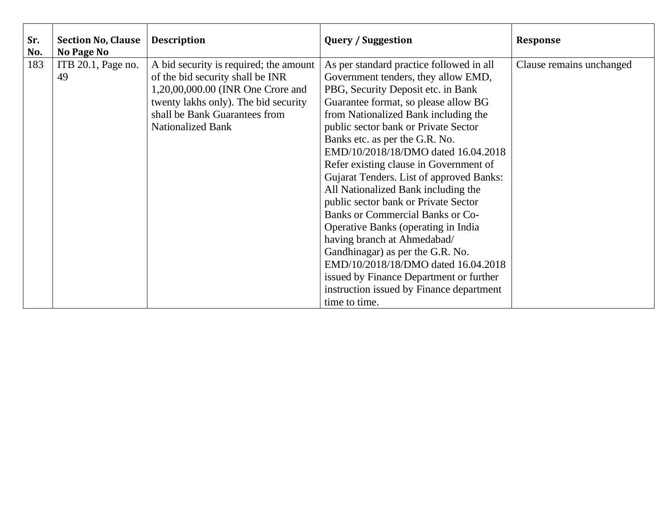| Sr.<br>No. | <b>Section No, Clause</b><br>No Page No | <b>Description</b>                                                                                                                                                                                                   | <b>Query / Suggestion</b>                                                                                                                                                                                                                                                                                                                                                                                                                                                                                                                                                     | <b>Response</b>          |
|------------|-----------------------------------------|----------------------------------------------------------------------------------------------------------------------------------------------------------------------------------------------------------------------|-------------------------------------------------------------------------------------------------------------------------------------------------------------------------------------------------------------------------------------------------------------------------------------------------------------------------------------------------------------------------------------------------------------------------------------------------------------------------------------------------------------------------------------------------------------------------------|--------------------------|
| 183        | ITB 20.1, Page no.<br>49                | A bid security is required; the amount<br>of the bid security shall be INR<br>1,20,00,000.00 (INR One Crore and<br>twenty lakhs only). The bid security<br>shall be Bank Guarantees from<br><b>Nationalized Bank</b> | As per standard practice followed in all<br>Government tenders, they allow EMD,<br>PBG, Security Deposit etc. in Bank<br>Guarantee format, so please allow BG<br>from Nationalized Bank including the<br>public sector bank or Private Sector<br>Banks etc. as per the G.R. No.<br>EMD/10/2018/18/DMO dated 16.04.2018<br>Refer existing clause in Government of<br>Gujarat Tenders. List of approved Banks:<br>All Nationalized Bank including the<br>public sector bank or Private Sector<br><b>Banks or Commercial Banks or Co-</b><br>Operative Banks (operating in India | Clause remains unchanged |
|            |                                         |                                                                                                                                                                                                                      | having branch at Ahmedabad/<br>Gandhinagar) as per the G.R. No.<br>EMD/10/2018/18/DMO dated 16.04.2018<br>issued by Finance Department or further<br>instruction issued by Finance department<br>time to time.                                                                                                                                                                                                                                                                                                                                                                |                          |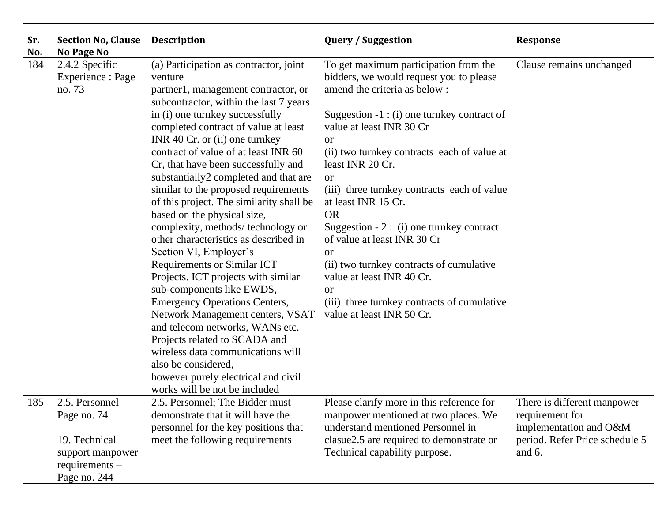| Sr.<br>No. | <b>Section No, Clause</b><br>No Page No                                                                 | <b>Description</b>                                                                                                                                                                                                                                                                                                                                                                                                                                                                                                                                                                                                                                                                                                                                                                                                                                                                                                                                                                               | <b>Query / Suggestion</b>                                                                                                                                                                                                                                                                                                                                                                                                                                                                                                                                                                                                               | <b>Response</b>                                                                                                        |
|------------|---------------------------------------------------------------------------------------------------------|--------------------------------------------------------------------------------------------------------------------------------------------------------------------------------------------------------------------------------------------------------------------------------------------------------------------------------------------------------------------------------------------------------------------------------------------------------------------------------------------------------------------------------------------------------------------------------------------------------------------------------------------------------------------------------------------------------------------------------------------------------------------------------------------------------------------------------------------------------------------------------------------------------------------------------------------------------------------------------------------------|-----------------------------------------------------------------------------------------------------------------------------------------------------------------------------------------------------------------------------------------------------------------------------------------------------------------------------------------------------------------------------------------------------------------------------------------------------------------------------------------------------------------------------------------------------------------------------------------------------------------------------------------|------------------------------------------------------------------------------------------------------------------------|
| 184        | 2.4.2 Specific<br>Experience : Page<br>no. 73                                                           | (a) Participation as contractor, joint<br>venture<br>partner1, management contractor, or<br>subcontractor, within the last 7 years<br>in (i) one turnkey successfully<br>completed contract of value at least<br>INR 40 Cr. or (ii) one turnkey<br>contract of value of at least INR 60<br>Cr, that have been successfully and<br>substantially2 completed and that are<br>similar to the proposed requirements<br>of this project. The similarity shall be<br>based on the physical size,<br>complexity, methods/technology or<br>other characteristics as described in<br>Section VI, Employer's<br><b>Requirements or Similar ICT</b><br>Projects. ICT projects with similar<br>sub-components like EWDS,<br><b>Emergency Operations Centers,</b><br>Network Management centers, VSAT<br>and telecom networks, WANs etc.<br>Projects related to SCADA and<br>wireless data communications will<br>also be considered,<br>however purely electrical and civil<br>works will be not be included | To get maximum participation from the<br>bidders, we would request you to please<br>amend the criteria as below:<br>Suggestion -1 : (i) one turnkey contract of<br>value at least INR 30 Cr<br><b>or</b><br>(ii) two turnkey contracts each of value at<br>least INR 20 Cr.<br><b>or</b><br>(iii) three turnkey contracts each of value<br>at least INR 15 Cr.<br><b>OR</b><br>Suggestion - $2: (i)$ one turnkey contract<br>of value at least INR 30 Cr<br><b>or</b><br>(ii) two turnkey contracts of cumulative<br>value at least INR 40 Cr.<br><b>or</b><br>(iii) three turnkey contracts of cumulative<br>value at least INR 50 Cr. | Clause remains unchanged                                                                                               |
| 185        | 2.5. Personnel-<br>Page no. 74<br>19. Technical<br>support manpower<br>$requirements -$<br>Page no. 244 | 2.5. Personnel; The Bidder must<br>demonstrate that it will have the<br>personnel for the key positions that<br>meet the following requirements                                                                                                                                                                                                                                                                                                                                                                                                                                                                                                                                                                                                                                                                                                                                                                                                                                                  | Please clarify more in this reference for<br>manpower mentioned at two places. We<br>understand mentioned Personnel in<br>clasue2.5 are required to demonstrate or<br>Technical capability purpose.                                                                                                                                                                                                                                                                                                                                                                                                                                     | There is different manpower<br>requirement for<br>implementation and O&M<br>period. Refer Price schedule 5<br>and $6.$ |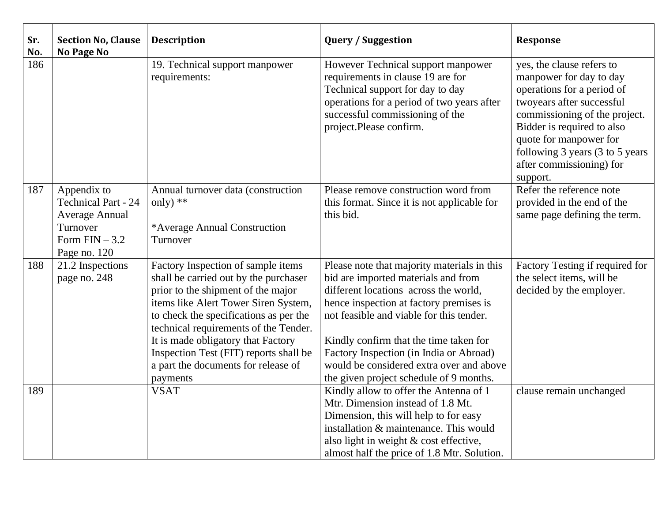| Sr.<br>No. | <b>Section No, Clause</b><br>No Page No                                                                          | <b>Description</b>                                                                                                                                                                                                                                                                                                                                                              | <b>Query / Suggestion</b>                                                                                                                                                                                                                                                                                                                                                                      | <b>Response</b>                                                                                                                                                                                                                                                                     |
|------------|------------------------------------------------------------------------------------------------------------------|---------------------------------------------------------------------------------------------------------------------------------------------------------------------------------------------------------------------------------------------------------------------------------------------------------------------------------------------------------------------------------|------------------------------------------------------------------------------------------------------------------------------------------------------------------------------------------------------------------------------------------------------------------------------------------------------------------------------------------------------------------------------------------------|-------------------------------------------------------------------------------------------------------------------------------------------------------------------------------------------------------------------------------------------------------------------------------------|
| 186        |                                                                                                                  | 19. Technical support manpower<br>requirements:                                                                                                                                                                                                                                                                                                                                 | However Technical support manpower<br>requirements in clause 19 are for<br>Technical support for day to day<br>operations for a period of two years after<br>successful commissioning of the<br>project.Please confirm.                                                                                                                                                                        | yes, the clause refers to<br>manpower for day to day<br>operations for a period of<br>twoyears after successful<br>commissioning of the project.<br>Bidder is required to also<br>quote for manpower for<br>following 3 years (3 to 5 years<br>after commissioning) for<br>support. |
| 187        | Appendix to<br><b>Technical Part - 24</b><br><b>Average Annual</b><br>Turnover<br>Form $FIN-3.2$<br>Page no. 120 | Annual turnover data (construction<br>only) $**$<br>*Average Annual Construction<br>Turnover                                                                                                                                                                                                                                                                                    | Please remove construction word from<br>this format. Since it is not applicable for<br>this bid.                                                                                                                                                                                                                                                                                               | Refer the reference note<br>provided in the end of the<br>same page defining the term.                                                                                                                                                                                              |
| 188        | 21.2 Inspections<br>page no. 248                                                                                 | Factory Inspection of sample items<br>shall be carried out by the purchaser<br>prior to the shipment of the major<br>items like Alert Tower Siren System,<br>to check the specifications as per the<br>technical requirements of the Tender.<br>It is made obligatory that Factory<br>Inspection Test (FIT) reports shall be<br>a part the documents for release of<br>payments | Please note that majority materials in this<br>bid are imported materials and from<br>different locations across the world,<br>hence inspection at factory premises is<br>not feasible and viable for this tender.<br>Kindly confirm that the time taken for<br>Factory Inspection (in India or Abroad)<br>would be considered extra over and above<br>the given project schedule of 9 months. | Factory Testing if required for<br>the select items, will be<br>decided by the employer.                                                                                                                                                                                            |
| 189        |                                                                                                                  | <b>VSAT</b>                                                                                                                                                                                                                                                                                                                                                                     | Kindly allow to offer the Antenna of 1<br>Mtr. Dimension instead of 1.8 Mt.<br>Dimension, this will help to for easy<br>installation & maintenance. This would<br>also light in weight & cost effective,<br>almost half the price of 1.8 Mtr. Solution.                                                                                                                                        | clause remain unchanged                                                                                                                                                                                                                                                             |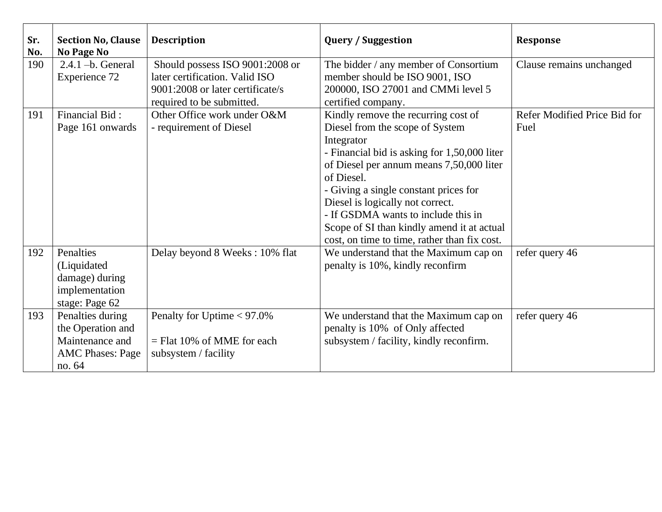| Sr.<br>No. | <b>Section No, Clause</b><br><b>No Page No</b>                                                | <b>Description</b>                                                                                                                 | <b>Query / Suggestion</b>                                                                                                                                                                                                                                                                                                                                                                                        | <b>Response</b>                      |
|------------|-----------------------------------------------------------------------------------------------|------------------------------------------------------------------------------------------------------------------------------------|------------------------------------------------------------------------------------------------------------------------------------------------------------------------------------------------------------------------------------------------------------------------------------------------------------------------------------------------------------------------------------------------------------------|--------------------------------------|
| 190        | $2.4.1 - b$ . General<br><b>Experience 72</b>                                                 | Should possess ISO 9001:2008 or<br>later certification. Valid ISO<br>9001:2008 or later certificate/s<br>required to be submitted. | The bidder / any member of Consortium<br>member should be ISO 9001, ISO<br>200000, ISO 27001 and CMMi level 5<br>certified company.                                                                                                                                                                                                                                                                              | Clause remains unchanged             |
| 191        | Financial Bid:<br>Page 161 onwards                                                            | Other Office work under O&M<br>- requirement of Diesel                                                                             | Kindly remove the recurring cost of<br>Diesel from the scope of System<br>Integrator<br>- Financial bid is asking for 1,50,000 liter<br>of Diesel per annum means 7,50,000 liter<br>of Diesel.<br>- Giving a single constant prices for<br>Diesel is logically not correct.<br>- If GSDMA wants to include this in<br>Scope of SI than kindly amend it at actual<br>cost, on time to time, rather than fix cost. | Refer Modified Price Bid for<br>Fuel |
| 192        | Penalties<br>(Liquidated<br>damage) during<br>implementation<br>stage: Page 62                | Delay beyond 8 Weeks: 10% flat                                                                                                     | We understand that the Maximum cap on<br>penalty is 10%, kindly reconfirm                                                                                                                                                                                                                                                                                                                                        | refer query 46                       |
| 193        | Penalties during<br>the Operation and<br>Maintenance and<br><b>AMC Phases: Page</b><br>no. 64 | Penalty for Uptime $< 97.0\%$<br>$=$ Flat 10% of MME for each<br>subsystem / facility                                              | We understand that the Maximum cap on<br>penalty is 10% of Only affected<br>subsystem / facility, kindly reconfirm.                                                                                                                                                                                                                                                                                              | refer query 46                       |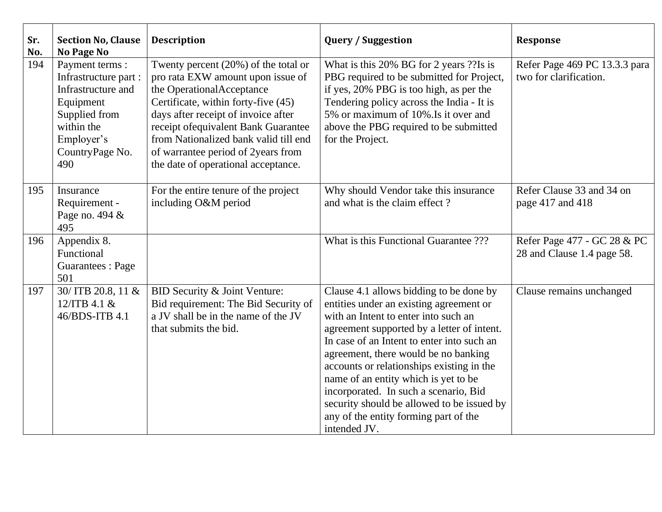| Sr.<br>No. | <b>Section No, Clause</b><br>No Page No                                                                                                                                                       | <b>Description</b>                                                                                                                                                                                                                                                                                                                                    | <b>Query / Suggestion</b>                                                                                                                                                                                                                                                                                                                                                                                                                                                                           | <b>Response</b>                                           |  |
|------------|-----------------------------------------------------------------------------------------------------------------------------------------------------------------------------------------------|-------------------------------------------------------------------------------------------------------------------------------------------------------------------------------------------------------------------------------------------------------------------------------------------------------------------------------------------------------|-----------------------------------------------------------------------------------------------------------------------------------------------------------------------------------------------------------------------------------------------------------------------------------------------------------------------------------------------------------------------------------------------------------------------------------------------------------------------------------------------------|-----------------------------------------------------------|--|
| 194        | Payment terms :<br>Infrastructure part :<br>Infrastructure and<br>Equipment<br>Supplied from<br>within the<br>Employer's<br>CountryPage No.<br>490                                            | Twenty percent $(20\%)$ of the total or<br>pro rata EXW amount upon issue of<br>the OperationalAcceptance<br>Certificate, within forty-five (45)<br>days after receipt of invoice after<br>receipt of equivalent Bank Guarantee<br>from Nationalized bank valid till end<br>of warrantee period of 2years from<br>the date of operational acceptance. | What is this 20% BG for 2 years ?? Is is<br>PBG required to be submitted for Project,<br>if yes, 20% PBG is too high, as per the<br>Tendering policy across the India - It is<br>5% or maximum of 10%. Is it over and<br>above the PBG required to be submitted<br>for the Project.                                                                                                                                                                                                                 | Refer Page 469 PC 13.3.3 para<br>two for clarification.   |  |
| 195        | Insurance<br>Requirement -<br>Page no. 494 &<br>495                                                                                                                                           | For the entire tenure of the project<br>including O&M period                                                                                                                                                                                                                                                                                          | Why should Vendor take this insurance<br>and what is the claim effect?                                                                                                                                                                                                                                                                                                                                                                                                                              | Refer Clause 33 and 34 on<br>page 417 and 418             |  |
| 196        | Appendix 8.<br>Functional<br><b>Guarantees</b> : Page<br>501                                                                                                                                  |                                                                                                                                                                                                                                                                                                                                                       | What is this Functional Guarantee ???                                                                                                                                                                                                                                                                                                                                                                                                                                                               | Refer Page 477 - GC 28 & PC<br>28 and Clause 1.4 page 58. |  |
| 197        | 30/ ITB 20.8, 11 &<br>BID Security & Joint Venture:<br>Bid requirement: The Bid Security of<br>12/ITB 4.1 &<br>a JV shall be in the name of the JV<br>46/BDS-ITB 4.1<br>that submits the bid. |                                                                                                                                                                                                                                                                                                                                                       | Clause 4.1 allows bidding to be done by<br>entities under an existing agreement or<br>with an Intent to enter into such an<br>agreement supported by a letter of intent.<br>In case of an Intent to enter into such an<br>agreement, there would be no banking<br>accounts or relationships existing in the<br>name of an entity which is yet to be<br>incorporated. In such a scenario, Bid<br>security should be allowed to be issued by<br>any of the entity forming part of the<br>intended JV. | Clause remains unchanged                                  |  |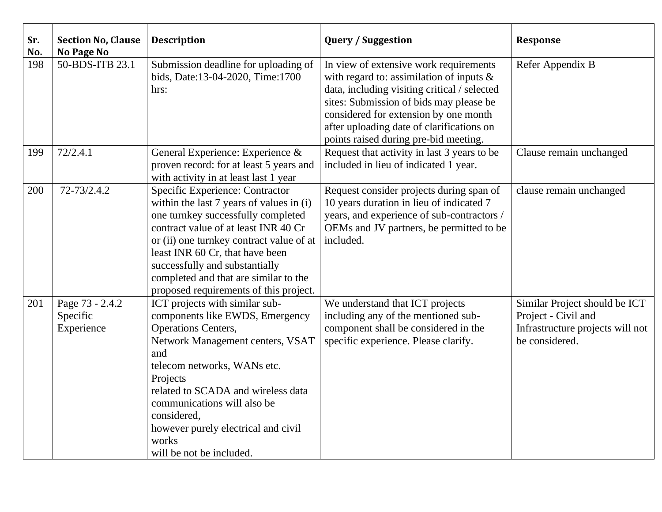| Sr.<br>No. | <b>Section No, Clause</b><br><b>No Page No</b> | <b>Description</b>                                                                                                                                                                                                                                                                                                                                                                                  | <b>Query / Suggestion</b>                                                                                                                                                                   | <b>Response</b>                                                                                            |
|------------|------------------------------------------------|-----------------------------------------------------------------------------------------------------------------------------------------------------------------------------------------------------------------------------------------------------------------------------------------------------------------------------------------------------------------------------------------------------|---------------------------------------------------------------------------------------------------------------------------------------------------------------------------------------------|------------------------------------------------------------------------------------------------------------|
| 198        | 50-BDS-ITB 23.1                                | Submission deadline for uploading of<br>In view of extensive work requirements<br>bids, Date:13-04-2020, Time:1700<br>with regard to: assimilation of inputs $\&$<br>data, including visiting critical / selected<br>hrs:<br>sites: Submission of bids may please be<br>considered for extension by one month<br>after uploading date of clarifications on<br>points raised during pre-bid meeting. |                                                                                                                                                                                             | Refer Appendix B                                                                                           |
| 199        | 72/2.4.1                                       | General Experience: Experience &<br>proven record: for at least 5 years and<br>with activity in at least last 1 year                                                                                                                                                                                                                                                                                | Request that activity in last 3 years to be<br>included in lieu of indicated 1 year.                                                                                                        | Clause remain unchanged                                                                                    |
| 200        | 72-73/2.4.2                                    | Specific Experience: Contractor<br>within the last 7 years of values in (i)<br>one turnkey successfully completed<br>contract value of at least INR 40 Cr<br>or (ii) one turnkey contract value of at<br>least INR 60 Cr, that have been<br>successfully and substantially<br>completed and that are similar to the<br>proposed requirements of this project.                                       | Request consider projects during span of<br>10 years duration in lieu of indicated 7<br>years, and experience of sub-contractors /<br>OEMs and JV partners, be permitted to be<br>included. | clause remain unchanged                                                                                    |
| 201        | Page 73 - 2.4.2<br>Specific<br>Experience      | ICT projects with similar sub-<br>components like EWDS, Emergency<br><b>Operations Centers,</b><br>Network Management centers, VSAT<br>and<br>telecom networks, WANs etc.<br>Projects<br>related to SCADA and wireless data<br>communications will also be<br>considered,<br>however purely electrical and civil<br>works<br>will be not be included.                                               | We understand that ICT projects<br>including any of the mentioned sub-<br>component shall be considered in the<br>specific experience. Please clarify.                                      | Similar Project should be ICT<br>Project - Civil and<br>Infrastructure projects will not<br>be considered. |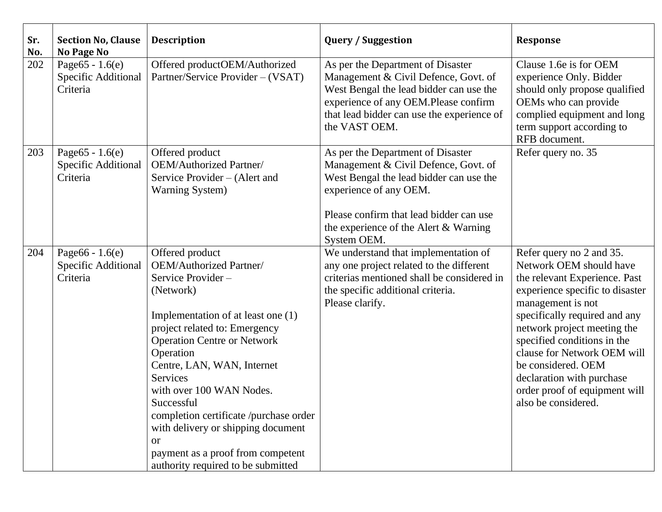| Sr.<br>No. | <b>Section No, Clause</b><br>No Page No               | <b>Description</b>                                                                                                                                                                                                                                                                                                                                                                                                                                                            | <b>Query / Suggestion</b>                                                                                                                                                                                                                         | <b>Response</b>                                                                                                                                                                                                                                                                                                                                                                       |  |
|------------|-------------------------------------------------------|-------------------------------------------------------------------------------------------------------------------------------------------------------------------------------------------------------------------------------------------------------------------------------------------------------------------------------------------------------------------------------------------------------------------------------------------------------------------------------|---------------------------------------------------------------------------------------------------------------------------------------------------------------------------------------------------------------------------------------------------|---------------------------------------------------------------------------------------------------------------------------------------------------------------------------------------------------------------------------------------------------------------------------------------------------------------------------------------------------------------------------------------|--|
| 202        | Page $65 - 1.6(e)$<br>Specific Additional<br>Criteria | Offered productOEM/Authorized<br>Partner/Service Provider – (VSAT)                                                                                                                                                                                                                                                                                                                                                                                                            | As per the Department of Disaster<br>Management & Civil Defence, Govt. of<br>West Bengal the lead bidder can use the<br>experience of any OEM.Please confirm<br>that lead bidder can use the experience of<br>the VAST OEM.                       | Clause 1.6e is for OEM<br>experience Only. Bidder<br>should only propose qualified<br>OEMs who can provide<br>complied equipment and long<br>term support according to<br>RFB document.                                                                                                                                                                                               |  |
| 203        | Page $65 - 1.6(e)$<br>Specific Additional<br>Criteria | Offered product<br>OEM/Authorized Partner/<br>Service Provider – (Alert and<br><b>Warning System</b> )                                                                                                                                                                                                                                                                                                                                                                        | As per the Department of Disaster<br>Management & Civil Defence, Govt. of<br>West Bengal the lead bidder can use the<br>experience of any OEM.<br>Please confirm that lead bidder can use<br>the experience of the Alert & Warning<br>System OEM. | Refer query no. 35                                                                                                                                                                                                                                                                                                                                                                    |  |
| 204        | Page $66 - 1.6(e)$<br>Specific Additional<br>Criteria | Offered product<br>OEM/Authorized Partner/<br>Service Provider-<br>(Network)<br>Implementation of at least one (1)<br>project related to: Emergency<br><b>Operation Centre or Network</b><br>Operation<br>Centre, LAN, WAN, Internet<br><b>Services</b><br>with over 100 WAN Nodes.<br>Successful<br>completion certificate /purchase order<br>with delivery or shipping document<br><sub>or</sub><br>payment as a proof from competent<br>authority required to be submitted | We understand that implementation of<br>any one project related to the different<br>criterias mentioned shall be considered in<br>the specific additional criteria.<br>Please clarify.                                                            | Refer query no 2 and 35.<br>Network OEM should have<br>the relevant Experience. Past<br>experience specific to disaster<br>management is not<br>specifically required and any<br>network project meeting the<br>specified conditions in the<br>clause for Network OEM will<br>be considered. OEM<br>declaration with purchase<br>order proof of equipment will<br>also be considered. |  |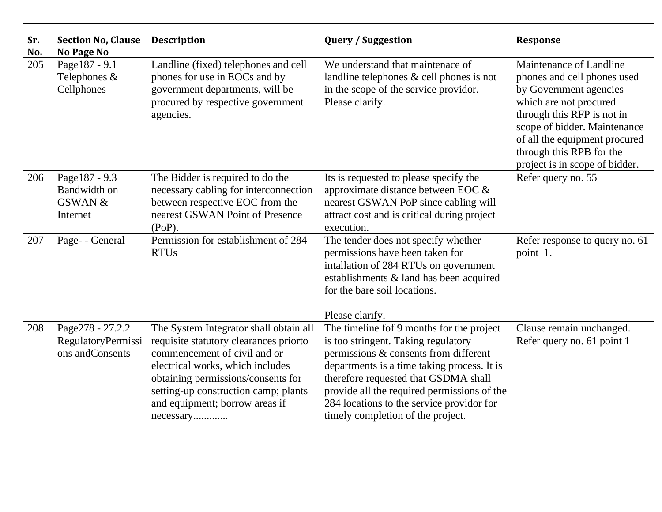| Sr.<br>No. | <b>Section No, Clause</b><br>No Page No                         | <b>Description</b>                                                                                                                                                                                                                                                                                                                                | <b>Query / Suggestion</b>                                                                                                                                                                                                                                                                                                                         | <b>Response</b>                                                                                                                                                                                                                                                         |
|------------|-----------------------------------------------------------------|---------------------------------------------------------------------------------------------------------------------------------------------------------------------------------------------------------------------------------------------------------------------------------------------------------------------------------------------------|---------------------------------------------------------------------------------------------------------------------------------------------------------------------------------------------------------------------------------------------------------------------------------------------------------------------------------------------------|-------------------------------------------------------------------------------------------------------------------------------------------------------------------------------------------------------------------------------------------------------------------------|
| 205        | Page187 - 9.1<br>Telephones &<br>Cellphones                     | Landline (fixed) telephones and cell<br>phones for use in EOCs and by<br>government departments, will be<br>procured by respective government<br>agencies.                                                                                                                                                                                        | We understand that maintenace of<br>landline telephones & cell phones is not<br>in the scope of the service providor.<br>Please clarify.                                                                                                                                                                                                          | Maintenance of Landline<br>phones and cell phones used<br>by Government agencies<br>which are not procured<br>through this RFP is not in<br>scope of bidder. Maintenance<br>of all the equipment procured<br>through this RPB for the<br>project is in scope of bidder. |
| 206        | Page187 - 9.3<br>Bandwidth on<br><b>GSWAN &amp;</b><br>Internet | The Bidder is required to do the<br>Its is requested to please specify the<br>approximate distance between EOC &<br>necessary cabling for interconnection<br>between respective EOC from the<br>nearest GSWAN PoP since cabling will<br>nearest GSWAN Point of Presence<br>attract cost and is critical during project<br>$(PoP)$ .<br>execution. |                                                                                                                                                                                                                                                                                                                                                   | Refer query no. 55                                                                                                                                                                                                                                                      |
| 207        | Page- - General                                                 | Permission for establishment of 284<br><b>RTUs</b>                                                                                                                                                                                                                                                                                                | The tender does not specify whether<br>permissions have been taken for<br>intallation of 284 RTUs on government<br>establishments & land has been acquired<br>for the bare soil locations.<br>Please clarify.                                                                                                                                     | Refer response to query no. 61<br>point 1.                                                                                                                                                                                                                              |
| 208        | Page278 - 27.2.2<br>RegulatoryPermissi<br>ons and Consents      | The System Integrator shall obtain all<br>requisite statutory clearances priorto<br>commencement of civil and or<br>electrical works, which includes<br>obtaining permissions/consents for<br>setting-up construction camp; plants<br>and equipment; borrow areas if<br>necessary                                                                 | The timeline fof 9 months for the project<br>is too stringent. Taking regulatory<br>permissions & consents from different<br>departments is a time taking process. It is<br>therefore requested that GSDMA shall<br>provide all the required permissions of the<br>284 locations to the service providor for<br>timely completion of the project. | Clause remain unchanged.<br>Refer query no. 61 point 1                                                                                                                                                                                                                  |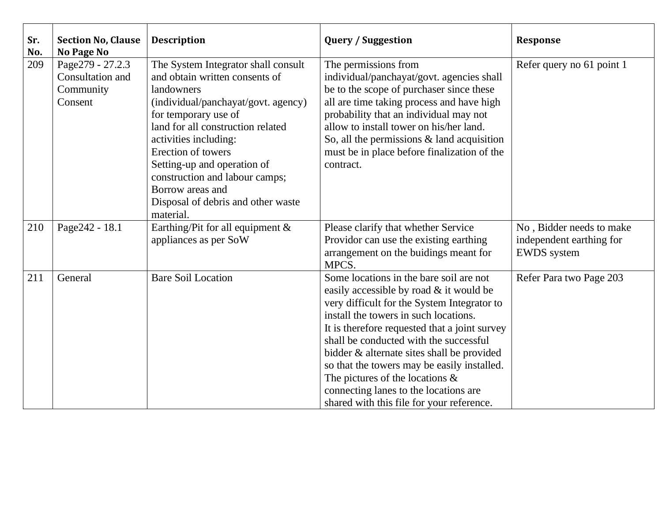| Sr.<br>No. | <b>Section No, Clause</b><br><b>No Page No</b>               | <b>Description</b>                                                                                                                                                                                                                                                                                                                                                             | <b>Query / Suggestion</b>                                                                                                                                                                                                                                                                                                                                                                                                                                                                      | <b>Response</b>                                                            |
|------------|--------------------------------------------------------------|--------------------------------------------------------------------------------------------------------------------------------------------------------------------------------------------------------------------------------------------------------------------------------------------------------------------------------------------------------------------------------|------------------------------------------------------------------------------------------------------------------------------------------------------------------------------------------------------------------------------------------------------------------------------------------------------------------------------------------------------------------------------------------------------------------------------------------------------------------------------------------------|----------------------------------------------------------------------------|
| 209        | Page279 - 27.2.3<br>Consultation and<br>Community<br>Consent | The System Integrator shall consult<br>and obtain written consents of<br>landowners<br>(individual/panchayat/govt. agency)<br>for temporary use of<br>land for all construction related<br>activities including:<br>Erection of towers<br>Setting-up and operation of<br>construction and labour camps;<br>Borrow areas and<br>Disposal of debris and other waste<br>material. | The permissions from<br>individual/panchayat/govt. agencies shall<br>be to the scope of purchaser since these<br>all are time taking process and have high<br>probability that an individual may not<br>allow to install tower on his/her land.<br>So, all the permissions $&$ land acquisition<br>must be in place before finalization of the<br>contract.                                                                                                                                    | Refer query no 61 point 1                                                  |
| 210        | Page242 - 18.1                                               | Earthing/Pit for all equipment $\&$<br>appliances as per SoW                                                                                                                                                                                                                                                                                                                   | Please clarify that whether Service<br>Providor can use the existing earthing<br>arrangement on the buidings meant for<br>MPCS.                                                                                                                                                                                                                                                                                                                                                                | No, Bidder needs to make<br>independent earthing for<br><b>EWDS</b> system |
| 211        | General<br><b>Bare Soil Location</b>                         |                                                                                                                                                                                                                                                                                                                                                                                | Some locations in the bare soil are not<br>easily accessible by road & it would be<br>very difficult for the System Integrator to<br>install the towers in such locations.<br>It is therefore requested that a joint survey<br>shall be conducted with the successful<br>bidder & alternate sites shall be provided<br>so that the towers may be easily installed.<br>The pictures of the locations $\&$<br>connecting lanes to the locations are<br>shared with this file for your reference. | Refer Para two Page 203                                                    |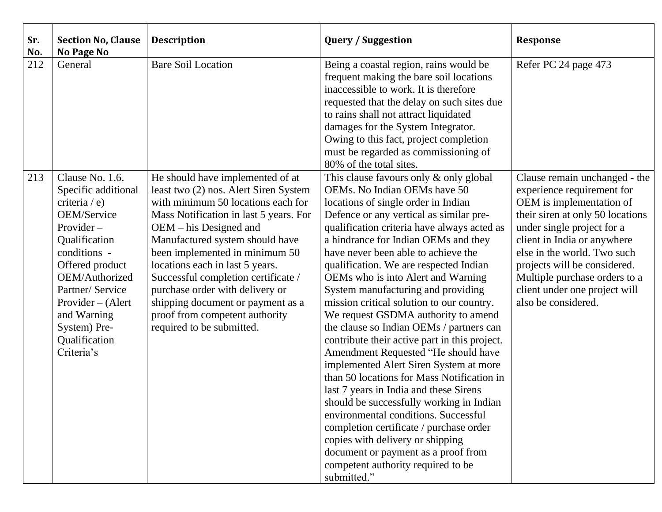| Sr.<br>No. | <b>Section No, Clause</b><br><b>No Page No</b>                                                                                                                                                                                                                      | <b>Description</b>                                                                                                                                                                                                                                                                                                                                                                                                                                                          | <b>Query / Suggestion</b>                                                                                                                                                                                                                                                                                                                                                                                                                                                                                                                                                                                                                                                                                                                                                                                                                                                                                                                                                                                                             | <b>Response</b>                                                                                                                                                                                                                                                                                                                                  |
|------------|---------------------------------------------------------------------------------------------------------------------------------------------------------------------------------------------------------------------------------------------------------------------|-----------------------------------------------------------------------------------------------------------------------------------------------------------------------------------------------------------------------------------------------------------------------------------------------------------------------------------------------------------------------------------------------------------------------------------------------------------------------------|---------------------------------------------------------------------------------------------------------------------------------------------------------------------------------------------------------------------------------------------------------------------------------------------------------------------------------------------------------------------------------------------------------------------------------------------------------------------------------------------------------------------------------------------------------------------------------------------------------------------------------------------------------------------------------------------------------------------------------------------------------------------------------------------------------------------------------------------------------------------------------------------------------------------------------------------------------------------------------------------------------------------------------------|--------------------------------------------------------------------------------------------------------------------------------------------------------------------------------------------------------------------------------------------------------------------------------------------------------------------------------------------------|
| 212        | General                                                                                                                                                                                                                                                             | <b>Bare Soil Location</b>                                                                                                                                                                                                                                                                                                                                                                                                                                                   | Being a coastal region, rains would be<br>frequent making the bare soil locations<br>inaccessible to work. It is therefore<br>requested that the delay on such sites due<br>to rains shall not attract liquidated<br>damages for the System Integrator.<br>Owing to this fact, project completion<br>must be regarded as commissioning of<br>80% of the total sites.                                                                                                                                                                                                                                                                                                                                                                                                                                                                                                                                                                                                                                                                  | Refer PC 24 page 473                                                                                                                                                                                                                                                                                                                             |
| 213        | Clause No. 1.6.<br>Specific additional<br>criteria / e)<br>OEM/Service<br>$Provider -$<br>Qualification<br>conditions -<br>Offered product<br>OEM/Authorized<br>Partner/ Service<br>Provider – (Alert<br>and Warning<br>System) Pre-<br>Qualification<br>Criteria's | He should have implemented of at<br>least two (2) nos. Alert Siren System<br>with minimum 50 locations each for<br>Mass Notification in last 5 years. For<br>$OEM - his Designed$ and<br>Manufactured system should have<br>been implemented in minimum 50<br>locations each in last 5 years.<br>Successful completion certificate /<br>purchase order with delivery or<br>shipping document or payment as a<br>proof from competent authority<br>required to be submitted. | This clause favours only & only global<br>OEMs. No Indian OEMs have 50<br>locations of single order in Indian<br>Defence or any vertical as similar pre-<br>qualification criteria have always acted as<br>a hindrance for Indian OEMs and they<br>have never been able to achieve the<br>qualification. We are respected Indian<br>OEMs who is into Alert and Warning<br>System manufacturing and providing<br>mission critical solution to our country.<br>We request GSDMA authority to amend<br>the clause so Indian OEMs / partners can<br>contribute their active part in this project.<br>Amendment Requested "He should have<br>implemented Alert Siren System at more<br>than 50 locations for Mass Notification in<br>last 7 years in India and these Sirens<br>should be successfully working in Indian<br>environmental conditions. Successful<br>completion certificate / purchase order<br>copies with delivery or shipping<br>document or payment as a proof from<br>competent authority required to be<br>submitted." | Clause remain unchanged - the<br>experience requirement for<br>OEM is implementation of<br>their siren at only 50 locations<br>under single project for a<br>client in India or anywhere<br>else in the world. Two such<br>projects will be considered.<br>Multiple purchase orders to a<br>client under one project will<br>also be considered. |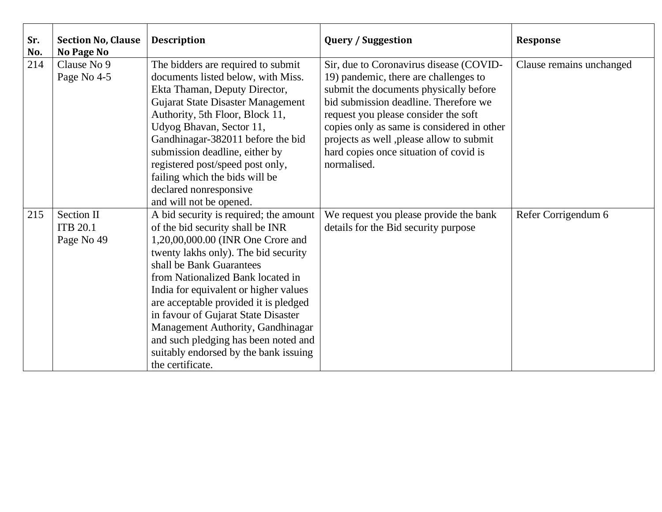| Sr.<br>No. | <b>Section No, Clause</b><br><b>No Page No</b> | <b>Description</b>                                                        | <b>Query / Suggestion</b>                                                       | <b>Response</b>          |
|------------|------------------------------------------------|---------------------------------------------------------------------------|---------------------------------------------------------------------------------|--------------------------|
| 214        | Clause No 9                                    | The bidders are required to submit                                        | Sir, due to Coronavirus disease (COVID-                                         | Clause remains unchanged |
|            | Page No 4-5                                    | documents listed below, with Miss.<br>Ekta Thaman, Deputy Director,       | 19) pandemic, there are challenges to<br>submit the documents physically before |                          |
|            |                                                | <b>Gujarat State Disaster Management</b>                                  | bid submission deadline. Therefore we                                           |                          |
|            |                                                | Authority, 5th Floor, Block 11,                                           | request you please consider the soft                                            |                          |
|            |                                                | Udyog Bhavan, Sector 11,                                                  | copies only as same is considered in other                                      |                          |
|            |                                                | Gandhinagar-382011 before the bid                                         | projects as well, please allow to submit                                        |                          |
|            |                                                | submission deadline, either by                                            | hard copies once situation of covid is                                          |                          |
|            |                                                | registered post/speed post only,                                          | normalised.                                                                     |                          |
|            |                                                | failing which the bids will be<br>declared nonresponsive                  |                                                                                 |                          |
|            |                                                | and will not be opened.                                                   |                                                                                 |                          |
| 215        | Section II                                     | A bid security is required; the amount                                    | We request you please provide the bank                                          | Refer Corrigendum 6      |
|            | <b>ITB 20.1</b>                                | of the bid security shall be INR                                          | details for the Bid security purpose                                            |                          |
|            | Page No 49                                     | 1,20,00,000.00 (INR One Crore and                                         |                                                                                 |                          |
|            |                                                | twenty lakhs only). The bid security                                      |                                                                                 |                          |
|            |                                                | shall be Bank Guarantees                                                  |                                                                                 |                          |
|            |                                                | from Nationalized Bank located in                                         |                                                                                 |                          |
|            |                                                | India for equivalent or higher values                                     |                                                                                 |                          |
|            |                                                | are acceptable provided it is pledged                                     |                                                                                 |                          |
|            |                                                | in favour of Gujarat State Disaster                                       |                                                                                 |                          |
|            |                                                | Management Authority, Gandhinagar<br>and such pledging has been noted and |                                                                                 |                          |
|            |                                                | suitably endorsed by the bank issuing                                     |                                                                                 |                          |
|            |                                                | the certificate.                                                          |                                                                                 |                          |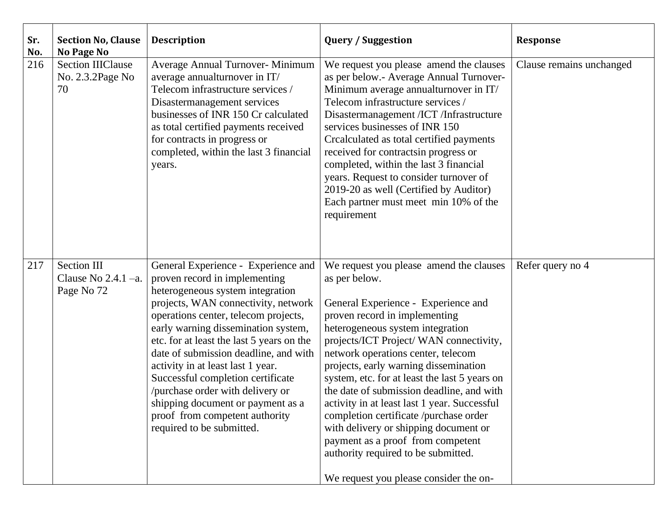| Sr.<br>No. | <b>Section No, Clause</b><br><b>No Page No</b>              | <b>Description</b>                                                                                                                                                                                                                                                                                                                                                                                                                                                                                                                     | <b>Query / Suggestion</b>                                                                                                                                                                                                                                                                                                                                                                                                                                                                                                                                                                                                                             | <b>Response</b>          |
|------------|-------------------------------------------------------------|----------------------------------------------------------------------------------------------------------------------------------------------------------------------------------------------------------------------------------------------------------------------------------------------------------------------------------------------------------------------------------------------------------------------------------------------------------------------------------------------------------------------------------------|-------------------------------------------------------------------------------------------------------------------------------------------------------------------------------------------------------------------------------------------------------------------------------------------------------------------------------------------------------------------------------------------------------------------------------------------------------------------------------------------------------------------------------------------------------------------------------------------------------------------------------------------------------|--------------------------|
| 216        | <b>Section IIIClause</b><br>No. 2.3.2Page No<br>70          | Average Annual Turnover- Minimum<br>average annualturnover in IT/<br>Telecom infrastructure services /<br>Disastermanagement services<br>businesses of INR 150 Cr calculated<br>as total certified payments received<br>for contracts in progress or<br>completed, within the last 3 financial<br>years.                                                                                                                                                                                                                               | We request you please amend the clauses<br>as per below.- Average Annual Turnover-<br>Minimum average annualturnover in IT/<br>Telecom infrastructure services /<br>Disastermanagement /ICT /Infrastructure<br>services businesses of INR 150<br>Crealculated as total certified payments<br>received for contracts in progress or<br>completed, within the last 3 financial<br>years. Request to consider turnover of<br>2019-20 as well (Certified by Auditor)<br>Each partner must meet min 10% of the<br>requirement                                                                                                                              | Clause remains unchanged |
| 217        | <b>Section III</b><br>Clause No $2.4.1 - a$ .<br>Page No 72 | General Experience - Experience and<br>proven record in implementing<br>heterogeneous system integration<br>projects, WAN connectivity, network<br>operations center, telecom projects,<br>early warning dissemination system,<br>etc. for at least the last 5 years on the<br>date of submission deadline, and with<br>activity in at least last 1 year.<br>Successful completion certificate<br>/purchase order with delivery or<br>shipping document or payment as a<br>proof from competent authority<br>required to be submitted. | We request you please amend the clauses<br>as per below.<br>General Experience - Experience and<br>proven record in implementing<br>heterogeneous system integration<br>projects/ICT Project/ WAN connectivity,<br>network operations center, telecom<br>projects, early warning dissemination<br>system, etc. for at least the last 5 years on<br>the date of submission deadline, and with<br>activity in at least last 1 year. Successful<br>completion certificate /purchase order<br>with delivery or shipping document or<br>payment as a proof from competent<br>authority required to be submitted.<br>We request you please consider the on- | Refer query no 4         |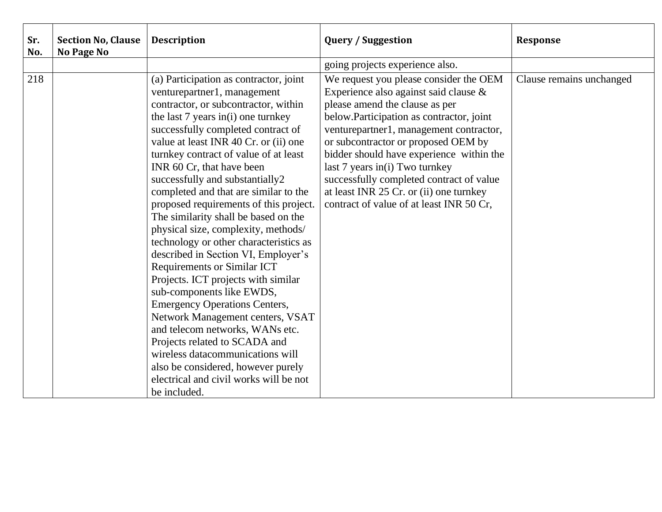| Sr.<br>No. | <b>Section No, Clause</b><br><b>No Page No</b> | <b>Description</b>                                                                                                                                                                                                                                                                                                                                                                                                                                                                                                                                                                                                                                                                                                                                                                                                                                                                                                                                                                           | <b>Query / Suggestion</b>                                                                                                                                                                                                                                                                                                                                                                                                                                        | <b>Response</b>          |
|------------|------------------------------------------------|----------------------------------------------------------------------------------------------------------------------------------------------------------------------------------------------------------------------------------------------------------------------------------------------------------------------------------------------------------------------------------------------------------------------------------------------------------------------------------------------------------------------------------------------------------------------------------------------------------------------------------------------------------------------------------------------------------------------------------------------------------------------------------------------------------------------------------------------------------------------------------------------------------------------------------------------------------------------------------------------|------------------------------------------------------------------------------------------------------------------------------------------------------------------------------------------------------------------------------------------------------------------------------------------------------------------------------------------------------------------------------------------------------------------------------------------------------------------|--------------------------|
|            |                                                |                                                                                                                                                                                                                                                                                                                                                                                                                                                                                                                                                                                                                                                                                                                                                                                                                                                                                                                                                                                              | going projects experience also.                                                                                                                                                                                                                                                                                                                                                                                                                                  |                          |
| 218        |                                                | (a) Participation as contractor, joint<br>venturepartner1, management<br>contractor, or subcontractor, within<br>the last 7 years in(i) one turnkey<br>successfully completed contract of<br>value at least INR 40 Cr. or (ii) one<br>turnkey contract of value of at least<br>INR 60 Cr, that have been<br>successfully and substantially2<br>completed and that are similar to the<br>proposed requirements of this project.<br>The similarity shall be based on the<br>physical size, complexity, methods/<br>technology or other characteristics as<br>described in Section VI, Employer's<br><b>Requirements or Similar ICT</b><br>Projects. ICT projects with similar<br>sub-components like EWDS,<br><b>Emergency Operations Centers,</b><br>Network Management centers, VSAT<br>and telecom networks, WANs etc.<br>Projects related to SCADA and<br>wireless datacommunications will<br>also be considered, however purely<br>electrical and civil works will be not<br>be included. | We request you please consider the OEM<br>Experience also against said clause &<br>please amend the clause as per<br>below.Participation as contractor, joint<br>venturepartner1, management contractor,<br>or subcontractor or proposed OEM by<br>bidder should have experience within the<br>last 7 years in(i) Two turnkey<br>successfully completed contract of value<br>at least INR 25 Cr. or (ii) one turnkey<br>contract of value of at least INR 50 Cr, | Clause remains unchanged |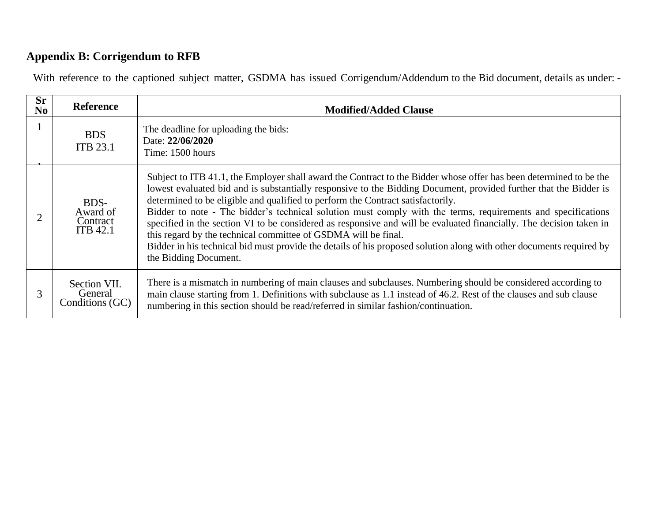# **Appendix B: Corrigendum to RFB**

With reference to the captioned subject matter, GSDMA has issued Corrigendum/Addendum to the Bid document, details as under: -

| <b>Sr</b><br>N <sub>0</sub> | <b>Reference</b>                                | <b>Modified/Added Clause</b>                                                                                                                                                                                                                                                                                                                                                                                                                                                                                                                                                                                                                                                                                                                                                         |
|-----------------------------|-------------------------------------------------|--------------------------------------------------------------------------------------------------------------------------------------------------------------------------------------------------------------------------------------------------------------------------------------------------------------------------------------------------------------------------------------------------------------------------------------------------------------------------------------------------------------------------------------------------------------------------------------------------------------------------------------------------------------------------------------------------------------------------------------------------------------------------------------|
|                             | <b>BDS</b><br><b>ITB 23.1</b>                   | The deadline for uploading the bids:<br>Date: 22/06/2020<br>Time: 1500 hours                                                                                                                                                                                                                                                                                                                                                                                                                                                                                                                                                                                                                                                                                                         |
|                             | BDS-<br>Award of<br>Contract<br><b>ITB 42.1</b> | Subject to ITB 41.1, the Employer shall award the Contract to the Bidder whose offer has been determined to be the<br>lowest evaluated bid and is substantially responsive to the Bidding Document, provided further that the Bidder is<br>determined to be eligible and qualified to perform the Contract satisfactorily.<br>Bidder to note - The bidder's technical solution must comply with the terms, requirements and specifications<br>specified in the section VI to be considered as responsive and will be evaluated financially. The decision taken in<br>this regard by the technical committee of GSDMA will be final.<br>Bidder in his technical bid must provide the details of his proposed solution along with other documents required by<br>the Bidding Document. |
| 3                           | Section VII.<br>General<br>Conditions (GC)      | There is a mismatch in numbering of main clauses and subclauses. Numbering should be considered according to<br>main clause starting from 1. Definitions with subclause as 1.1 instead of 46.2. Rest of the clauses and sub clause<br>numbering in this section should be read/referred in similar fashion/continuation.                                                                                                                                                                                                                                                                                                                                                                                                                                                             |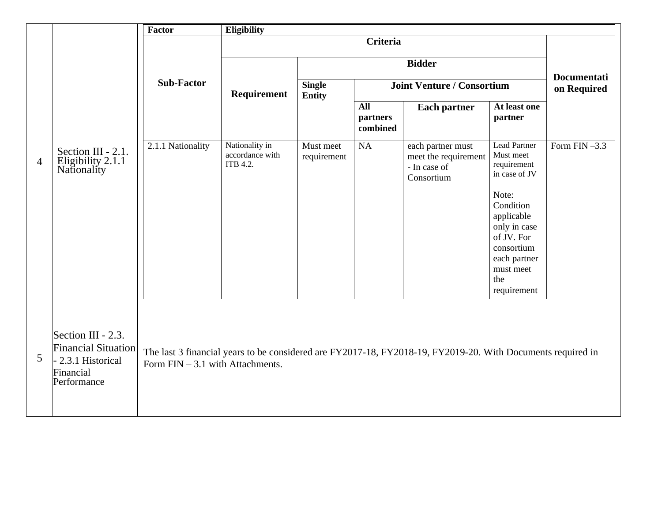|                |                                                                                                    | Factor                             | Eligibility                                   |                                |                             |                                                                                                             |                                                                                                                                 |                    |
|----------------|----------------------------------------------------------------------------------------------------|------------------------------------|-----------------------------------------------|--------------------------------|-----------------------------|-------------------------------------------------------------------------------------------------------------|---------------------------------------------------------------------------------------------------------------------------------|--------------------|
|                |                                                                                                    |                                    |                                               |                                | <b>Criteria</b>             |                                                                                                             |                                                                                                                                 |                    |
| $\overline{4}$ |                                                                                                    |                                    |                                               |                                |                             | <b>Bidder</b>                                                                                               |                                                                                                                                 | <b>Documentati</b> |
|                |                                                                                                    | <b>Sub-Factor</b>                  | Requirement                                   | <b>Single</b><br><b>Entity</b> |                             | <b>Joint Venture / Consortium</b>                                                                           |                                                                                                                                 | on Required        |
|                | Section III - 2.1.<br>Eligibility 2.1.1<br>Nationality                                             |                                    |                                               |                                | All<br>partners<br>combined | <b>Each partner</b>                                                                                         | At least one<br>partner                                                                                                         |                    |
|                |                                                                                                    | 2.1.1 Nationality                  | Nationality in<br>accordance with<br>ITB 4.2. | Must meet<br>requirement       | NA                          | each partner must<br>meet the requirement<br>- In case of<br>Consortium                                     | Lead Partner<br>Must meet<br>requirement<br>in case of JV                                                                       | Form $FIN-3.3$     |
|                |                                                                                                    |                                    |                                               |                                |                             |                                                                                                             | Note:<br>Condition<br>applicable<br>only in case<br>of JV. For<br>consortium<br>each partner<br>must meet<br>the<br>requirement |                    |
| 5              | Section III - 2.3.<br><b>Financial Situation</b><br>- 2.3.1 Historical<br>Financial<br>Performance | Form $FIN - 3.1$ with Attachments. |                                               |                                |                             | The last 3 financial years to be considered are FY2017-18, FY2018-19, FY2019-20. With Documents required in |                                                                                                                                 |                    |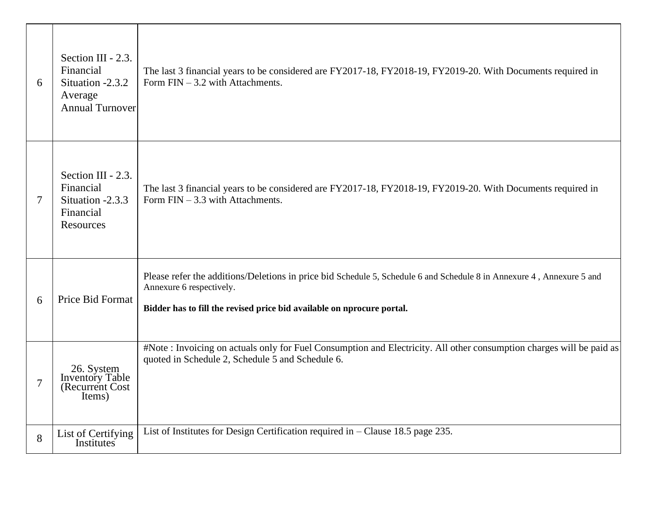| 6              | Section III - 2.3.<br>Financial<br>Situation -2.3.2<br>Average<br><b>Annual Turnover</b> | The last 3 financial years to be considered are FY2017-18, FY2018-19, FY2019-20. With Documents required in<br>Form $FIN - 3.2$ with Attachments.                                                                           |
|----------------|------------------------------------------------------------------------------------------|-----------------------------------------------------------------------------------------------------------------------------------------------------------------------------------------------------------------------------|
| 7              | Section III - 2.3.<br>Financial<br>Situation -2.3.3<br>Financial<br>Resources            | The last 3 financial years to be considered are FY2017-18, FY2018-19, FY2019-20. With Documents required in<br>Form $FIN - 3.3$ with Attachments.                                                                           |
| 6              | Price Bid Format                                                                         | Please refer the additions/Deletions in price bid Schedule 5, Schedule 6 and Schedule 8 in Annexure 4, Annexure 5 and<br>Annexure 6 respectively.<br>Bidder has to fill the revised price bid available on nprocure portal. |
| $\overline{7}$ | 26. System<br>Inventory Table<br>(Recurrent Cost)<br>Items)                              | #Note: Invoicing on actuals only for Fuel Consumption and Electricity. All other consumption charges will be paid as<br>quoted in Schedule 2, Schedule 5 and Schedule 6.                                                    |
| 8              | List of Certifying<br>Institutes                                                         | List of Institutes for Design Certification required in $-$ Clause 18.5 page 235.                                                                                                                                           |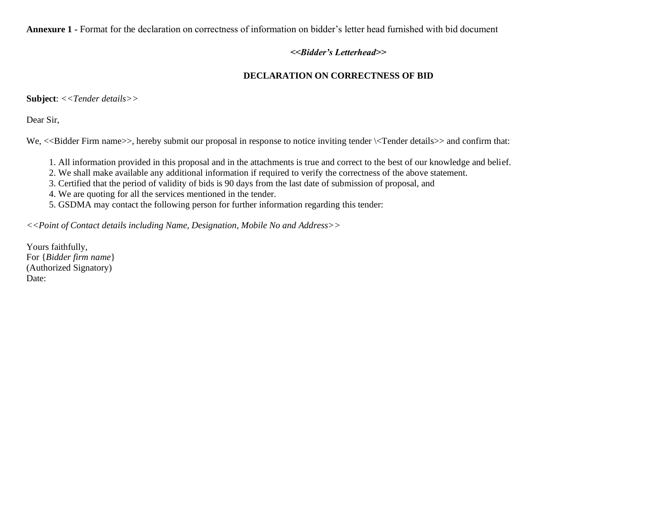**Annexure 1 -** Format for the declaration on correctness of information on bidder's letter head furnished with bid document

### *<<Bidder's Letterhead>>*

# **DECLARATION ON CORRECTNESS OF BID**

**Subject**: *<<Tender details>>*

Dear Sir,

We,  $\ll$ Bidder Firm name>>, hereby submit our proposal in response to notice inviting tender  $\ll$ Tender details>> and confirm that:

1. All information provided in this proposal and in the attachments is true and correct to the best of our knowledge and belief.

2. We shall make available any additional information if required to verify the correctness of the above statement.

3. Certified that the period of validity of bids is 90 days from the last date of submission of proposal, and

4. We are quoting for all the services mentioned in the tender.

5. GSDMA may contact the following person for further information regarding this tender:

*<<Point of Contact details including Name, Designation, Mobile No and Address>>*

Yours faithfully, For {*Bidder firm name*} (Authorized Signatory) Date: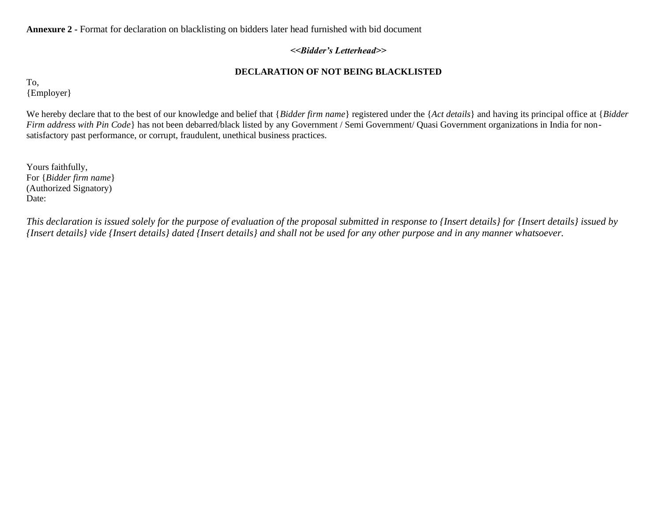**Annexure 2 -** Format for declaration on blacklisting on bidders later head furnished with bid document

## *<<Bidder's Letterhead>>*

# **DECLARATION OF NOT BEING BLACKLISTED**

To, {Employer}

We hereby declare that to the best of our knowledge and belief that {*Bidder firm name*} registered under the {*Act details*} and having its principal office at {*Bidder Firm address with Pin Code*} has not been debarred/black listed by any Government / Semi Government/ Quasi Government organizations in India for nonsatisfactory past performance, or corrupt, fraudulent, unethical business practices.

Yours faithfully, For {*Bidder firm name*} (Authorized Signatory) Date:

*This declaration is issued solely for the purpose of evaluation of the proposal submitted in response to {Insert details} for {Insert details} issued by {Insert details} vide {Insert details} dated {Insert details} and shall not be used for any other purpose and in any manner whatsoever.*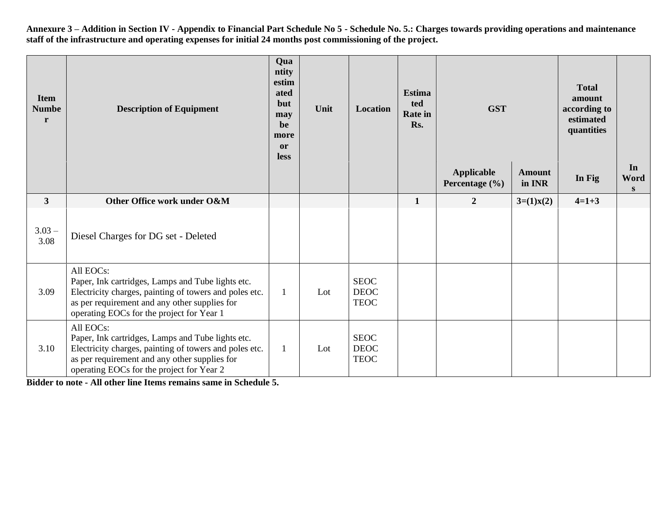**Annexure 3 – Addition in Section IV - Appendix to Financial Part Schedule No 5 - Schedule No. 5.: Charges towards providing operations and maintenance staff of the infrastructure and operating expenses for initial 24 months post commissioning of the project.**

| <b>Item</b><br><b>Numbe</b><br>r | <b>Description of Equipment</b>                                                                                                                                                                                        |              | Unit | Location                                  | <b>Estima</b><br>ted<br><b>Rate</b> in<br>Rs. | <b>GST</b>                          |                         | <b>Total</b><br>amount<br>according to<br>estimated<br>quantities |                 |
|----------------------------------|------------------------------------------------------------------------------------------------------------------------------------------------------------------------------------------------------------------------|--------------|------|-------------------------------------------|-----------------------------------------------|-------------------------------------|-------------------------|-------------------------------------------------------------------|-----------------|
|                                  |                                                                                                                                                                                                                        |              |      |                                           |                                               | <b>Applicable</b><br>Percentage (%) | <b>Amount</b><br>in INR | In Fig                                                            | In<br>Word<br>S |
| $\mathbf{3}$                     | Other Office work under O&M                                                                                                                                                                                            |              |      |                                           | $\mathbf{1}$                                  | $\overline{2}$                      | $3=(1)x(2)$             | $4=1+3$                                                           |                 |
| $3.03 -$<br>3.08                 | Diesel Charges for DG set - Deleted                                                                                                                                                                                    |              |      |                                           |                                               |                                     |                         |                                                                   |                 |
| 3.09                             | All EOCs:<br>Paper, Ink cartridges, Lamps and Tube lights etc.<br>Electricity charges, painting of towers and poles etc.<br>as per requirement and any other supplies for<br>operating EOCs for the project for Year 1 | 1            | Lot  | <b>SEOC</b><br><b>DEOC</b><br><b>TEOC</b> |                                               |                                     |                         |                                                                   |                 |
| 3.10                             | All EOCs:<br>Paper, Ink cartridges, Lamps and Tube lights etc.<br>Electricity charges, painting of towers and poles etc.<br>as per requirement and any other supplies for<br>operating EOCs for the project for Year 2 | $\mathbf{1}$ | Lot  | <b>SEOC</b><br><b>DEOC</b><br><b>TEOC</b> |                                               |                                     |                         |                                                                   |                 |

**Bidder to note - All other line Items remains same in Schedule 5.**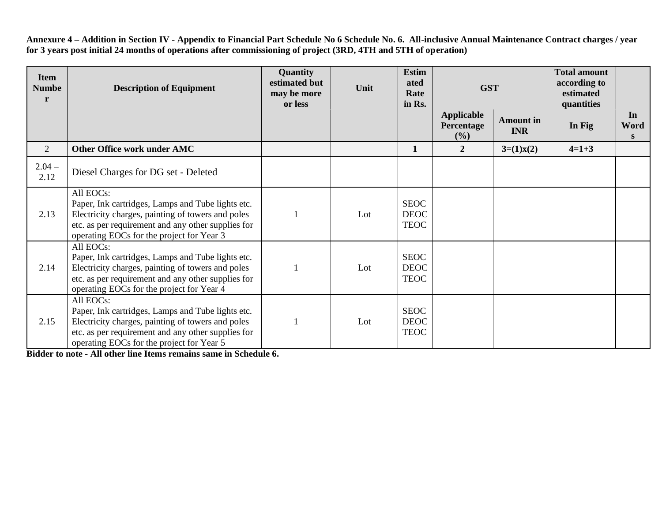**Annexure 4 – Addition in Section IV - Appendix to Financial Part Schedule No 6 Schedule No. 6. All-inclusive Annual Maintenance Contract charges / year for 3 years post initial 24 months of operations after commissioning of project (3RD, 4TH and 5TH of operation)**

| <b>Item</b><br><b>Numbe</b><br>r | <b>Description of Equipment</b>                                                                                                                                                                                        | Quantity<br>estimated but<br>may be more<br>or less | Unit | <b>Estim</b><br>ated<br>Rate<br>in Rs.    | <b>GST</b>                             |                                | <b>Total amount</b><br>according to<br>estimated<br>quantities |                 |
|----------------------------------|------------------------------------------------------------------------------------------------------------------------------------------------------------------------------------------------------------------------|-----------------------------------------------------|------|-------------------------------------------|----------------------------------------|--------------------------------|----------------------------------------------------------------|-----------------|
|                                  |                                                                                                                                                                                                                        |                                                     |      |                                           | <b>Applicable</b><br>Percentage<br>(%) | <b>Amount</b> in<br><b>INR</b> | In Fig.                                                        | In<br>Word<br>S |
| 2                                | Other Office work under AMC                                                                                                                                                                                            |                                                     |      | $\mathbf{1}$                              | $\overline{2}$                         | $3=(1)x(2)$                    | $4=1+3$                                                        |                 |
| $2.04 -$<br>2.12                 | Diesel Charges for DG set - Deleted                                                                                                                                                                                    |                                                     |      |                                           |                                        |                                |                                                                |                 |
| 2.13                             | All EOCs:<br>Paper, Ink cartridges, Lamps and Tube lights etc.<br>Electricity charges, painting of towers and poles<br>etc. as per requirement and any other supplies for<br>operating EOCs for the project for Year 3 |                                                     | Lot  | <b>SEOC</b><br><b>DEOC</b><br><b>TEOC</b> |                                        |                                |                                                                |                 |
| 2.14                             | All EOCs:<br>Paper, Ink cartridges, Lamps and Tube lights etc.<br>Electricity charges, painting of towers and poles<br>etc. as per requirement and any other supplies for<br>operating EOCs for the project for Year 4 |                                                     | Lot  | <b>SEOC</b><br><b>DEOC</b><br><b>TEOC</b> |                                        |                                |                                                                |                 |
| 2.15                             | All EOCs:<br>Paper, Ink cartridges, Lamps and Tube lights etc.<br>Electricity charges, painting of towers and poles<br>etc. as per requirement and any other supplies for<br>operating EOCs for the project for Year 5 |                                                     | Lot  | <b>SEOC</b><br><b>DEOC</b><br><b>TEOC</b> |                                        |                                |                                                                |                 |

**Bidder to note - All other line Items remains same in Schedule 6.**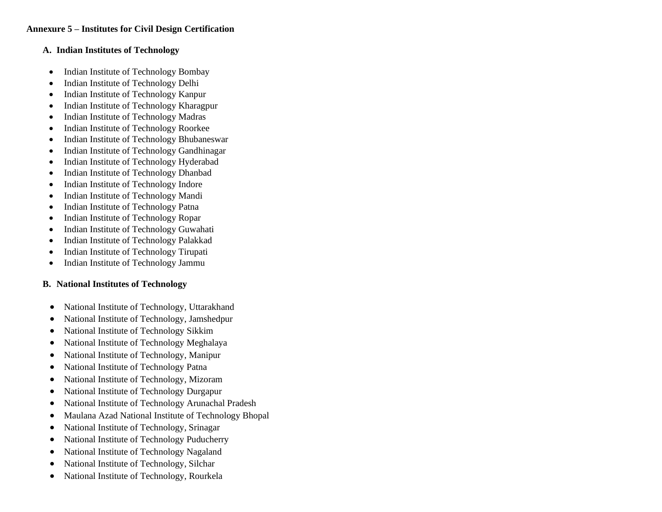### **A. Indian Institutes of Technology**

- Indian Institute of Technology Bombay
- Indian Institute of Technology Delhi
- Indian Institute of Technology Kanpur
- Indian Institute of Technology Kharagpur
- Indian Institute of Technology Madras
- Indian Institute of Technology Roorkee
- Indian Institute of Technology Bhubaneswar
- Indian Institute of Technology Gandhinagar
- Indian Institute of Technology Hyderabad
- Indian Institute of Technology Dhanbad
- Indian Institute of Technology Indore
- Indian Institute of Technology Mandi
- Indian Institute of Technology Patna
- Indian Institute of Technology Ropar
- Indian Institute of Technology Guwahati
- Indian Institute of Technology Palakkad
- Indian Institute of Technology Tirupati
- Indian Institute of Technology Jammu

# **B. National Institutes of Technology**

- National Institute of Technology, Uttarakhand
- National Institute of Technology, Jamshedpur
- National Institute of Technology Sikkim
- National Institute of Technology Meghalaya
- National Institute of Technology, Manipur
- National Institute of Technology Patna
- National Institute of Technology, Mizoram
- National Institute of Technology Durgapur
- National Institute of Technology Arunachal Pradesh
- Maulana Azad National Institute of Technology Bhopal
- National Institute of Technology, Srinagar
- National Institute of Technology Puducherry
- National Institute of Technology Nagaland
- National Institute of Technology, Silchar
- National Institute of Technology, Rourkela